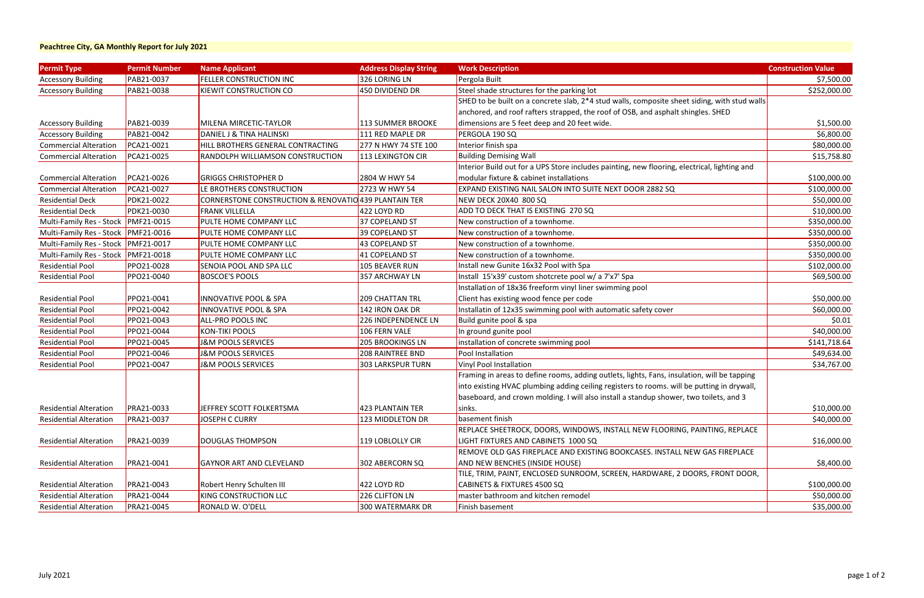| <b>Permit Type</b>                    | <b>Permit Number</b> | <b>Name Applicant</b>                                 | <b>Address Display String</b> | <b>Work Description</b>                                                                      | <b>Construction Value</b> |
|---------------------------------------|----------------------|-------------------------------------------------------|-------------------------------|----------------------------------------------------------------------------------------------|---------------------------|
| <b>Accessory Building</b>             | PAB21-0037           | <b>FELLER CONSTRUCTION INC</b>                        | 326 LORING LN                 | Pergola Built                                                                                | \$7,500.00                |
| <b>Accessory Building</b>             | PAB21-0038           | KIEWIT CONSTRUCTION CO                                | 450 DIVIDEND DR               | Steel shade structures for the parking lot                                                   | \$252,000.00              |
|                                       |                      |                                                       |                               | SHED to be built on a concrete slab, 2*4 stud walls, composite sheet siding, with stud walls |                           |
|                                       |                      |                                                       |                               | anchored, and roof rafters strapped, the roof of OSB, and asphalt shingles. SHED             |                           |
| <b>Accessory Building</b>             | PAB21-0039           | MILENA MIRCETIC-TAYLOR                                | 113 SUMMER BROOKE             | dimensions are 5 feet deep and 20 feet wide.                                                 | \$1,500.00                |
| <b>Accessory Building</b>             | PAB21-0042           | DANIEL J & TINA HALINSKI                              | 111 RED MAPLE DR              | PERGOLA 190 SQ                                                                               | \$6,800.00                |
| <b>Commercial Alteration</b>          | PCA21-0021           | HILL BROTHERS GENERAL CONTRACTING                     | 277 N HWY 74 STE 100          | Interior finish spa                                                                          | \$80,000.00               |
| <b>Commercial Alteration</b>          | PCA21-0025           | RANDOLPH WILLIAMSON CONSTRUCTION                      | 113 LEXINGTON CIR             | <b>Building Demising Wall</b>                                                                | \$15,758.80               |
|                                       |                      |                                                       |                               | Interior Build out for a UPS Store includes painting, new flooring, electrical, lighting and |                           |
| <b>Commercial Alteration</b>          | PCA21-0026           | <b>GRIGGS CHRISTOPHER D</b>                           | 2804 W HWY 54                 | modular fixture & cabinet installations                                                      | \$100,000.00              |
| <b>Commercial Alteration</b>          | PCA21-0027           | LE BROTHERS CONSTRUCTION                              | 2723 W HWY 54                 | EXPAND EXISTING NAIL SALON INTO SUITE NEXT DOOR 2882 SQ                                      | \$100,000.00              |
| <b>Residential Deck</b>               | PDK21-0022           | CORNERSTONE CONSTRUCTION & RENOVATIO 439 PLANTAIN TER |                               | NEW DECK 20X40 800 SQ                                                                        | \$50,000.00               |
| <b>Residential Deck</b>               | PDK21-0030           | <b>FRANK VILLELLA</b>                                 | 422 LOYD RD                   | ADD TO DECK THAT IS EXISTING 270 SQ                                                          | \$10,000.00               |
| Multi-Family Res - Stock   PMF21-0015 |                      | PULTE HOME COMPANY LLC                                | 37 COPELAND ST                | New construction of a townhome.                                                              | \$350,000.00              |
| Multi-Family Res - Stock   PMF21-0016 |                      | PULTE HOME COMPANY LLC                                | 39 COPELAND ST                | New construction of a townhome.                                                              | \$350,000.00              |
| Multi-Family Res - Stock   PMF21-0017 |                      | PULTE HOME COMPANY LLC                                | 43 COPELAND ST                | New construction of a townhome.                                                              | \$350,000.00              |
| Multi-Family Res - Stock              | <b>PMF21-0018</b>    | PULTE HOME COMPANY LLC                                | 41 COPELAND ST                | New construction of a townhome.                                                              | \$350,000.00              |
| Residential Pool                      | PPO21-0028           | SENOIA POOL AND SPA LLC                               | 105 BEAVER RUN                | Install new Gunite 16x32 Pool with Spa                                                       | \$102,000.00              |
| <b>Residential Pool</b>               | PPO21-0040           | <b>BOSCOE'S POOLS</b>                                 | 357 ARCHWAY LN                | Install 15'x39' custom shotcrete pool w/ a 7'x7' Spa                                         | \$69,500.00               |
|                                       |                      |                                                       |                               | Installation of 18x36 freeform vinyl liner swimming pool                                     |                           |
| <b>Residential Pool</b>               | PPO21-0041           | <b>INNOVATIVE POOL &amp; SPA</b>                      | <b>209 CHATTAN TRL</b>        | Client has existing wood fence per code                                                      | \$50,000.00               |
| <b>Residential Pool</b>               | PPO21-0042           | <b>INNOVATIVE POOL &amp; SPA</b>                      | 142 IRON OAK DR               | Installatin of 12x35 swimming pool with automatic safety cover                               | \$60,000.00               |
| <b>Residential Pool</b>               | PPO21-0043           | ALL-PRO POOLS INC                                     | 226 INDEPENDENCE LN           | Build gunite pool & spa                                                                      | \$0.01                    |
| <b>Residential Pool</b>               | PPO21-0044           | <b>KON-TIKI POOLS</b>                                 | 106 FERN VALE                 | In ground gunite pool                                                                        | \$40,000.00               |
| <b>Residential Pool</b>               | PPO21-0045           | <b>J&amp;M POOLS SERVICES</b>                         | 205 BROOKINGS LN              | installation of concrete swimming pool                                                       | \$141,718.64              |
| <b>Residential Pool</b>               | PPO21-0046           | <b>J&amp;M POOLS SERVICES</b>                         | 208 RAINTREE BND              | Pool Installation                                                                            | \$49,634.00               |
| Residential Pool                      | PPO21-0047           | <b>J&amp;M POOLS SERVICES</b>                         | 303 LARKSPUR TURN             | <b>Vinyl Pool Installation</b>                                                               | \$34,767.00               |
|                                       |                      |                                                       |                               | Framing in areas to define rooms, adding outlets, lights, Fans, insulation, will be tapping  |                           |
|                                       |                      |                                                       |                               | into existing HVAC plumbing adding ceiling registers to rooms. will be putting in drywall,   |                           |
|                                       |                      |                                                       |                               | baseboard, and crown molding. I will also install a standup shower, two toilets, and 3       |                           |
| <b>Residential Alteration</b>         | PRA21-0033           | JEFFREY SCOTT FOLKERTSMA                              | 423 PLANTAIN TER              | Isinks.                                                                                      | \$10,000.00               |
| <b>Residential Alteration</b>         | PRA21-0037           | <b>JOSEPH C CURRY</b>                                 | 123 MIDDLETON DR              | basement finish                                                                              | \$40,000.00               |
|                                       |                      |                                                       |                               | REPLACE SHEETROCK, DOORS, WINDOWS, INSTALL NEW FLOORING, PAINTING, REPLACE                   |                           |
| <b>Residential Alteration</b>         | PRA21-0039           | <b>DOUGLAS THOMPSON</b>                               | 119 LOBLOLLY CIR              | LIGHT FIXTURES AND CABINETS 1000 SQ                                                          | \$16,000.00               |
|                                       |                      |                                                       |                               | REMOVE OLD GAS FIREPLACE AND EXISTING BOOKCASES. INSTALL NEW GAS FIREPLACE                   |                           |
| <b>Residential Alteration</b>         | PRA21-0041           | <b>GAYNOR ART AND CLEVELAND</b>                       | 302 ABERCORN SQ               | <b>AND NEW BENCHES (INSIDE HOUSE)</b>                                                        | \$8,400.00                |
|                                       |                      |                                                       |                               | TILE, TRIM, PAINT, ENCLOSED SUNROOM, SCREEN, HARDWARE, 2 DOORS, FRONT DOOR,                  |                           |
| <b>Residential Alteration</b>         | PRA21-0043           | Robert Henry Schulten III                             | 422 LOYD RD                   | CABINETS & FIXTURES 4500 SQ                                                                  | \$100,000.00              |
|                                       |                      |                                                       |                               |                                                                                              |                           |
| <b>Residential Alteration</b>         | PRA21-0044           | KING CONSTRUCTION LLC                                 | 226 CLIFTON LN                | master bathroom and kitchen remodel                                                          | \$50,000.00               |

#### **Peachtree City, GA Monthly Report for July 2021**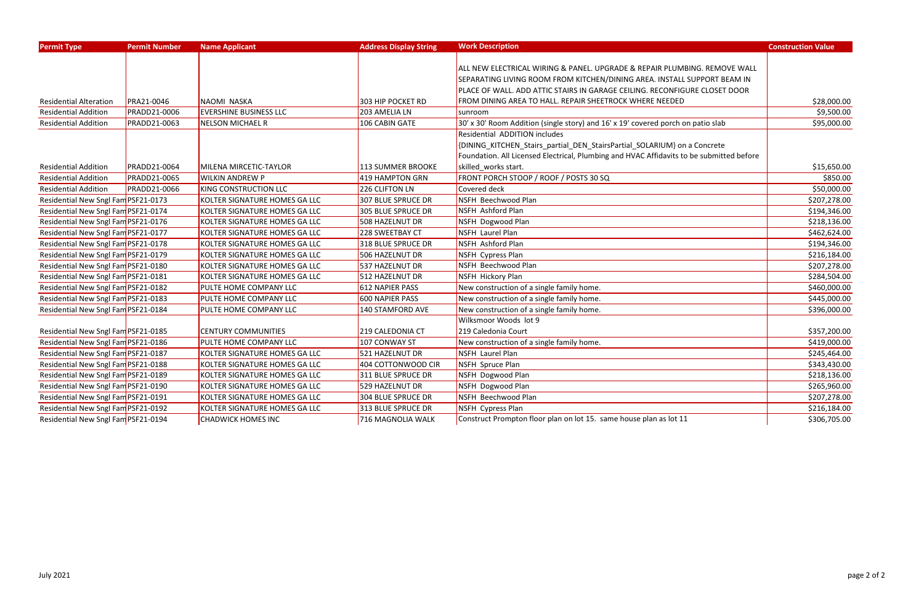| <b>Permit Type</b>                  | <b>Permit Number</b> | <b>Name Applicant</b>         | <b>Address Display String</b> | <b>Work Description</b>                                                                  | <b>Construction Value</b> |
|-------------------------------------|----------------------|-------------------------------|-------------------------------|------------------------------------------------------------------------------------------|---------------------------|
|                                     |                      |                               |                               |                                                                                          |                           |
|                                     |                      |                               |                               | ALL NEW ELECTRICAL WIRING & PANEL. UPGRADE & REPAIR PLUMBING. REMOVE WALL                |                           |
|                                     |                      |                               |                               | SEPARATING LIVING ROOM FROM KITCHEN/DINING AREA. INSTALL SUPPORT BEAM IN                 |                           |
|                                     |                      |                               |                               | PLACE OF WALL. ADD ATTIC STAIRS IN GARAGE CEILING. RECONFIGURE CLOSET DOOR               |                           |
| <b>Residential Alteration</b>       | <b>PRA21-0046</b>    | NAOMI NASKA                   | 303 HIP POCKET RD             | FROM DINING AREA TO HALL. REPAIR SHEETROCK WHERE NEEDED                                  | \$28,000.00               |
| <b>Residential Addition</b>         | <b>PRADD21-0006</b>  | <b>EVERSHINE BUSINESS LLC</b> | 203 AMELIA LN                 | sunroom                                                                                  | \$9,500.00                |
| <b>Residential Addition</b>         | <b>PRADD21-0063</b>  | <b>NELSON MICHAEL R</b>       | 106 CABIN GATE                | 30' x 30' Room Addition (single story) and 16' x 19' covered porch on patio slab         | \$95,000.00               |
|                                     |                      |                               |                               | <b>Residential ADDITION includes</b>                                                     |                           |
|                                     |                      |                               |                               | {DINING_KITCHEN_Stairs_partial_DEN_StairsPartial_SOLARIUM} on a Concrete                 |                           |
|                                     |                      |                               |                               | Foundation. All Licensed Electrical, Plumbing and HVAC Affidavits to be submitted before |                           |
| <b>Residential Addition</b>         | <b>PRADD21-0064</b>  | MILENA MIRCETIC-TAYLOR        | 113 SUMMER BROOKE             | skilled works start.                                                                     | \$15,650.00               |
| <b>Residential Addition</b>         | <b>PRADD21-0065</b>  | <b>WILKIN ANDREW P</b>        | 419 HAMPTON GRN               | FRONT PORCH STOOP / ROOF / POSTS 30 SQ                                                   | \$850.00                  |
| <b>Residential Addition</b>         | PRADD21-0066         | <b>KING CONSTRUCTION LLC</b>  | 226 CLIFTON LN                | Covered deck                                                                             | \$50,000.00               |
| Residential New Sngl Fam PSF21-0173 |                      | KOLTER SIGNATURE HOMES GA LLC | 307 BLUE SPRUCE DR            | NSFH Beechwood Plan                                                                      | \$207,278.00              |
| Residential New Sngl Fam PSF21-0174 |                      | KOLTER SIGNATURE HOMES GA LLC | 305 BLUE SPRUCE DR            | NSFH Ashford Plan                                                                        | \$194,346.00              |
| Residential New Sngl Fam PSF21-0176 |                      | KOLTER SIGNATURE HOMES GA LLC | 508 HAZELNUT DR               | NSFH Dogwood Plan                                                                        | \$218,136.00              |
| Residential New Sngl Fam PSF21-0177 |                      | KOLTER SIGNATURE HOMES GA LLC | 228 SWEETBAY CT               | NSFH Laurel Plan                                                                         | \$462,624.00              |
| Residential New Sngl Fam PSF21-0178 |                      | KOLTER SIGNATURE HOMES GA LLC | 318 BLUE SPRUCE DR            | NSFH Ashford Plan                                                                        | \$194,346.00              |
| Residential New Sngl Fam PSF21-0179 |                      | KOLTER SIGNATURE HOMES GA LLC | 506 HAZELNUT DR               | NSFH Cypress Plan                                                                        | \$216,184.00              |
| Residential New Sngl Fam PSF21-0180 |                      | KOLTER SIGNATURE HOMES GA LLC | 537 HAZELNUT DR               | NSFH Beechwood Plan                                                                      | \$207,278.00              |
| Residential New Sngl Fam PSF21-0181 |                      | KOLTER SIGNATURE HOMES GA LLC | 512 HAZELNUT DR               | NSFH Hickory Plan                                                                        | \$284,504.00              |
| Residential New Sngl Fam PSF21-0182 |                      | PULTE HOME COMPANY LLC        | 612 NAPIER PASS               | New construction of a single family home.                                                | \$460,000.00              |
| Residential New Sngl Fam PSF21-0183 |                      | PULTE HOME COMPANY LLC        | 600 NAPIER PASS               | New construction of a single family home.                                                | \$445,000.00              |
| Residential New Sngl Fam PSF21-0184 |                      | PULTE HOME COMPANY LLC        | 140 STAMFORD AVE              | New construction of a single family home.                                                | \$396,000.00              |
|                                     |                      |                               |                               | Wilksmoor Woods lot 9                                                                    |                           |
| Residential New Sngl Fam PSF21-0185 |                      | <b>CENTURY COMMUNITIES</b>    | 219 CALEDONIA CT              | 219 Caledonia Court                                                                      | \$357,200.00              |
| Residential New Sngl Fam PSF21-0186 |                      | PULTE HOME COMPANY LLC        | 107 CONWAY ST                 | New construction of a single family home.                                                | \$419,000.00              |
| Residential New Sngl Fam PSF21-0187 |                      | KOLTER SIGNATURE HOMES GA LLC | 521 HAZELNUT DR               | NSFH Laurel Plan                                                                         | \$245,464.00              |
| Residential New Sngl Fam PSF21-0188 |                      | KOLTER SIGNATURE HOMES GA LLC | 404 COTTONWOOD CIR            | NSFH Spruce Plan                                                                         | \$343,430.00              |
| Residential New Sngl Fam PSF21-0189 |                      | KOLTER SIGNATURE HOMES GA LLC | 311 BLUE SPRUCE DR            | NSFH Dogwood Plan                                                                        | \$218,136.00              |
| Residential New Sngl Fam PSF21-0190 |                      | KOLTER SIGNATURE HOMES GA LLC | 529 HAZELNUT DR               | NSFH Dogwood Plan                                                                        | \$265,960.00              |
| Residential New Sngl Fam PSF21-0191 |                      | KOLTER SIGNATURE HOMES GA LLC | <b>304 BLUE SPRUCE DR</b>     | NSFH Beechwood Plan                                                                      | \$207,278.00              |
| Residential New Sngl Fam PSF21-0192 |                      | KOLTER SIGNATURE HOMES GA LLC | 313 BLUE SPRUCE DR            | NSFH Cypress Plan                                                                        | \$216,184.00              |
| Residential New Sngl Fam PSF21-0194 |                      | <b>CHADWICK HOMES INC</b>     | 716 MAGNOLIA WALK             | Construct Prompton floor plan on lot 15. same house plan as lot 11                       | \$306,705.00              |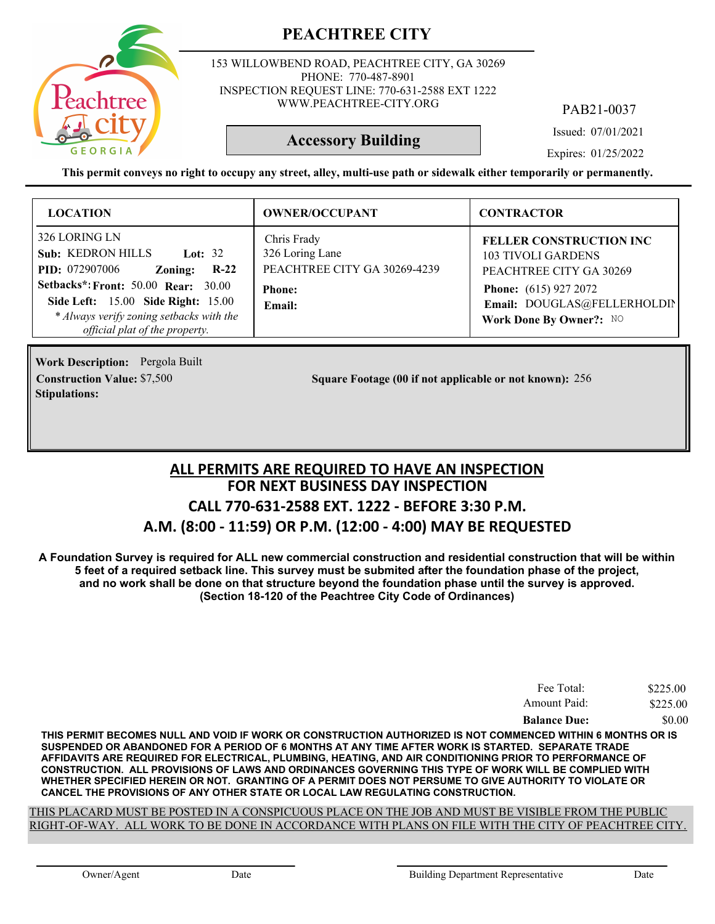

153 WILLOWBEND ROAD, PEACHTREE CITY, GA 30269 PHONE: 770-487-8901 INSPECTION REQUEST LINE: 770-631-2588 EXT 1222 WWW.PEACHTREE-CITY.ORG

PAB21-0037

Issued: 07/01/2021

**Accessory Building**

Expires: 01/25/2022

**This permit conveys no right to occupy any street, alley, multi-use path or sidewalk either temporarily or permanently.**

| <b>LOCATION</b>                                                                                                                                                                                                                                                        | <b>OWNER/OCCUPANT</b>                                                                     | <b>CONTRACTOR</b>                                                                                                                                                                |
|------------------------------------------------------------------------------------------------------------------------------------------------------------------------------------------------------------------------------------------------------------------------|-------------------------------------------------------------------------------------------|----------------------------------------------------------------------------------------------------------------------------------------------------------------------------------|
| 326 LORING LN<br><b>Sub: KEDRON HILLS</b><br>Lot: $32$<br><b>PID:</b> 072907006<br>$R-22$<br>Zoning:<br><b>Setbacks*: Front: 50.00 Rear: 30.00</b><br>Side Left: 15.00 Side Right: 15.00<br>* Always verify zoning setbacks with the<br>official plat of the property. | Chris Frady<br>326 Loring Lane<br>PEACHTREE CITY GA 30269-4239<br><b>Phone:</b><br>Email: | <b>FELLER CONSTRUCTION INC</b><br><b>103 TIVOLI GARDENS</b><br>PEACHTREE CITY GA 30269<br><b>Phone:</b> (615) 927 2072<br>Email: DOUGLAS@FELLERHOLDIN<br>Work Done By Owner?: NO |

**Work Description:** Pergola Built **Stipulations:**

**Construction Value: Square Footage (00 if not applicable or not known):** \$7,500 256

#### **FOR NEXT BUSINESS DAY INSPECTION CALL 770-631-2588 EXT. 1222 - BEFORE 3:30 P.M. A.M. (8:00 - 11:59) OR P.M. (12:00 - 4:00) MAY BE REQUESTED ALL PERMITS ARE REQUIRED TO HAVE AN INSPECTION**

**A Foundation Survey is required for ALL new commercial construction and residential construction that will be within 5 feet of a required setback line. This survey must be submited after the foundation phase of the project, and no work shall be done on that structure beyond the foundation phase until the survey is approved. (Section 18-120 of the Peachtree City Code of Ordinances)**

| Amount Paid: | \$225.00 |
|--------------|----------|
|              |          |

**THIS PERMIT BECOMES NULL AND VOID IF WORK OR CONSTRUCTION AUTHORIZED IS NOT COMMENCED WITHIN 6 MONTHS OR IS SUSPENDED OR ABANDONED FOR A PERIOD OF 6 MONTHS AT ANY TIME AFTER WORK IS STARTED. SEPARATE TRADE AFFIDAVITS ARE REQUIRED FOR ELECTRICAL, PLUMBING, HEATING, AND AIR CONDITIONING PRIOR TO PERFORMANCE OF CONSTRUCTION. ALL PROVISIONS OF LAWS AND ORDINANCES GOVERNING THIS TYPE OF WORK WILL BE COMPLIED WITH WHETHER SPECIFIED HEREIN OR NOT. GRANTING OF A PERMIT DOES NOT PERSUME TO GIVE AUTHORITY TO VIOLATE OR CANCEL THE PROVISIONS OF ANY OTHER STATE OR LOCAL LAW REGULATING CONSTRUCTION.**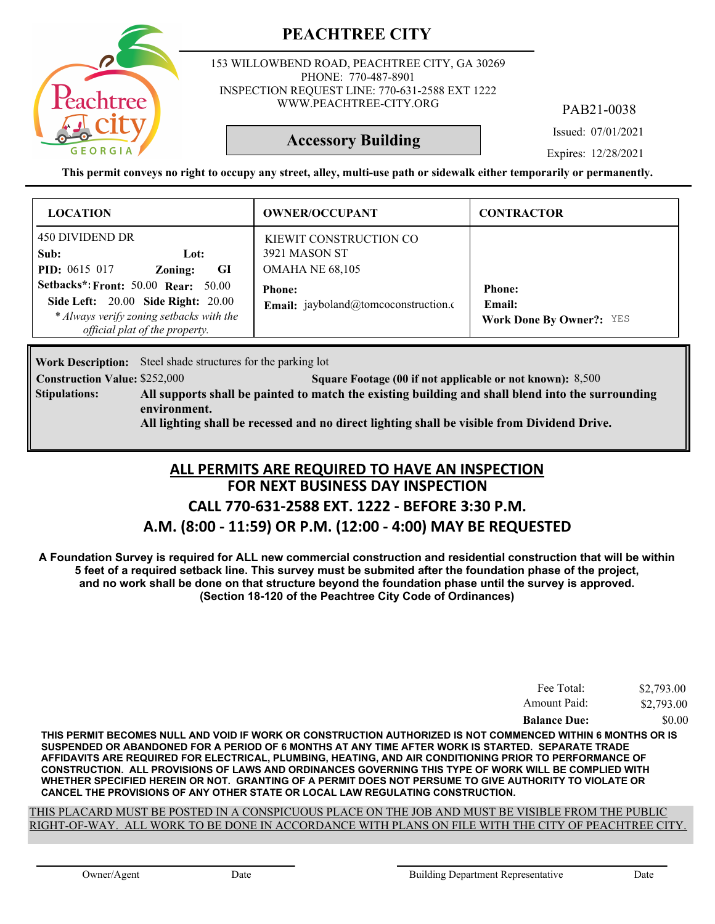

153 WILLOWBEND ROAD, PEACHTREE CITY, GA 30269 PHONE: 770-487-8901 INSPECTION REQUEST LINE: 770-631-2588 EXT 1222 WWW.PEACHTREE-CITY.ORG

PAB21-0038

Issued: 07/01/2021

#### **Accessory Building**

Expires: 12/28/2021

**This permit conveys no right to occupy any street, alley, multi-use path or sidewalk either temporarily or permanently.**

| <b>LOCATION</b>                                                                                                                                                                                                                            | <b>OWNER/OCCUPANT</b>                                                                                                            | <b>CONTRACTOR</b>                                          |
|--------------------------------------------------------------------------------------------------------------------------------------------------------------------------------------------------------------------------------------------|----------------------------------------------------------------------------------------------------------------------------------|------------------------------------------------------------|
| 450 DIVIDEND DR<br>Sub:<br>Lot:<br><b>PID:</b> 0615 017<br>GI<br>Zoning:<br><b>Setbacks*: Front: 50.00 Rear: 50.00</b><br>Side Left: 20.00 Side Right: 20.00<br>* Always verify zoning setbacks with the<br>official plat of the property. | KIEWIT CONSTRUCTION CO<br>3921 MASON ST<br><b>OMAHA NE 68,105</b><br><b>Phone:</b><br><b>Email:</b> jayboland@tomcoconstruction. | <b>Phone:</b><br>Email:<br><b>Work Done By Owner?: YES</b> |

Work Description: Steel shade structures for the parking lot

**Construction Value:** \$252,000 8 **Square Footage (00 if not applicable or not known):** 8,500

**All supports shall be painted to match the existing building and shall blend into the surrounding environment. Stipulations:**

**All lighting shall be recessed and no direct lighting shall be visible from Dividend Drive.**

## **FOR NEXT BUSINESS DAY INSPECTION ALL PERMITS ARE REQUIRED TO HAVE AN INSPECTION**

### **CALL 770-631-2588 EXT. 1222 - BEFORE 3:30 P.M.**

#### **A.M. (8:00 - 11:59) OR P.M. (12:00 - 4:00) MAY BE REQUESTED**

**A Foundation Survey is required for ALL new commercial construction and residential construction that will be within 5 feet of a required setback line. This survey must be submited after the foundation phase of the project, and no work shall be done on that structure beyond the foundation phase until the survey is approved. (Section 18-120 of the Peachtree City Code of Ordinances)**

| Fee Total:          | \$2,793.00 |
|---------------------|------------|
| Amount Paid:        | \$2,793.00 |
| <b>Balance Due:</b> | \$0.00     |

**THIS PERMIT BECOMES NULL AND VOID IF WORK OR CONSTRUCTION AUTHORIZED IS NOT COMMENCED WITHIN 6 MONTHS OR IS SUSPENDED OR ABANDONED FOR A PERIOD OF 6 MONTHS AT ANY TIME AFTER WORK IS STARTED. SEPARATE TRADE AFFIDAVITS ARE REQUIRED FOR ELECTRICAL, PLUMBING, HEATING, AND AIR CONDITIONING PRIOR TO PERFORMANCE OF CONSTRUCTION. ALL PROVISIONS OF LAWS AND ORDINANCES GOVERNING THIS TYPE OF WORK WILL BE COMPLIED WITH WHETHER SPECIFIED HEREIN OR NOT. GRANTING OF A PERMIT DOES NOT PERSUME TO GIVE AUTHORITY TO VIOLATE OR CANCEL THE PROVISIONS OF ANY OTHER STATE OR LOCAL LAW REGULATING CONSTRUCTION.**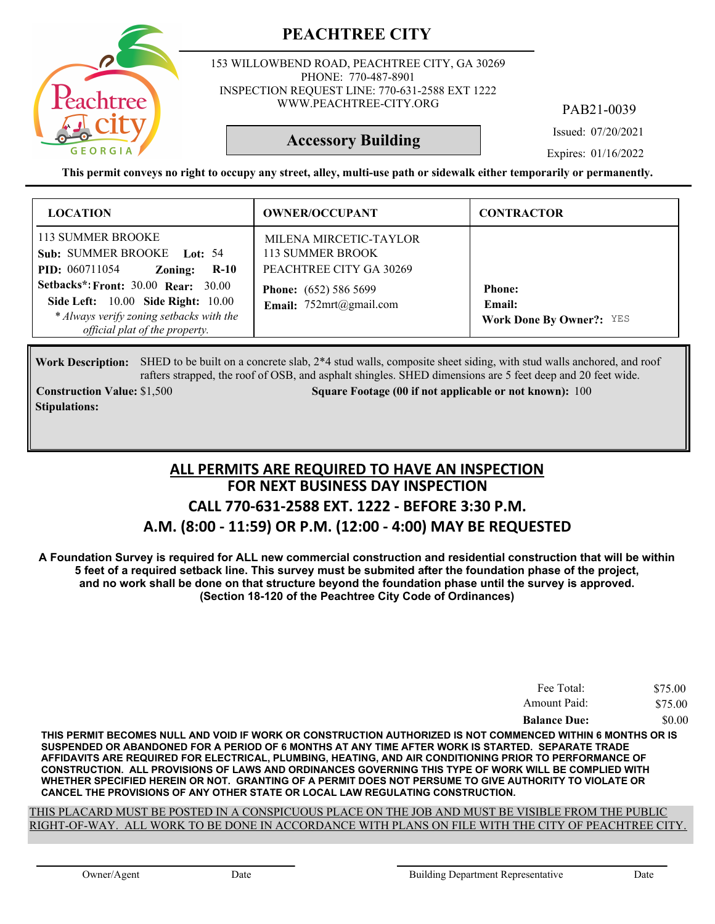153 WILLOWBEND ROAD, PEACHTREE CITY, GA 30269 PHONE: 770-487-8901 INSPECTION REQUEST LINE: 770-631-2588 EXT 1222 WWW.PEACHTREE-CITY.ORG

PAB21-0039

Issued: 07/20/2021

**Accessory Building**

Expires: 01/16/2022

**This permit conveys no right to occupy any street, alley, multi-use path or sidewalk either temporarily or permanently.**

| <b>LOCATION</b>                                                                                                                                                              | <b>OWNER/OCCUPANT</b>                                                 | <b>CONTRACTOR</b>                                          |
|------------------------------------------------------------------------------------------------------------------------------------------------------------------------------|-----------------------------------------------------------------------|------------------------------------------------------------|
| 113 SUMMER BROOKE<br>Sub: SUMMER BROOKE Lot: 54<br><b>PID:</b> 060711054<br>$R-10$<br>Zoning:                                                                                | MILENA MIRCETIC-TAYLOR<br>113 SUMMER BROOK<br>PEACHTREE CITY GA 30269 |                                                            |
| <b>Setbacks*: Front: 30.00 Rear: 30.00</b><br><b>Side Left:</b> 10.00 <b>Side Right:</b> 10.00<br>* Always verify zoning setbacks with the<br>official plat of the property. | <b>Phone:</b> (652) 586 5699<br>Email: $752mrt@gmail.com$             | <b>Phone:</b><br>Email:<br><b>Work Done By Owner?: YES</b> |

Work Description: SHED to be built on a concrete slab,  $2*4$  stud walls, composite sheet siding, with stud walls anchored, and roof rafters strapped, the roof of OSB, and asphalt shingles. SHED dimensions are 5 feet deep and 20 feet wide.

**Stipulations:**

**Construction Value:** \$1,500 **100 Square Footage (00 if not applicable or not known): 100** 

#### **FOR NEXT BUSINESS DAY INSPECTION CALL 770-631-2588 EXT. 1222 - BEFORE 3:30 P.M. A.M. (8:00 - 11:59) OR P.M. (12:00 - 4:00) MAY BE REQUESTED ALL PERMITS ARE REQUIRED TO HAVE AN INSPECTION**

**A Foundation Survey is required for ALL new commercial construction and residential construction that will be within 5 feet of a required setback line. This survey must be submited after the foundation phase of the project, and no work shall be done on that structure beyond the foundation phase until the survey is approved. (Section 18-120 of the Peachtree City Code of Ordinances)**

| Fee Total:          | \$75.00 |
|---------------------|---------|
| Amount Paid:        | \$75.00 |
| <b>Balance Due:</b> | \$0.00  |

**THIS PERMIT BECOMES NULL AND VOID IF WORK OR CONSTRUCTION AUTHORIZED IS NOT COMMENCED WITHIN 6 MONTHS OR IS SUSPENDED OR ABANDONED FOR A PERIOD OF 6 MONTHS AT ANY TIME AFTER WORK IS STARTED. SEPARATE TRADE AFFIDAVITS ARE REQUIRED FOR ELECTRICAL, PLUMBING, HEATING, AND AIR CONDITIONING PRIOR TO PERFORMANCE OF CONSTRUCTION. ALL PROVISIONS OF LAWS AND ORDINANCES GOVERNING THIS TYPE OF WORK WILL BE COMPLIED WITH WHETHER SPECIFIED HEREIN OR NOT. GRANTING OF A PERMIT DOES NOT PERSUME TO GIVE AUTHORITY TO VIOLATE OR CANCEL THE PROVISIONS OF ANY OTHER STATE OR LOCAL LAW REGULATING CONSTRUCTION.**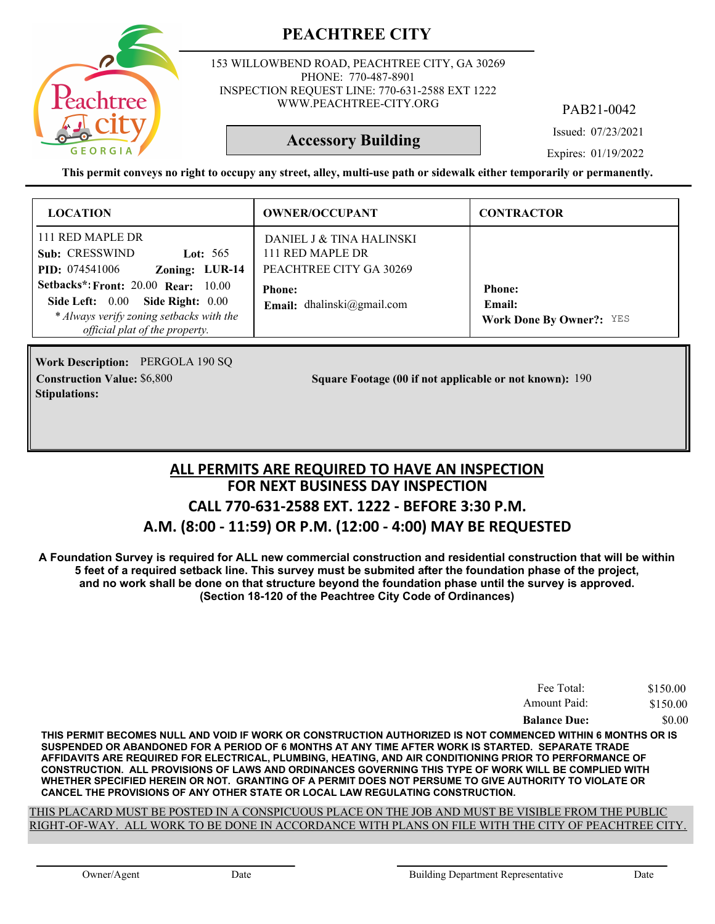

153 WILLOWBEND ROAD, PEACHTREE CITY, GA 30269 PHONE: 770-487-8901 INSPECTION REQUEST LINE: 770-631-2588 EXT 1222 WWW.PEACHTREE-CITY.ORG

PAB21-0042

Issued: 07/23/2021

**Accessory Building**

Expires: 01/19/2022

**This permit conveys no right to occupy any street, alley, multi-use path or sidewalk either temporarily or permanently.**

| <b>LOCATION</b>                                                                                                                                       | <b>OWNER/OCCUPANT</b>                                                   | <b>CONTRACTOR</b>                                          |
|-------------------------------------------------------------------------------------------------------------------------------------------------------|-------------------------------------------------------------------------|------------------------------------------------------------|
| 111 RED MAPLE DR<br>Sub: CRESSWIND<br>Lot: $565$<br>Zoning: LUR-14<br><b>PID:</b> 074541006                                                           | DANIEL J & TINA HALINSKI<br>111 RED MAPLE DR<br>PEACHTREE CITY GA 30269 |                                                            |
| Setbacks*: Front: 20.00 Rear: 10.00<br>Side Left: 0.00 Side Right: 0.00<br>* Always verify zoning setbacks with the<br>official plat of the property. | <b>Phone:</b><br><b>Email:</b> dhalinski@gmail.com                      | <b>Phone:</b><br>Email:<br><b>Work Done By Owner?:</b> YES |

Work Description: PERGOLA 190 SQ **Stipulations:**

**Construction Value:** \$6,800 190 190 Square Footage (00 if not applicable or not known): 190

#### **FOR NEXT BUSINESS DAY INSPECTION CALL 770-631-2588 EXT. 1222 - BEFORE 3:30 P.M. A.M. (8:00 - 11:59) OR P.M. (12:00 - 4:00) MAY BE REQUESTED ALL PERMITS ARE REQUIRED TO HAVE AN INSPECTION**

**A Foundation Survey is required for ALL new commercial construction and residential construction that will be within 5 feet of a required setback line. This survey must be submited after the foundation phase of the project, and no work shall be done on that structure beyond the foundation phase until the survey is approved. (Section 18-120 of the Peachtree City Code of Ordinances)**

| Fee Total:          | \$150.00 |
|---------------------|----------|
| Amount Paid:        | \$150.00 |
| <b>Balance Due:</b> | \$0.00   |

**THIS PERMIT BECOMES NULL AND VOID IF WORK OR CONSTRUCTION AUTHORIZED IS NOT COMMENCED WITHIN 6 MONTHS OR IS SUSPENDED OR ABANDONED FOR A PERIOD OF 6 MONTHS AT ANY TIME AFTER WORK IS STARTED. SEPARATE TRADE AFFIDAVITS ARE REQUIRED FOR ELECTRICAL, PLUMBING, HEATING, AND AIR CONDITIONING PRIOR TO PERFORMANCE OF CONSTRUCTION. ALL PROVISIONS OF LAWS AND ORDINANCES GOVERNING THIS TYPE OF WORK WILL BE COMPLIED WITH WHETHER SPECIFIED HEREIN OR NOT. GRANTING OF A PERMIT DOES NOT PERSUME TO GIVE AUTHORITY TO VIOLATE OR CANCEL THE PROVISIONS OF ANY OTHER STATE OR LOCAL LAW REGULATING CONSTRUCTION.**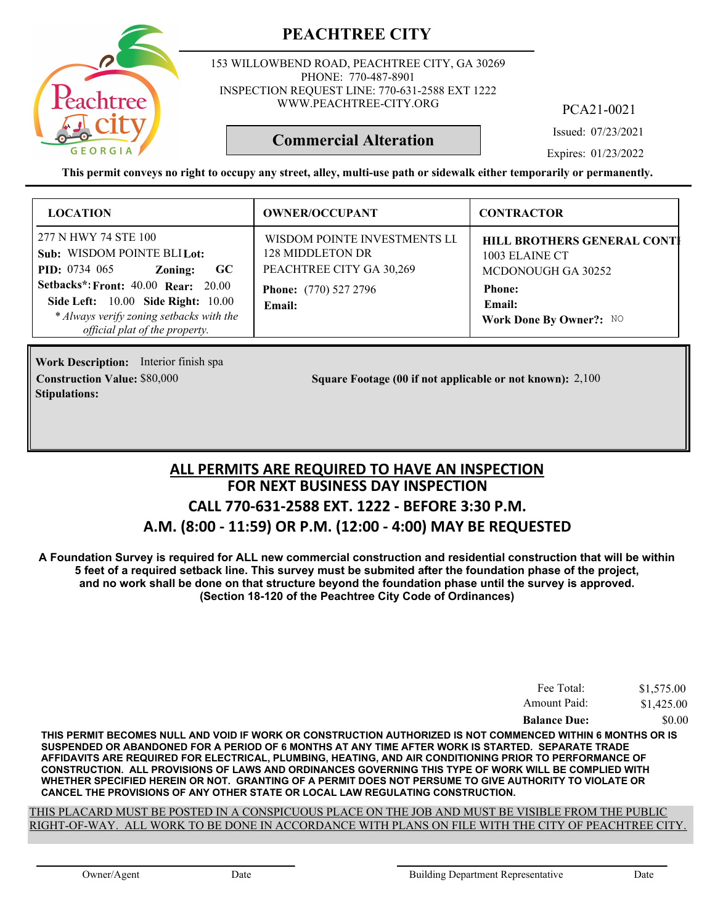

153 WILLOWBEND ROAD, PEACHTREE CITY, GA 30269 PHONE: 770-487-8901 INSPECTION REQUEST LINE: 770-631-2588 EXT 1222 WWW.PEACHTREE-CITY.ORG

PCA21-0021

Issued: 07/23/2021

Expires: 01/23/2022

**This permit conveys no right to occupy any street, alley, multi-use path or sidewalk either temporarily or permanently.**

**Commercial Alteration**

| <b>LOCATION</b>                                                                                                                                         | <b>OWNER/OCCUPANT</b>                                                        | <b>CONTRACTOR</b>                                                          |
|---------------------------------------------------------------------------------------------------------------------------------------------------------|------------------------------------------------------------------------------|----------------------------------------------------------------------------|
| 277 N HWY 74 STE 100<br>Sub: WISDOM POINTE BLILot:<br><b>PID:</b> $0734$ 065<br>$\bf GC$<br>Zoning:                                                     | WISDOM POINTE INVESTMENTS LI<br>128 MIDDLETON DR<br>PEACHTREE CITY GA 30,269 | <b>HILL BROTHERS GENERAL CONTI</b><br>1003 ELAINE CT<br>MCDONOUGH GA 30252 |
| Setbacks*: Front: 40.00 Rear: 20.00<br>Side Left: 10.00 Side Right: 10.00<br>* Always verify zoning setbacks with the<br>official plat of the property. | <b>Phone:</b> (770) 527 2796<br>Email:                                       | <b>Phone:</b><br><b>Email:</b><br>Work Done By Owner?: NO                  |

**Work Description:** Interior finish spa **Stipulations:**

**Construction Value:** \$80,000 2,100 **2,100** 2,100 **2,100** 2,100 **2,100** 2,100 **2,100** 2,100

#### **FOR NEXT BUSINESS DAY INSPECTION CALL 770-631-2588 EXT. 1222 - BEFORE 3:30 P.M. A.M. (8:00 - 11:59) OR P.M. (12:00 - 4:00) MAY BE REQUESTED ALL PERMITS ARE REQUIRED TO HAVE AN INSPECTION**

**A Foundation Survey is required for ALL new commercial construction and residential construction that will be within 5 feet of a required setback line. This survey must be submited after the foundation phase of the project, and no work shall be done on that structure beyond the foundation phase until the survey is approved. (Section 18-120 of the Peachtree City Code of Ordinances)**

| <b>Balance Due:</b> | \$0.00     |
|---------------------|------------|
| Amount Paid:        | \$1,425.00 |
| Fee Total:          | \$1,575.00 |

**THIS PERMIT BECOMES NULL AND VOID IF WORK OR CONSTRUCTION AUTHORIZED IS NOT COMMENCED WITHIN 6 MONTHS OR IS SUSPENDED OR ABANDONED FOR A PERIOD OF 6 MONTHS AT ANY TIME AFTER WORK IS STARTED. SEPARATE TRADE AFFIDAVITS ARE REQUIRED FOR ELECTRICAL, PLUMBING, HEATING, AND AIR CONDITIONING PRIOR TO PERFORMANCE OF CONSTRUCTION. ALL PROVISIONS OF LAWS AND ORDINANCES GOVERNING THIS TYPE OF WORK WILL BE COMPLIED WITH WHETHER SPECIFIED HEREIN OR NOT. GRANTING OF A PERMIT DOES NOT PERSUME TO GIVE AUTHORITY TO VIOLATE OR CANCEL THE PROVISIONS OF ANY OTHER STATE OR LOCAL LAW REGULATING CONSTRUCTION.**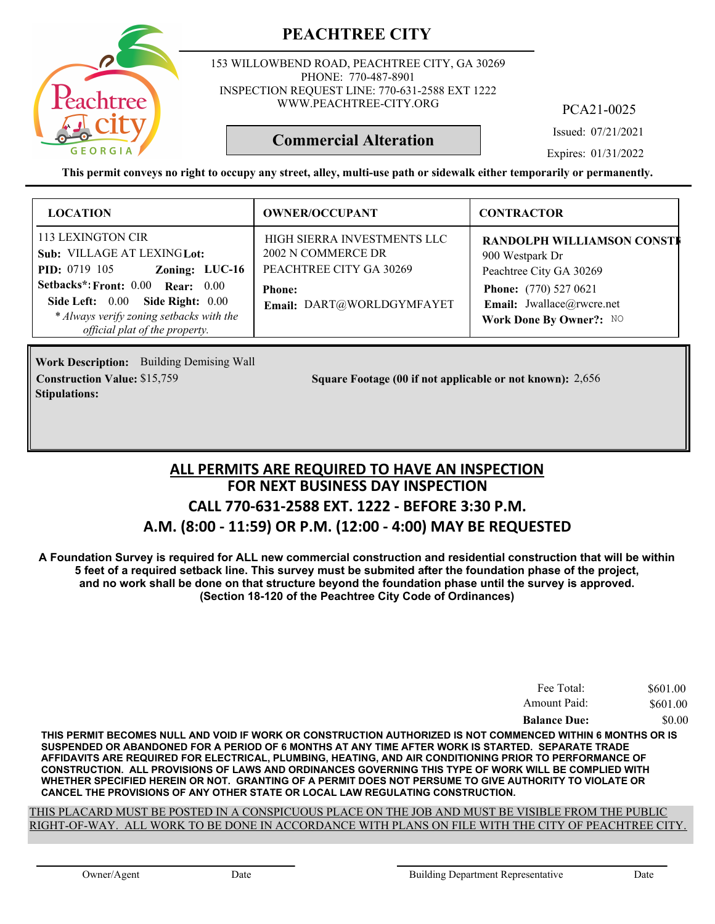153 WILLOWBEND ROAD, PEACHTREE CITY, GA 30269 PHONE: 770-487-8901 INSPECTION REQUEST LINE: 770-631-2588 EXT 1222 WWW.PEACHTREE-CITY.ORG

PCA21-0025

Issued: 07/21/2021

Expires: 01/31/2022

**This permit conveys no right to occupy any street, alley, multi-use path or sidewalk either temporarily or permanently.**

**Commercial Alteration**

| <b>LOCATION</b>                                                                                                                                                                                                                                      | <b>OWNER/OCCUPANT</b>                                                                                                      | <b>CONTRACTOR</b>                                                                                                                                                       |
|------------------------------------------------------------------------------------------------------------------------------------------------------------------------------------------------------------------------------------------------------|----------------------------------------------------------------------------------------------------------------------------|-------------------------------------------------------------------------------------------------------------------------------------------------------------------------|
| 113 LEXINGTON CIR<br>Sub: VILLAGE AT LEXING Lot:<br><b>PID:</b> 0719 105<br>Zoning: LUC-16<br>Setbacks*: Front: 0.00 Rear: 0.00<br>Side Right: 0.00<br>Side Left: 0.00<br>* Always verify zoning setbacks with the<br>official plat of the property. | HIGH SIERRA INVESTMENTS LLC<br>2002 N COMMERCE DR<br>PEACHTREE CITY GA 30269<br><b>Phone:</b><br>Email: DART@WORLDGYMFAYET | <b>RANDOLPH WILLIAMSON CONSTR</b><br>900 Westpark Dr<br>Peachtree City GA 30269<br><b>Phone:</b> (770) 527 0621<br>Email: Jwallace@rwcre.net<br>Work Done By Owner?: NO |

**Work Description:** Building Demising Wall **Stipulations:**

**Construction Value:** \$15,759 Square Footage (00 if not applicable or not known): 2,656

#### **FOR NEXT BUSINESS DAY INSPECTION CALL 770-631-2588 EXT. 1222 - BEFORE 3:30 P.M. A.M. (8:00 - 11:59) OR P.M. (12:00 - 4:00) MAY BE REQUESTED ALL PERMITS ARE REQUIRED TO HAVE AN INSPECTION**

**A Foundation Survey is required for ALL new commercial construction and residential construction that will be within 5 feet of a required setback line. This survey must be submited after the foundation phase of the project, and no work shall be done on that structure beyond the foundation phase until the survey is approved. (Section 18-120 of the Peachtree City Code of Ordinances)**

| Fee Total:          | \$601.00 |
|---------------------|----------|
| Amount Paid:        | \$601.00 |
| <b>Balance Due:</b> | \$0.00   |

**THIS PERMIT BECOMES NULL AND VOID IF WORK OR CONSTRUCTION AUTHORIZED IS NOT COMMENCED WITHIN 6 MONTHS OR IS SUSPENDED OR ABANDONED FOR A PERIOD OF 6 MONTHS AT ANY TIME AFTER WORK IS STARTED. SEPARATE TRADE AFFIDAVITS ARE REQUIRED FOR ELECTRICAL, PLUMBING, HEATING, AND AIR CONDITIONING PRIOR TO PERFORMANCE OF CONSTRUCTION. ALL PROVISIONS OF LAWS AND ORDINANCES GOVERNING THIS TYPE OF WORK WILL BE COMPLIED WITH WHETHER SPECIFIED HEREIN OR NOT. GRANTING OF A PERMIT DOES NOT PERSUME TO GIVE AUTHORITY TO VIOLATE OR CANCEL THE PROVISIONS OF ANY OTHER STATE OR LOCAL LAW REGULATING CONSTRUCTION.**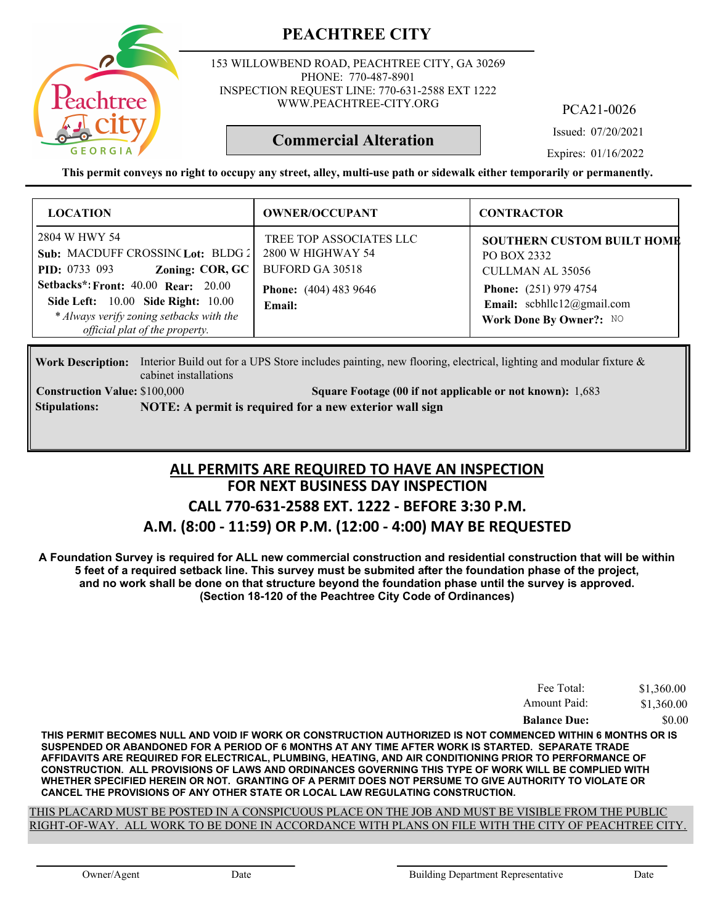

153 WILLOWBEND ROAD, PEACHTREE CITY, GA 30269 PHONE: 770-487-8901 INSPECTION REQUEST LINE: 770-631-2588 EXT 1222 WWW.PEACHTREE-CITY.ORG

PCA21-0026

Issued: 07/20/2021

Expires: 01/16/2022

**This permit conveys no right to occupy any street, alley, multi-use path or sidewalk either temporarily or permanently.**

**Commercial Alteration**

| <b>LOCATION</b>                                                                                                                                         | <b>OWNER/OCCUPANT</b>                                           | <b>CONTRACTOR</b>                                                                            |
|---------------------------------------------------------------------------------------------------------------------------------------------------------|-----------------------------------------------------------------|----------------------------------------------------------------------------------------------|
| 2804 W HWY 54<br>Sub: MACDUFF CROSSINCLot: BLDG 2<br>Zoning: COR, GC<br><b>PID:</b> 0733 093                                                            | TREE TOP ASSOCIATES LLC<br>2800 W HIGHWAY 54<br>BUFORD GA 30518 | <b>SOUTHERN CUSTOM BUILT HOME</b><br>PO BOX 2332<br><b>CULLMAN AL 35056</b>                  |
| Setbacks*: Front: 40.00 Rear: 20.00<br>Side Left: 10.00 Side Right: 10.00<br>* Always verify zoning setbacks with the<br>official plat of the property. | <b>Phone:</b> (404) 483 9646<br>Email:                          | <b>Phone:</b> (251) 979 4754<br><b>Email:</b> scbhllc12@gmail.com<br>Work Done By Owner?: NO |

Work Description: Interior Build out for a UPS Store includes painting, new flooring, electrical, lighting and modular fixture & cabinet installations

**Construction Value:** \$100,000 1,683 **Square Footage (00 if not applicable or not known):** 1,683 **Stipulations: NOTE: A permit is required for a new exterior wall sign**

### **FOR NEXT BUSINESS DAY INSPECTION CALL 770-631-2588 EXT. 1222 - BEFORE 3:30 P.M. A.M. (8:00 - 11:59) OR P.M. (12:00 - 4:00) MAY BE REQUESTED ALL PERMITS ARE REQUIRED TO HAVE AN INSPECTION**

**A Foundation Survey is required for ALL new commercial construction and residential construction that will be within 5 feet of a required setback line. This survey must be submited after the foundation phase of the project, and no work shall be done on that structure beyond the foundation phase until the survey is approved. (Section 18-120 of the Peachtree City Code of Ordinances)**

| Fee Total:          | \$1,360.00 |
|---------------------|------------|
| Amount Paid:        | \$1,360.00 |
| <b>Balance Due:</b> | \$0.00     |

**THIS PERMIT BECOMES NULL AND VOID IF WORK OR CONSTRUCTION AUTHORIZED IS NOT COMMENCED WITHIN 6 MONTHS OR IS SUSPENDED OR ABANDONED FOR A PERIOD OF 6 MONTHS AT ANY TIME AFTER WORK IS STARTED. SEPARATE TRADE AFFIDAVITS ARE REQUIRED FOR ELECTRICAL, PLUMBING, HEATING, AND AIR CONDITIONING PRIOR TO PERFORMANCE OF CONSTRUCTION. ALL PROVISIONS OF LAWS AND ORDINANCES GOVERNING THIS TYPE OF WORK WILL BE COMPLIED WITH WHETHER SPECIFIED HEREIN OR NOT. GRANTING OF A PERMIT DOES NOT PERSUME TO GIVE AUTHORITY TO VIOLATE OR CANCEL THE PROVISIONS OF ANY OTHER STATE OR LOCAL LAW REGULATING CONSTRUCTION.**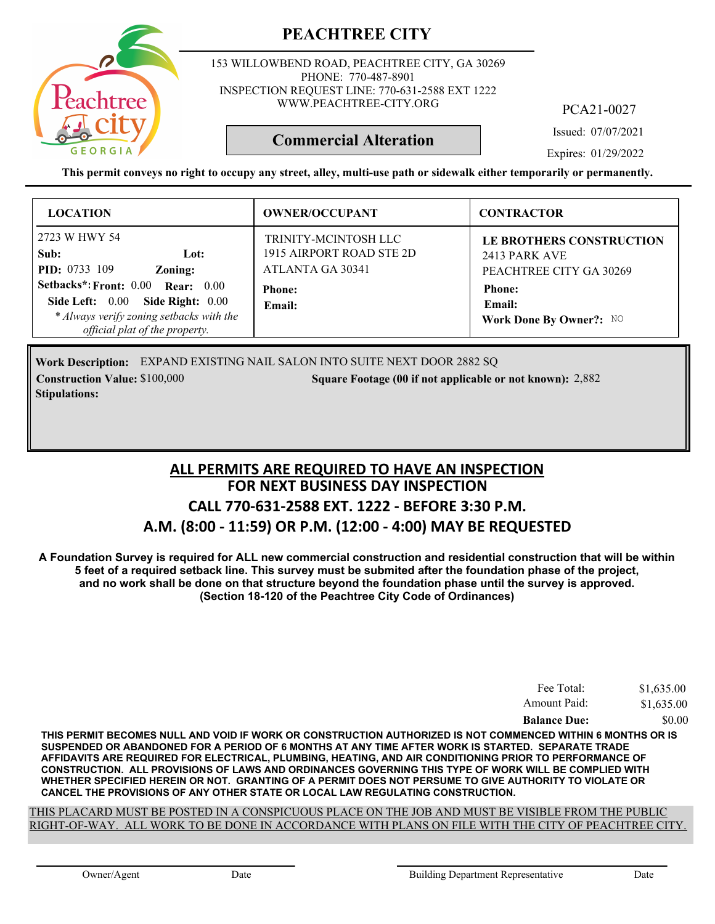

153 WILLOWBEND ROAD, PEACHTREE CITY, GA 30269 PHONE: 770-487-8901 INSPECTION REQUEST LINE: 770-631-2588 EXT 1222 WWW.PEACHTREE-CITY.ORG

PCA21-0027

Issued: 07/07/2021

Expires: 01/29/2022

**This permit conveys no right to occupy any street, alley, multi-use path or sidewalk either temporarily or permanently.**

**Commercial Alteration**

| <b>LOCATION</b>                                                                                                                                                                                                         | <b>OWNER/OCCUPANT</b>                                                                           | <b>CONTRACTOR</b>                                                                                                                 |
|-------------------------------------------------------------------------------------------------------------------------------------------------------------------------------------------------------------------------|-------------------------------------------------------------------------------------------------|-----------------------------------------------------------------------------------------------------------------------------------|
| 2723 W HWY 54<br>Sub:<br>Lot:<br><b>PID:</b> 0733 109<br>Zoning:<br>Setbacks*: Front: 0.00 Rear: 0.00<br>Side Left: 0.00 Side Right: 0.00<br>* Always verify zoning setbacks with the<br>official plat of the property. | TRINITY-MCINTOSH LLC<br>1915 AIRPORT ROAD STE 2D<br>ATLANTA GA 30341<br><b>Phone:</b><br>Email: | <b>LE BROTHERS CONSTRUCTION</b><br>2413 PARK AVE<br>PEACHTREE CITY GA 30269<br><b>Phone:</b><br>Email:<br>Work Done By Owner?: NO |

EXPAND EXISTING NAIL SALON INTO SUITE NEXT DOOR 2882 SQ **Work Description: Construction Value: Square Footage (00 if not applicable or not known):** \$100,000 2,882 **Stipulations:**

#### **FOR NEXT BUSINESS DAY INSPECTION CALL 770-631-2588 EXT. 1222 - BEFORE 3:30 P.M. A.M. (8:00 - 11:59) OR P.M. (12:00 - 4:00) MAY BE REQUESTED ALL PERMITS ARE REQUIRED TO HAVE AN INSPECTION**

**A Foundation Survey is required for ALL new commercial construction and residential construction that will be within 5 feet of a required setback line. This survey must be submited after the foundation phase of the project, and no work shall be done on that structure beyond the foundation phase until the survey is approved. (Section 18-120 of the Peachtree City Code of Ordinances)**

| Fee Total:          | \$1,635.00 |
|---------------------|------------|
| Amount Paid:        | \$1,635.00 |
| <b>Balance Due:</b> | \$0.00     |

**THIS PERMIT BECOMES NULL AND VOID IF WORK OR CONSTRUCTION AUTHORIZED IS NOT COMMENCED WITHIN 6 MONTHS OR IS SUSPENDED OR ABANDONED FOR A PERIOD OF 6 MONTHS AT ANY TIME AFTER WORK IS STARTED. SEPARATE TRADE AFFIDAVITS ARE REQUIRED FOR ELECTRICAL, PLUMBING, HEATING, AND AIR CONDITIONING PRIOR TO PERFORMANCE OF CONSTRUCTION. ALL PROVISIONS OF LAWS AND ORDINANCES GOVERNING THIS TYPE OF WORK WILL BE COMPLIED WITH WHETHER SPECIFIED HEREIN OR NOT. GRANTING OF A PERMIT DOES NOT PERSUME TO GIVE AUTHORITY TO VIOLATE OR CANCEL THE PROVISIONS OF ANY OTHER STATE OR LOCAL LAW REGULATING CONSTRUCTION.**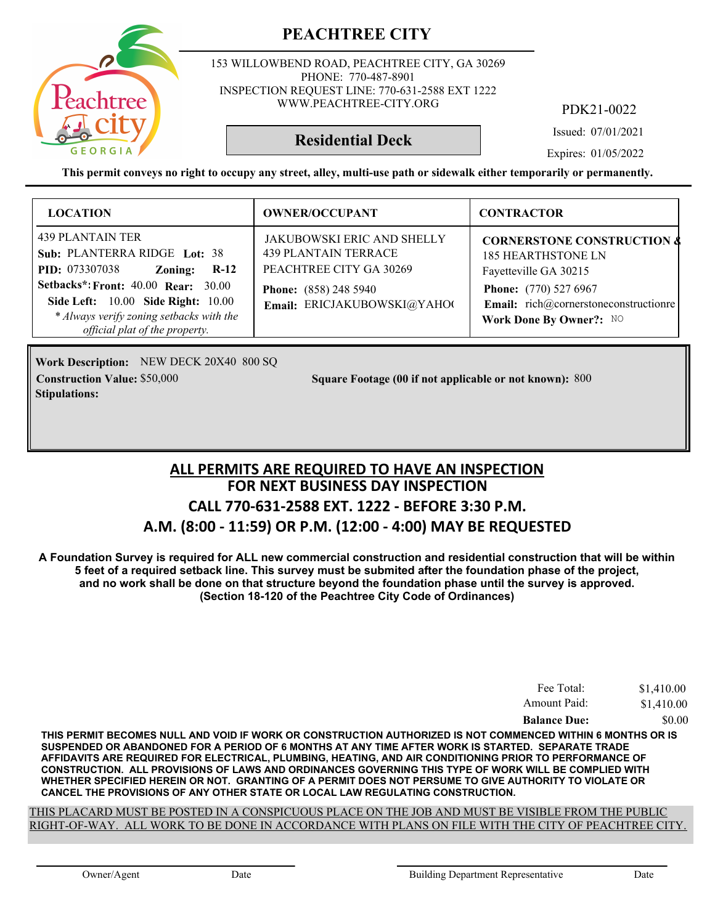153 WILLOWBEND ROAD, PEACHTREE CITY, GA 30269 PHONE: 770-487-8901 INSPECTION REQUEST LINE: 770-631-2588 EXT 1222 WWW.PEACHTREE-CITY.ORG

PDK21-0022

Issued: 07/01/2021

Expires: 01/05/2022

**This permit conveys no right to occupy any street, alley, multi-use path or sidewalk either temporarily or permanently.**

**Residential Deck**

| <b>LOCATION</b>                                                                                                                                                                                                                                                         | <b>OWNER/OCCUPANT</b>                                                                                                                              | <b>CONTRACTOR</b>                                                                                                                                                                        |
|-------------------------------------------------------------------------------------------------------------------------------------------------------------------------------------------------------------------------------------------------------------------------|----------------------------------------------------------------------------------------------------------------------------------------------------|------------------------------------------------------------------------------------------------------------------------------------------------------------------------------------------|
| <b>439 PLANTAIN TER</b><br>Sub: PLANTERRA RIDGE Lot: 38<br><b>PID:</b> 073307038<br>$R-12$<br>Zoning:<br><b>Setbacks*: Front: 40.00 Rear: 30.00</b><br>Side Left: 10.00 Side Right: 10.00<br>* Always verify zoning setbacks with the<br>official plat of the property. | JAKUBOWSKI ERIC AND SHELLY<br><b>439 PLANTAIN TERRACE</b><br>PEACHTREE CITY GA 30269<br><b>Phone:</b> (858) 248 5940<br>Email: ERICJAKUBOWSKI@YAHO | <b>CORNERSTONE CONSTRUCTION &amp;</b><br><b>185 HEARTHSTONE LN</b><br>Fayetteville GA 30215<br>Phone: (770) 527 6967<br>Email: rich@cornerstoneconstructionre<br>Work Done By Owner?: NO |

**Work Description:** NEW DECK 20X40 800 SQ **Stipulations:**

**Construction Value: Square Footage (00 if not applicable or not known):** \$50,000 800

#### **FOR NEXT BUSINESS DAY INSPECTION CALL 770-631-2588 EXT. 1222 - BEFORE 3:30 P.M. A.M. (8:00 - 11:59) OR P.M. (12:00 - 4:00) MAY BE REQUESTED ALL PERMITS ARE REQUIRED TO HAVE AN INSPECTION**

**A Foundation Survey is required for ALL new commercial construction and residential construction that will be within 5 feet of a required setback line. This survey must be submited after the foundation phase of the project, and no work shall be done on that structure beyond the foundation phase until the survey is approved. (Section 18-120 of the Peachtree City Code of Ordinances)**

| Fee Total:          | \$1,410.00 |
|---------------------|------------|
| Amount Paid:        | \$1,410.00 |
| <b>Balance Due:</b> | \$0.00     |

**THIS PERMIT BECOMES NULL AND VOID IF WORK OR CONSTRUCTION AUTHORIZED IS NOT COMMENCED WITHIN 6 MONTHS OR IS SUSPENDED OR ABANDONED FOR A PERIOD OF 6 MONTHS AT ANY TIME AFTER WORK IS STARTED. SEPARATE TRADE AFFIDAVITS ARE REQUIRED FOR ELECTRICAL, PLUMBING, HEATING, AND AIR CONDITIONING PRIOR TO PERFORMANCE OF CONSTRUCTION. ALL PROVISIONS OF LAWS AND ORDINANCES GOVERNING THIS TYPE OF WORK WILL BE COMPLIED WITH WHETHER SPECIFIED HEREIN OR NOT. GRANTING OF A PERMIT DOES NOT PERSUME TO GIVE AUTHORITY TO VIOLATE OR CANCEL THE PROVISIONS OF ANY OTHER STATE OR LOCAL LAW REGULATING CONSTRUCTION.**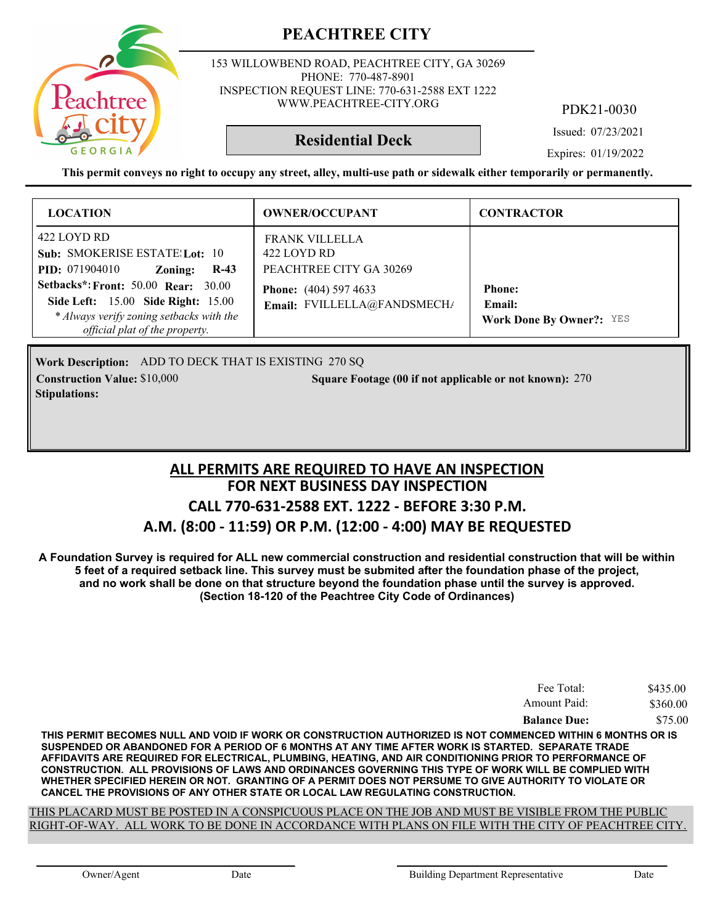

153 WILLOWBEND ROAD, PEACHTREE CITY, GA 30269 PHONE: 770-487-8901 INSPECTION REQUEST LINE: 770-631-2588 EXT 1222 WWW.PEACHTREE-CITY.ORG

PDK21-0030

Issued: 07/23/2021

#### **Residential Deck**

Expires: 01/19/2022

**This permit conveys no right to occupy any street, alley, multi-use path or sidewalk either temporarily or permanently.**

| <b>LOCATION</b>                                                                                                                                                                                                                                                            | <b>OWNER/OCCUPANT</b>                                                                                                          | <b>CONTRACTOR</b>                                          |
|----------------------------------------------------------------------------------------------------------------------------------------------------------------------------------------------------------------------------------------------------------------------------|--------------------------------------------------------------------------------------------------------------------------------|------------------------------------------------------------|
| 422 LOYD RD<br>Sub: SMOKERISE ESTATE Lot: 10<br><b>PID:</b> 071904010<br>$R-43$<br>Zoning:<br><b>Setbacks*: Front: 50.00 Rear: 30.00</b><br><b>Side Left:</b> 15.00 <b>Side Right:</b> 15.00<br>* Always verify zoning setbacks with the<br>official plat of the property. | <b>FRANK VILLELLA</b><br>422 LOYD RD<br>PEACHTREE CITY GA 30269<br><b>Phone:</b> (404) 597 4633<br>Email: FVILLELLA@FANDSMECH/ | <b>Phone:</b><br>Email:<br><b>Work Done By Owner?:</b> YES |

Work Description: ADD TO DECK THAT IS EXISTING 270 SQ **Construction Value: Square Footage (00 if not applicable or not known):** \$10,000 270 **Stipulations:**

#### **FOR NEXT BUSINESS DAY INSPECTION CALL 770-631-2588 EXT. 1222 - BEFORE 3:30 P.M. A.M. (8:00 - 11:59) OR P.M. (12:00 - 4:00) MAY BE REQUESTED ALL PERMITS ARE REQUIRED TO HAVE AN INSPECTION**

**A Foundation Survey is required for ALL new commercial construction and residential construction that will be within 5 feet of a required setback line. This survey must be submited after the foundation phase of the project, and no work shall be done on that structure beyond the foundation phase until the survey is approved. (Section 18-120 of the Peachtree City Code of Ordinances)**

| Fee Total:          | \$435.00 |
|---------------------|----------|
| Amount Paid:        | \$360.00 |
| <b>Balance Due:</b> | \$75.00  |

**THIS PERMIT BECOMES NULL AND VOID IF WORK OR CONSTRUCTION AUTHORIZED IS NOT COMMENCED WITHIN 6 MONTHS OR IS SUSPENDED OR ABANDONED FOR A PERIOD OF 6 MONTHS AT ANY TIME AFTER WORK IS STARTED. SEPARATE TRADE AFFIDAVITS ARE REQUIRED FOR ELECTRICAL, PLUMBING, HEATING, AND AIR CONDITIONING PRIOR TO PERFORMANCE OF CONSTRUCTION. ALL PROVISIONS OF LAWS AND ORDINANCES GOVERNING THIS TYPE OF WORK WILL BE COMPLIED WITH WHETHER SPECIFIED HEREIN OR NOT. GRANTING OF A PERMIT DOES NOT PERSUME TO GIVE AUTHORITY TO VIOLATE OR CANCEL THE PROVISIONS OF ANY OTHER STATE OR LOCAL LAW REGULATING CONSTRUCTION.**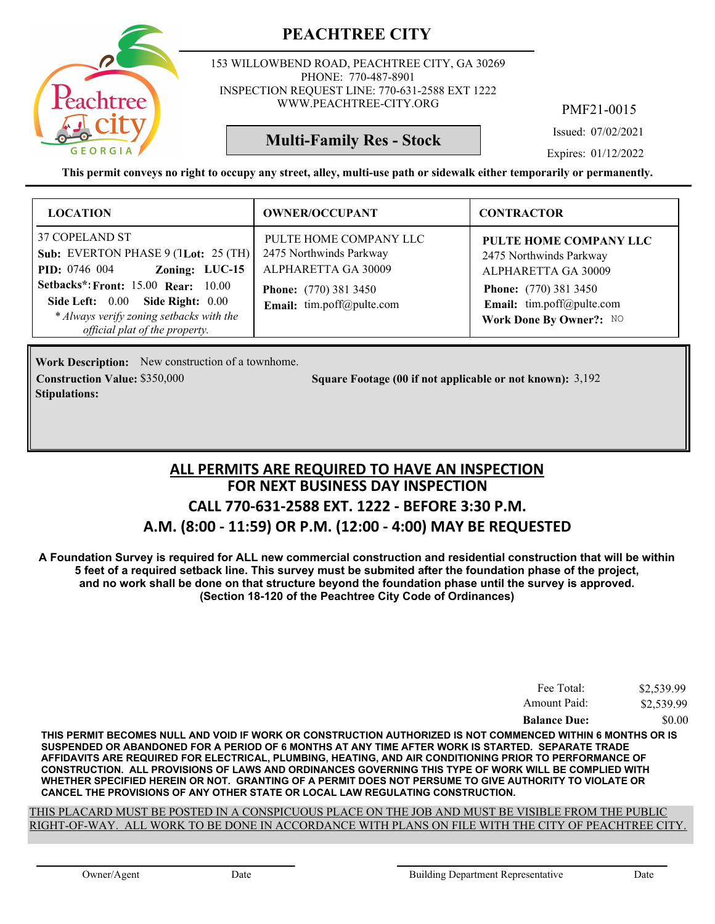

153 WILLOWBEND ROAD, PEACHTREE CITY, GA 30269 PHONE: 770-487-8901 INSPECTION REQUEST LINE: 770-631-2588 EXT 1222 WWW.PEACHTREE-CITY.ORG

PMF21-0015

Issued: 07/02/2021

**Multi-Family Res - Stock**

Expires: 01/12/2022

**This permit conveys no right to occupy any street, alley, multi-use path or sidewalk either temporarily or permanently.**

| <b>LOCATION</b>                                                                                                                                                                                                                                                 | <b>OWNER/OCCUPANT</b>                                                                                                                 | <b>CONTRACTOR</b>                                                                                                                                                |
|-----------------------------------------------------------------------------------------------------------------------------------------------------------------------------------------------------------------------------------------------------------------|---------------------------------------------------------------------------------------------------------------------------------------|------------------------------------------------------------------------------------------------------------------------------------------------------------------|
| 37 COPELAND ST<br>Sub: EVERTON PHASE 9 (1Lot: 25 (TH)<br>Zoning: LUC-15<br><b>PID:</b> 0746 004<br><b>Setbacks*: Front: 15.00 Rear: 10.00</b><br>Side Left: 0.00 Side Right: 0.00<br>* Always verify zoning setbacks with the<br>official plat of the property. | PULTE HOME COMPANY LLC<br>2475 Northwinds Parkway<br>ALPHARETTA GA 30009<br><b>Phone:</b> (770) 381 3450<br>Email: tim.poff@pulte.com | PULTE HOME COMPANY LLC<br>2475 Northwinds Parkway<br>ALPHARETTA GA 30009<br><b>Phone:</b> (770) 381 3450<br>Email: tim.poff@pulte.com<br>Work Done By Owner?: NO |

Work Description: New construction of a townhome. **Stipulations:**

**Construction Value:** \$350,000 3,192 **Square Footage (00 if not applicable or not known):** 3,192

#### **FOR NEXT BUSINESS DAY INSPECTION CALL 770-631-2588 EXT. 1222 - BEFORE 3:30 P.M. A.M. (8:00 - 11:59) OR P.M. (12:00 - 4:00) MAY BE REQUESTED ALL PERMITS ARE REQUIRED TO HAVE AN INSPECTION**

**A Foundation Survey is required for ALL new commercial construction and residential construction that will be within 5 feet of a required setback line. This survey must be submited after the foundation phase of the project, and no work shall be done on that structure beyond the foundation phase until the survey is approved. (Section 18-120 of the Peachtree City Code of Ordinances)**

| <b>Balance Due:</b> | \$0.00     |
|---------------------|------------|
| Amount Paid:        | \$2,539.99 |
| Fee Total:          | \$2,539.99 |

**THIS PERMIT BECOMES NULL AND VOID IF WORK OR CONSTRUCTION AUTHORIZED IS NOT COMMENCED WITHIN 6 MONTHS OR IS SUSPENDED OR ABANDONED FOR A PERIOD OF 6 MONTHS AT ANY TIME AFTER WORK IS STARTED. SEPARATE TRADE AFFIDAVITS ARE REQUIRED FOR ELECTRICAL, PLUMBING, HEATING, AND AIR CONDITIONING PRIOR TO PERFORMANCE OF CONSTRUCTION. ALL PROVISIONS OF LAWS AND ORDINANCES GOVERNING THIS TYPE OF WORK WILL BE COMPLIED WITH WHETHER SPECIFIED HEREIN OR NOT. GRANTING OF A PERMIT DOES NOT PERSUME TO GIVE AUTHORITY TO VIOLATE OR CANCEL THE PROVISIONS OF ANY OTHER STATE OR LOCAL LAW REGULATING CONSTRUCTION.**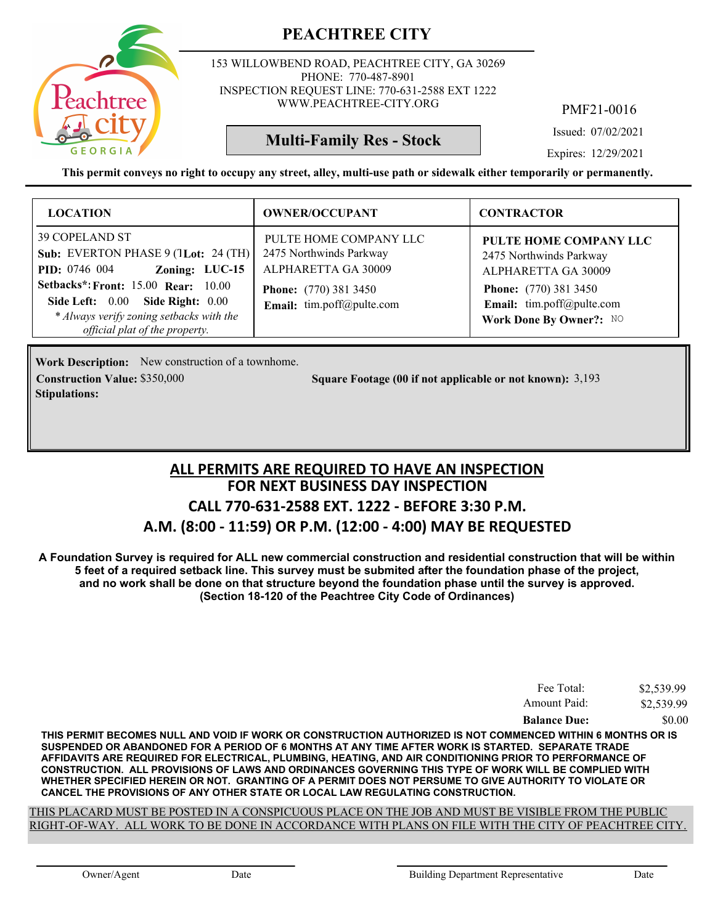

153 WILLOWBEND ROAD, PEACHTREE CITY, GA 30269 PHONE: 770-487-8901 INSPECTION REQUEST LINE: 770-631-2588 EXT 1222 WWW.PEACHTREE-CITY.ORG

PMF21-0016

Issued: 07/02/2021

Expires: 12/29/2021

**This permit conveys no right to occupy any street, alley, multi-use path or sidewalk either temporarily or permanently.**

**Multi-Family Res - Stock**

| <b>LOCATION</b>                                                                                                                                                                                                                                                        | <b>OWNER/OCCUPANT</b>                                                                                                                 | <b>CONTRACTOR</b>                                                                                                                                                |
|------------------------------------------------------------------------------------------------------------------------------------------------------------------------------------------------------------------------------------------------------------------------|---------------------------------------------------------------------------------------------------------------------------------------|------------------------------------------------------------------------------------------------------------------------------------------------------------------|
| <b>39 COPELAND ST</b><br>Sub: EVERTON PHASE 9 (1Lot: 24 (TH)<br>Zoning: LUC-15<br><b>PID:</b> 0746 004<br><b>Setbacks*: Front: 15.00 Rear: 10.00</b><br>Side Left: 0.00 Side Right: 0.00<br>* Always verify zoning setbacks with the<br>official plat of the property. | PULTE HOME COMPANY LLC<br>2475 Northwinds Parkway<br>ALPHARETTA GA 30009<br><b>Phone:</b> (770) 381 3450<br>Email: tim.poff@pulte.com | PULTE HOME COMPANY LLC<br>2475 Northwinds Parkway<br>ALPHARETTA GA 30009<br><b>Phone:</b> (770) 381 3450<br>Email: tim.poff@pulte.com<br>Work Done By Owner?: NO |

Work Description: New construction of a townhome. **Stipulations:**

**Construction Value:** \$350,000 3,193

#### **FOR NEXT BUSINESS DAY INSPECTION CALL 770-631-2588 EXT. 1222 - BEFORE 3:30 P.M. A.M. (8:00 - 11:59) OR P.M. (12:00 - 4:00) MAY BE REQUESTED ALL PERMITS ARE REQUIRED TO HAVE AN INSPECTION**

**A Foundation Survey is required for ALL new commercial construction and residential construction that will be within 5 feet of a required setback line. This survey must be submited after the foundation phase of the project, and no work shall be done on that structure beyond the foundation phase until the survey is approved. (Section 18-120 of the Peachtree City Code of Ordinances)**

| Amount Paid: | \$2,539.99 |
|--------------|------------|
|              | \$0.00     |

**THIS PERMIT BECOMES NULL AND VOID IF WORK OR CONSTRUCTION AUTHORIZED IS NOT COMMENCED WITHIN 6 MONTHS OR IS SUSPENDED OR ABANDONED FOR A PERIOD OF 6 MONTHS AT ANY TIME AFTER WORK IS STARTED. SEPARATE TRADE AFFIDAVITS ARE REQUIRED FOR ELECTRICAL, PLUMBING, HEATING, AND AIR CONDITIONING PRIOR TO PERFORMANCE OF CONSTRUCTION. ALL PROVISIONS OF LAWS AND ORDINANCES GOVERNING THIS TYPE OF WORK WILL BE COMPLIED WITH WHETHER SPECIFIED HEREIN OR NOT. GRANTING OF A PERMIT DOES NOT PERSUME TO GIVE AUTHORITY TO VIOLATE OR CANCEL THE PROVISIONS OF ANY OTHER STATE OR LOCAL LAW REGULATING CONSTRUCTION.**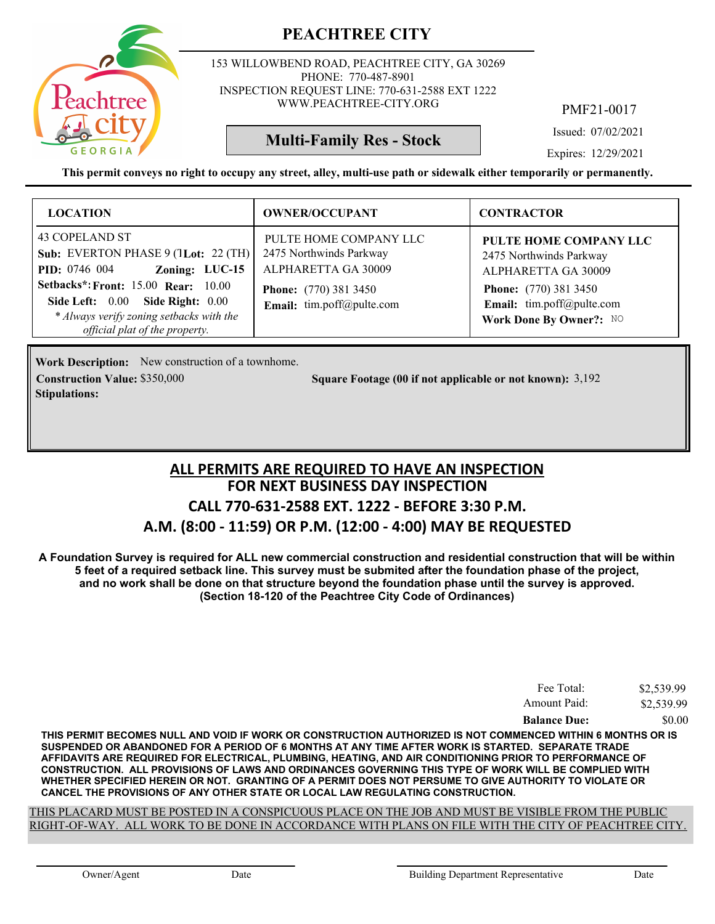

153 WILLOWBEND ROAD, PEACHTREE CITY, GA 30269 PHONE: 770-487-8901 INSPECTION REQUEST LINE: 770-631-2588 EXT 1222 WWW.PEACHTREE-CITY.ORG

PMF21-0017

Issued: 07/02/2021

Expires: 12/29/2021

**This permit conveys no right to occupy any street, alley, multi-use path or sidewalk either temporarily or permanently.**

**Multi-Family Res - Stock**

| <b>LOCATION</b>                                                                                                                                                                                                       | <b>OWNER/OCCUPANT</b>                                                                                                                 | <b>CONTRACTOR</b>                                                                                                                                                |
|-----------------------------------------------------------------------------------------------------------------------------------------------------------------------------------------------------------------------|---------------------------------------------------------------------------------------------------------------------------------------|------------------------------------------------------------------------------------------------------------------------------------------------------------------|
| 43 COPELAND ST<br>Sub: EVERTON PHASE 9 (1Lot: 22 (TH)<br><b>Setbacks*: Front: 15.00 Rear: 10.00</b><br>Side Left: 0.00 Side Right: 0.00<br>* Always verify zoning setbacks with the<br>official plat of the property. | PULTE HOME COMPANY LLC<br>2475 Northwinds Parkway<br>ALPHARETTA GA 30009<br><b>Phone:</b> (770) 381 3450<br>Email: tim.poff@pulte.com | PULTE HOME COMPANY LLC<br>2475 Northwinds Parkway<br>ALPHARETTA GA 30009<br><b>Phone:</b> (770) 381 3450<br>Email: tim.poff@pulte.com<br>Work Done By Owner?: NO |

Work Description: New construction of a townhome. **Stipulations:**

**Construction Value:** \$350,000 3,192 **Square Footage (00 if not applicable or not known):** 3,192

#### **FOR NEXT BUSINESS DAY INSPECTION CALL 770-631-2588 EXT. 1222 - BEFORE 3:30 P.M. A.M. (8:00 - 11:59) OR P.M. (12:00 - 4:00) MAY BE REQUESTED ALL PERMITS ARE REQUIRED TO HAVE AN INSPECTION**

**A Foundation Survey is required for ALL new commercial construction and residential construction that will be within 5 feet of a required setback line. This survey must be submited after the foundation phase of the project, and no work shall be done on that structure beyond the foundation phase until the survey is approved. (Section 18-120 of the Peachtree City Code of Ordinances)**

| Amount Paid: | \$2,539.99 |
|--------------|------------|
|              | \$0.00     |

**THIS PERMIT BECOMES NULL AND VOID IF WORK OR CONSTRUCTION AUTHORIZED IS NOT COMMENCED WITHIN 6 MONTHS OR IS SUSPENDED OR ABANDONED FOR A PERIOD OF 6 MONTHS AT ANY TIME AFTER WORK IS STARTED. SEPARATE TRADE AFFIDAVITS ARE REQUIRED FOR ELECTRICAL, PLUMBING, HEATING, AND AIR CONDITIONING PRIOR TO PERFORMANCE OF CONSTRUCTION. ALL PROVISIONS OF LAWS AND ORDINANCES GOVERNING THIS TYPE OF WORK WILL BE COMPLIED WITH WHETHER SPECIFIED HEREIN OR NOT. GRANTING OF A PERMIT DOES NOT PERSUME TO GIVE AUTHORITY TO VIOLATE OR CANCEL THE PROVISIONS OF ANY OTHER STATE OR LOCAL LAW REGULATING CONSTRUCTION.**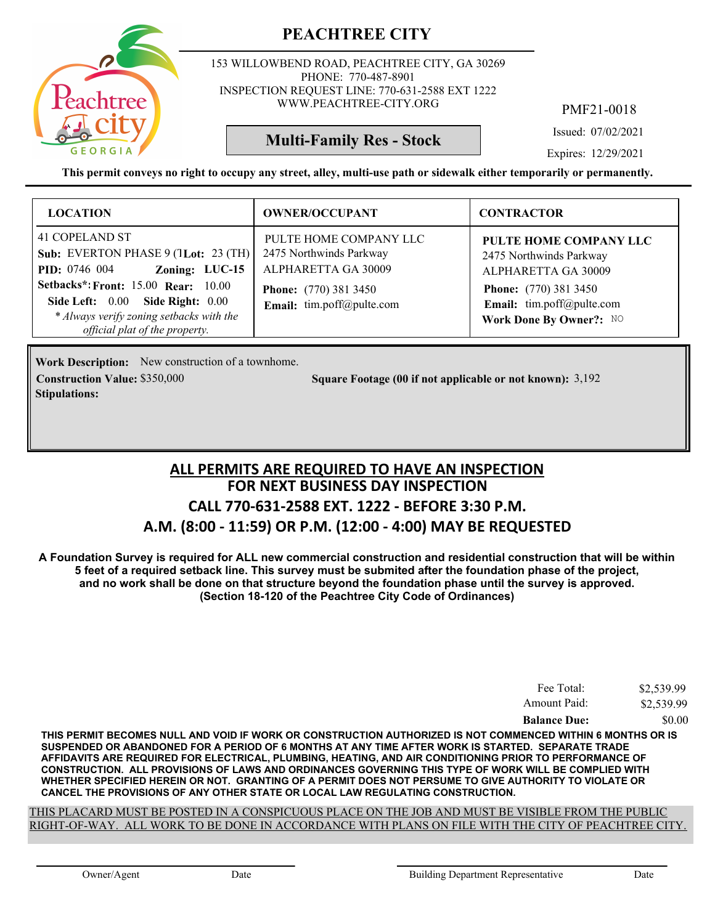

153 WILLOWBEND ROAD, PEACHTREE CITY, GA 30269 PHONE: 770-487-8901 INSPECTION REQUEST LINE: 770-631-2588 EXT 1222 WWW.PEACHTREE-CITY.ORG

PMF21-0018

Issued: 07/02/2021

**Multi-Family Res - Stock**

Expires: 12/29/2021

**This permit conveys no right to occupy any street, alley, multi-use path or sidewalk either temporarily or permanently.**

| <b>LOCATION</b>                                                                                                                                                                                                                                                    | <b>OWNER/OCCUPANT</b>                                                                                                                 | <b>CONTRACTOR</b>                                                                                                                                                |
|--------------------------------------------------------------------------------------------------------------------------------------------------------------------------------------------------------------------------------------------------------------------|---------------------------------------------------------------------------------------------------------------------------------------|------------------------------------------------------------------------------------------------------------------------------------------------------------------|
| 41 COPELAND ST<br>Sub: EVERTON PHASE 9 (1Lot: 23 (TH)<br>Zoning: LUC-15<br><b>PID:</b> $0746\,004$<br><b>Setbacks*: Front: 15.00 Rear: 10.00</b><br>Side Left: 0.00 Side Right: 0.00<br>* Always verify zoning setbacks with the<br>official plat of the property. | PULTE HOME COMPANY LLC<br>2475 Northwinds Parkway<br>ALPHARETTA GA 30009<br><b>Phone:</b> (770) 381 3450<br>Email: tim.poff@pulte.com | PULTE HOME COMPANY LLC<br>2475 Northwinds Parkway<br>ALPHARETTA GA 30009<br><b>Phone:</b> (770) 381 3450<br>Email: tim.poff@pulte.com<br>Work Done By Owner?: NO |

Work Description: New construction of a townhome. **Stipulations:**

**Construction Value:** \$350,000 3,192 **Square Footage (00 if not applicable or not known):** 3,192

#### **FOR NEXT BUSINESS DAY INSPECTION CALL 770-631-2588 EXT. 1222 - BEFORE 3:30 P.M. A.M. (8:00 - 11:59) OR P.M. (12:00 - 4:00) MAY BE REQUESTED ALL PERMITS ARE REQUIRED TO HAVE AN INSPECTION**

**A Foundation Survey is required for ALL new commercial construction and residential construction that will be within 5 feet of a required setback line. This survey must be submited after the foundation phase of the project, and no work shall be done on that structure beyond the foundation phase until the survey is approved. (Section 18-120 of the Peachtree City Code of Ordinances)**

| <b>Balance Due:</b> | \$0.00     |
|---------------------|------------|
| Amount Paid:        | \$2,539.99 |
| Fee Total:          | \$2,539.99 |

**THIS PERMIT BECOMES NULL AND VOID IF WORK OR CONSTRUCTION AUTHORIZED IS NOT COMMENCED WITHIN 6 MONTHS OR IS SUSPENDED OR ABANDONED FOR A PERIOD OF 6 MONTHS AT ANY TIME AFTER WORK IS STARTED. SEPARATE TRADE AFFIDAVITS ARE REQUIRED FOR ELECTRICAL, PLUMBING, HEATING, AND AIR CONDITIONING PRIOR TO PERFORMANCE OF CONSTRUCTION. ALL PROVISIONS OF LAWS AND ORDINANCES GOVERNING THIS TYPE OF WORK WILL BE COMPLIED WITH WHETHER SPECIFIED HEREIN OR NOT. GRANTING OF A PERMIT DOES NOT PERSUME TO GIVE AUTHORITY TO VIOLATE OR CANCEL THE PROVISIONS OF ANY OTHER STATE OR LOCAL LAW REGULATING CONSTRUCTION.**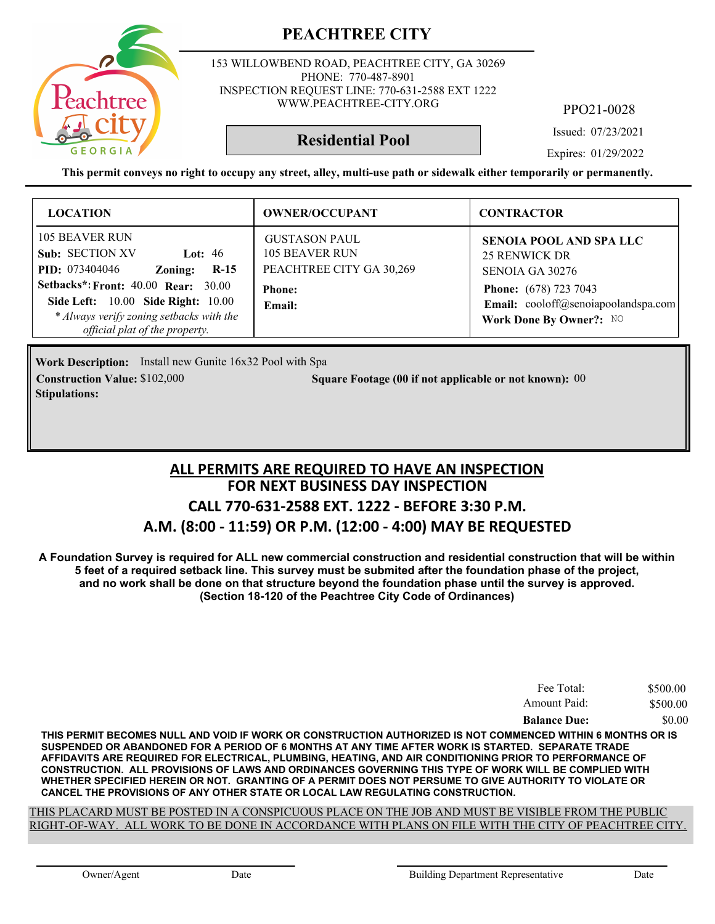

153 WILLOWBEND ROAD, PEACHTREE CITY, GA 30269 PHONE: 770-487-8901 INSPECTION REQUEST LINE: 770-631-2588 EXT 1222 WWW.PEACHTREE-CITY.ORG

PPO21-0028

Issued: 07/23/2021

#### **Residential Pool**

Expires: 01/29/2022

**This permit conveys no right to occupy any street, alley, multi-use path or sidewalk either temporarily or permanently.**

| <b>LOCATION</b>                                                                                                                                                                                                                                                       | <b>OWNER/OCCUPANT</b>                                                                                | <b>CONTRACTOR</b>                                                                                                                                                           |
|-----------------------------------------------------------------------------------------------------------------------------------------------------------------------------------------------------------------------------------------------------------------------|------------------------------------------------------------------------------------------------------|-----------------------------------------------------------------------------------------------------------------------------------------------------------------------------|
| <b>105 BEAVER RUN</b><br>Sub: SECTION XV<br>Lot: $46$<br><b>PID:</b> 073404046<br>$R-15$<br>Zoning:<br><b>Setbacks*: Front: 40.00 Rear: 30.00</b><br>Side Left: 10.00 Side Right: 10.00<br>* Always verify zoning setbacks with the<br>official plat of the property. | <b>GUSTASON PAUL</b><br><b>105 BEAVER RUN</b><br>PEACHTREE CITY GA 30,269<br><b>Phone:</b><br>Email: | <b>SENOIA POOL AND SPA LLC</b><br><b>25 RENWICK DR</b><br>SENOIA GA 30276<br><b>Phone:</b> (678) 723 7043<br>Email: cooloff@senoiapoolandspa.com<br>Work Done By Owner?: NO |

**Work Description:** Install new Gunite 16x32 Pool with Spa **Construction Value:** \$102,000 **000 Square Footage (00 if not applicable or not known):** 00 **Stipulations:**

#### **FOR NEXT BUSINESS DAY INSPECTION CALL 770-631-2588 EXT. 1222 - BEFORE 3:30 P.M. A.M. (8:00 - 11:59) OR P.M. (12:00 - 4:00) MAY BE REQUESTED ALL PERMITS ARE REQUIRED TO HAVE AN INSPECTION**

**A Foundation Survey is required for ALL new commercial construction and residential construction that will be within 5 feet of a required setback line. This survey must be submited after the foundation phase of the project, and no work shall be done on that structure beyond the foundation phase until the survey is approved. (Section 18-120 of the Peachtree City Code of Ordinances)**

| Fee Total:          | \$500.00 |
|---------------------|----------|
| Amount Paid:        | \$500.00 |
| <b>Balance Due:</b> | \$0.00   |

**THIS PERMIT BECOMES NULL AND VOID IF WORK OR CONSTRUCTION AUTHORIZED IS NOT COMMENCED WITHIN 6 MONTHS OR IS SUSPENDED OR ABANDONED FOR A PERIOD OF 6 MONTHS AT ANY TIME AFTER WORK IS STARTED. SEPARATE TRADE AFFIDAVITS ARE REQUIRED FOR ELECTRICAL, PLUMBING, HEATING, AND AIR CONDITIONING PRIOR TO PERFORMANCE OF CONSTRUCTION. ALL PROVISIONS OF LAWS AND ORDINANCES GOVERNING THIS TYPE OF WORK WILL BE COMPLIED WITH WHETHER SPECIFIED HEREIN OR NOT. GRANTING OF A PERMIT DOES NOT PERSUME TO GIVE AUTHORITY TO VIOLATE OR CANCEL THE PROVISIONS OF ANY OTHER STATE OR LOCAL LAW REGULATING CONSTRUCTION.**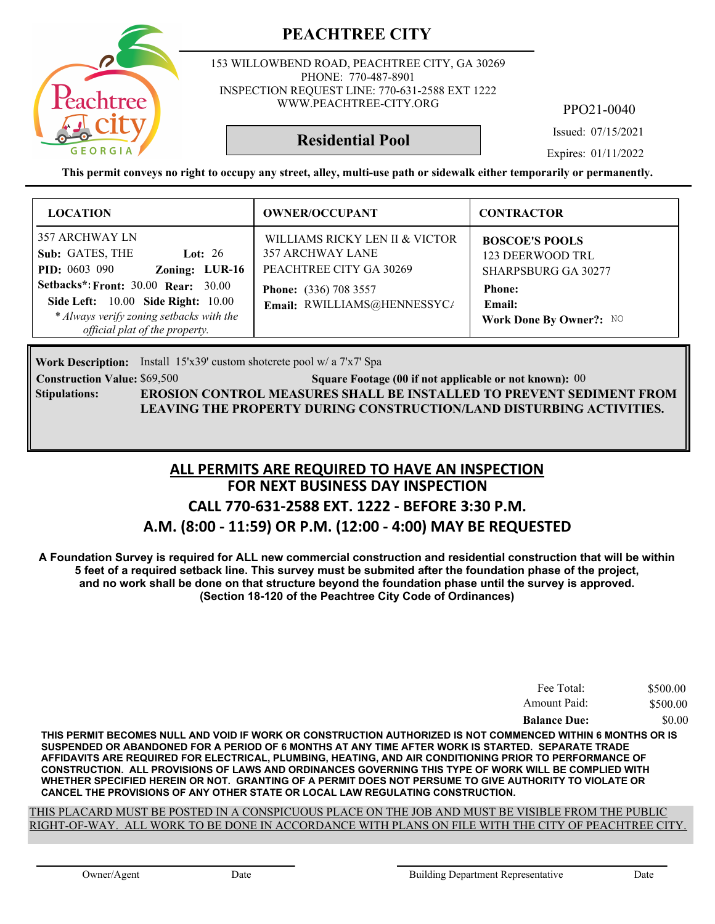153 WILLOWBEND ROAD, PEACHTREE CITY, GA 30269 PHONE: 770-487-8901 INSPECTION REQUEST LINE: 770-631-2588 EXT 1222 WWW.PEACHTREE-CITY.ORG

PPO21-0040

Issued: 07/15/2021

#### **Residential Pool**

Expires: 01/11/2022

**This permit conveys no right to occupy any street, alley, multi-use path or sidewalk either temporarily or permanently.**

| <b>LOCATION</b>                                                                                                                                                                                                                                                          | <b>OWNER/OCCUPANT</b>                                                                                                                               | <b>CONTRACTOR</b>                                                                                                             |
|--------------------------------------------------------------------------------------------------------------------------------------------------------------------------------------------------------------------------------------------------------------------------|-----------------------------------------------------------------------------------------------------------------------------------------------------|-------------------------------------------------------------------------------------------------------------------------------|
| 357 ARCHWAY LN<br>Sub: GATES, THE<br>Lot: $26$<br>Zoning: LUR-16<br><b>PID:</b> 0603 090<br><b>Setbacks*: Front: 30.00 Rear: 30.00</b><br><b>Side Left:</b> 10.00 <b>Side Right:</b> 10.00<br>* Always verify zoning setbacks with the<br>official plat of the property. | WILLIAMS RICKY LEN II & VICTOR<br><b>357 ARCHWAY LANE</b><br>PEACHTREE CITY GA 30269<br><b>Phone:</b> (336) 708 3557<br>Email: RWILLIAMS@HENNESSYC/ | <b>BOSCOE'S POOLS</b><br>123 DEERWOOD TRL<br><b>SHARPSBURG GA 30277</b><br><b>Phone:</b><br>Email:<br>Work Done By Owner?: NO |

**Work Description:** Install 15'x39' custom shotcrete pool w/ a 7'x7' Spa **Construction Value:** \$69,500 **000 Square Footage (00 if not applicable or not known):** 00 **EROSION CONTROL MEASURES SHALL BE INSTALLED TO PREVENT SEDIMENT FROM LEAVING THE PROPERTY DURING CONSTRUCTION/LAND DISTURBING ACTIVITIES. Stipulations:**

#### **FOR NEXT BUSINESS DAY INSPECTION CALL 770-631-2588 EXT. 1222 - BEFORE 3:30 P.M. A.M. (8:00 - 11:59) OR P.M. (12:00 - 4:00) MAY BE REQUESTED ALL PERMITS ARE REQUIRED TO HAVE AN INSPECTION**

**A Foundation Survey is required for ALL new commercial construction and residential construction that will be within 5 feet of a required setback line. This survey must be submited after the foundation phase of the project, and no work shall be done on that structure beyond the foundation phase until the survey is approved. (Section 18-120 of the Peachtree City Code of Ordinances)**

| Fee Total:          | \$500.00 |
|---------------------|----------|
| Amount Paid:        | \$500.00 |
| <b>Balance Due:</b> | \$0.00   |

**THIS PERMIT BECOMES NULL AND VOID IF WORK OR CONSTRUCTION AUTHORIZED IS NOT COMMENCED WITHIN 6 MONTHS OR IS SUSPENDED OR ABANDONED FOR A PERIOD OF 6 MONTHS AT ANY TIME AFTER WORK IS STARTED. SEPARATE TRADE AFFIDAVITS ARE REQUIRED FOR ELECTRICAL, PLUMBING, HEATING, AND AIR CONDITIONING PRIOR TO PERFORMANCE OF CONSTRUCTION. ALL PROVISIONS OF LAWS AND ORDINANCES GOVERNING THIS TYPE OF WORK WILL BE COMPLIED WITH WHETHER SPECIFIED HEREIN OR NOT. GRANTING OF A PERMIT DOES NOT PERSUME TO GIVE AUTHORITY TO VIOLATE OR CANCEL THE PROVISIONS OF ANY OTHER STATE OR LOCAL LAW REGULATING CONSTRUCTION.**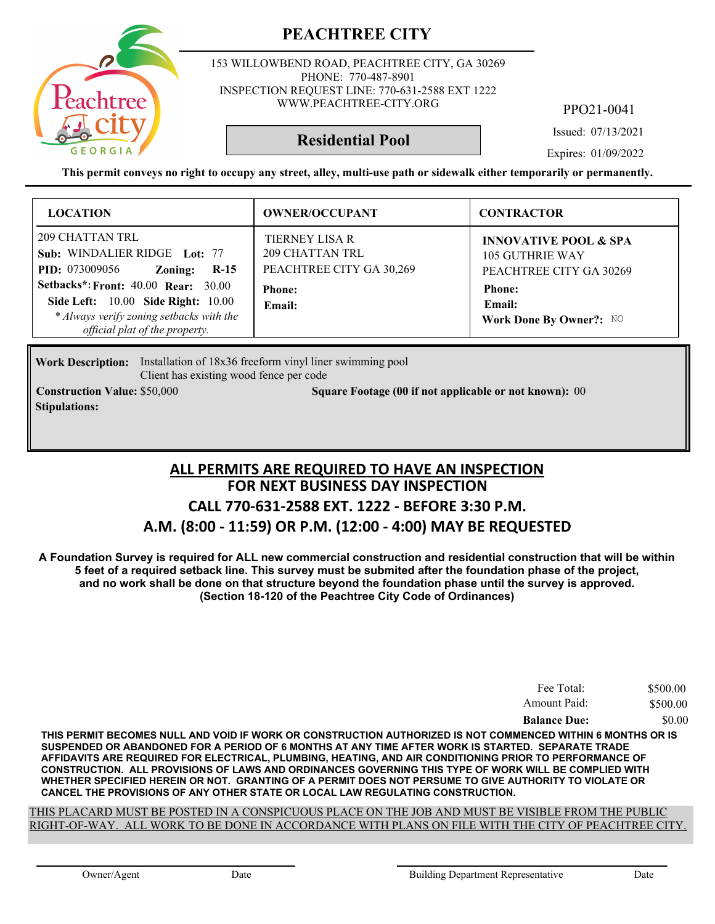

153 WILLOWBEND ROAD, PEACHTREE CITY, GA 30269 PHONE: 770-487-8901 INSPECTION REQUEST LINE: 770-631-2588 EXT 1222 WWW.PEACHTREE-CITY.ORG

PPO21-0041

Issued: 07/13/2021

**Residential Pool**

Expires: 01/09/2022

**This permit conveys no right to occupy any street, alley, multi-use path or sidewalk either temporarily or permanently.**

| <b>LOCATION</b>                                                                                                                                    | <b>OWNER/OCCUPANT</b>                                                       | <b>CONTRACTOR</b>                                                              |
|----------------------------------------------------------------------------------------------------------------------------------------------------|-----------------------------------------------------------------------------|--------------------------------------------------------------------------------|
| <b>209 CHATTAN TRL</b><br>Sub: WINDALIER RIDGE Lot: 77<br><b>PID:</b> 073009056<br>$R-15$<br>Zoning:<br><b>Setbacks*: Front: 40.00 Rear: 30.00</b> | <b>TIERNEY LISA R</b><br><b>209 CHATTAN TRL</b><br>PEACHTREE CITY GA 30,269 | <b>INNOVATIVE POOL &amp; SPA</b><br>105 GUTHRIE WAY<br>PEACHTREE CITY GA 30269 |
| <b>Side Left:</b> 10.00 <b>Side Right:</b> 10.00<br>* Always verify zoning setbacks with the<br>official plat of the property.                     | <b>Phone:</b><br>Email:                                                     | <b>Phone:</b><br>Email:<br>Work Done By Owner?: NO                             |

**Work Description:** Installation of 18x36 freeform vinyl liner swimming pool Client has existing wood fence per code

**Stipulations:**

**Construction Value:** \$50,000 000 000 000 000 5 Square Footage (00 if not applicable or not known): 00

#### **FOR NEXT BUSINESS DAY INSPECTION CALL 770-631-2588 EXT. 1222 - BEFORE 3:30 P.M. A.M. (8:00 - 11:59) OR P.M. (12:00 - 4:00) MAY BE REQUESTED ALL PERMITS ARE REQUIRED TO HAVE AN INSPECTION**

**A Foundation Survey is required for ALL new commercial construction and residential construction that will be within 5 feet of a required setback line. This survey must be submited after the foundation phase of the project, and no work shall be done on that structure beyond the foundation phase until the survey is approved. (Section 18-120 of the Peachtree City Code of Ordinances)**

| Fee Total:          | \$500.00 |
|---------------------|----------|
| Amount Paid:        | \$500.00 |
| <b>Balance Due:</b> | \$0.00   |

**THIS PERMIT BECOMES NULL AND VOID IF WORK OR CONSTRUCTION AUTHORIZED IS NOT COMMENCED WITHIN 6 MONTHS OR IS SUSPENDED OR ABANDONED FOR A PERIOD OF 6 MONTHS AT ANY TIME AFTER WORK IS STARTED. SEPARATE TRADE AFFIDAVITS ARE REQUIRED FOR ELECTRICAL, PLUMBING, HEATING, AND AIR CONDITIONING PRIOR TO PERFORMANCE OF CONSTRUCTION. ALL PROVISIONS OF LAWS AND ORDINANCES GOVERNING THIS TYPE OF WORK WILL BE COMPLIED WITH WHETHER SPECIFIED HEREIN OR NOT. GRANTING OF A PERMIT DOES NOT PERSUME TO GIVE AUTHORITY TO VIOLATE OR CANCEL THE PROVISIONS OF ANY OTHER STATE OR LOCAL LAW REGULATING CONSTRUCTION.**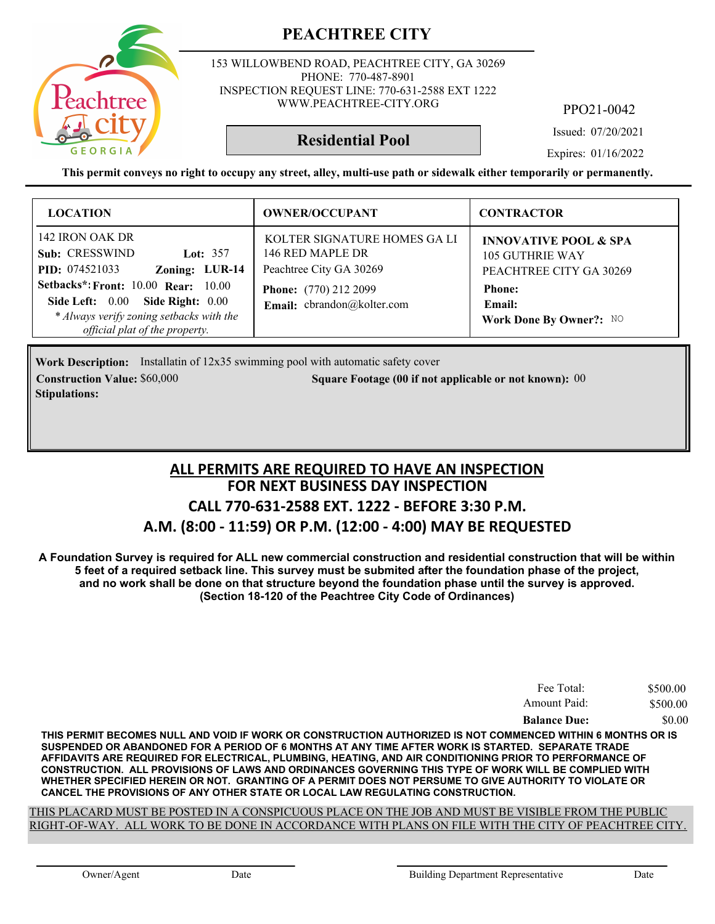

153 WILLOWBEND ROAD, PEACHTREE CITY, GA 30269 PHONE: 770-487-8901 INSPECTION REQUEST LINE: 770-631-2588 EXT 1222 WWW.PEACHTREE-CITY.ORG

PPO21-0042

Issued: 07/20/2021

#### **Residential Pool**

Expires: 01/16/2022

**This permit conveys no right to occupy any street, alley, multi-use path or sidewalk either temporarily or permanently.**

| 142 IRON OAK DR<br>Sub: CRESSWIND<br>146 RED MAPLE DR<br>Lot: $357$ | KOLTER SIGNATURE HOMES GALI<br><b>INNOVATIVE POOL &amp; SPA</b> |
|---------------------------------------------------------------------|-----------------------------------------------------------------|
| PID: 074521033                                                      | 105 GUTHRIE WAY                                                 |
| Zoning: LUR-14                                                      | Peachtree City GA 30269                                         |
| <b>Setbacks*: Front: 10.00 Rear: 10.00</b>                          | PEACHTREE CITY GA 30269                                         |
| <b>Phone:</b> (770) 212 2099                                        | <b>Phone:</b>                                                   |
| Side Left: 0.00 Side Right: 0.00                                    | Email: cbrandon@kolter.com                                      |
| * Always verify zoning setbacks with the                            | Email:                                                          |
| official plat of the property.                                      | Work Done By Owner?: NO                                         |

**Work Description:** Installatin of 12x35 swimming pool with automatic safety cover **Construction Value:** \$60,000 000 000 000 000 5 Square Footage (00 if not applicable or not known): 00 **Stipulations:**

#### **FOR NEXT BUSINESS DAY INSPECTION CALL 770-631-2588 EXT. 1222 - BEFORE 3:30 P.M. A.M. (8:00 - 11:59) OR P.M. (12:00 - 4:00) MAY BE REQUESTED ALL PERMITS ARE REQUIRED TO HAVE AN INSPECTION**

**A Foundation Survey is required for ALL new commercial construction and residential construction that will be within 5 feet of a required setback line. This survey must be submited after the foundation phase of the project, and no work shall be done on that structure beyond the foundation phase until the survey is approved. (Section 18-120 of the Peachtree City Code of Ordinances)**

| Fee Total:          | \$500.00 |
|---------------------|----------|
| Amount Paid:        | \$500.00 |
| <b>Balance Due:</b> | \$0.00   |

**THIS PERMIT BECOMES NULL AND VOID IF WORK OR CONSTRUCTION AUTHORIZED IS NOT COMMENCED WITHIN 6 MONTHS OR IS SUSPENDED OR ABANDONED FOR A PERIOD OF 6 MONTHS AT ANY TIME AFTER WORK IS STARTED. SEPARATE TRADE AFFIDAVITS ARE REQUIRED FOR ELECTRICAL, PLUMBING, HEATING, AND AIR CONDITIONING PRIOR TO PERFORMANCE OF CONSTRUCTION. ALL PROVISIONS OF LAWS AND ORDINANCES GOVERNING THIS TYPE OF WORK WILL BE COMPLIED WITH WHETHER SPECIFIED HEREIN OR NOT. GRANTING OF A PERMIT DOES NOT PERSUME TO GIVE AUTHORITY TO VIOLATE OR CANCEL THE PROVISIONS OF ANY OTHER STATE OR LOCAL LAW REGULATING CONSTRUCTION.**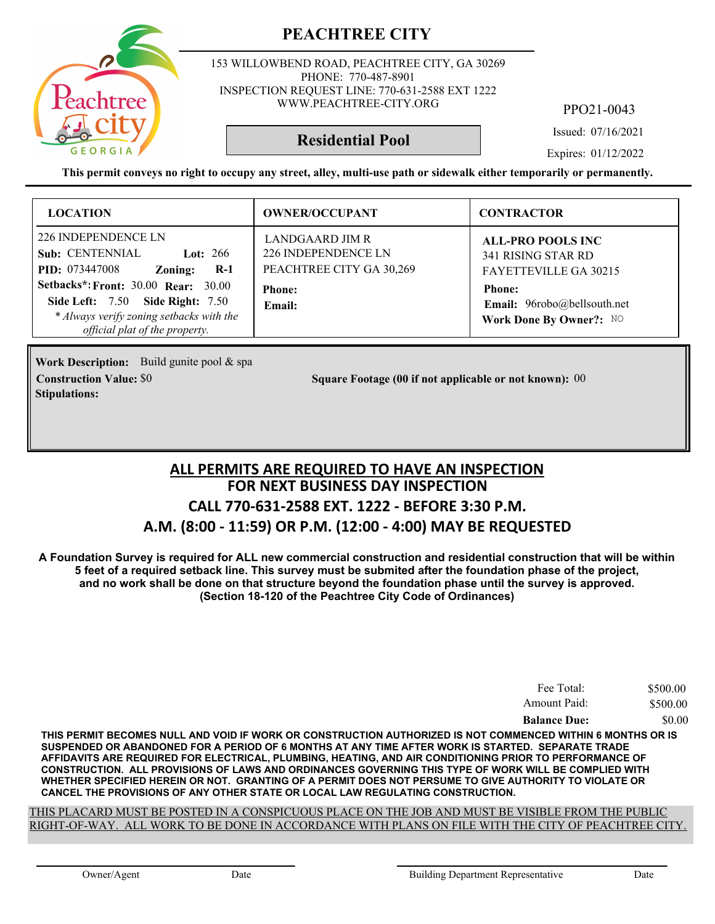

153 WILLOWBEND ROAD, PEACHTREE CITY, GA 30269 PHONE: 770-487-8901 INSPECTION REQUEST LINE: 770-631-2588 EXT 1222 WWW.PEACHTREE-CITY.ORG

PPO21-0043

Issued: 07/16/2021

**Residential Pool**

Expires: 01/12/2022

**This permit conveys no right to occupy any street, alley, multi-use path or sidewalk either temporarily or permanently.**

| <b>LOCATION</b>                                                                                                                                                                                                                                                                 | <b>OWNER/OCCUPANT</b>                                                                         | <b>CONTRACTOR</b>                                                                                                                                         |
|---------------------------------------------------------------------------------------------------------------------------------------------------------------------------------------------------------------------------------------------------------------------------------|-----------------------------------------------------------------------------------------------|-----------------------------------------------------------------------------------------------------------------------------------------------------------|
| 226 INDEPENDENCE LN<br><b>Sub: CENTENNIAL</b><br>Lot: $266$<br><b>PID:</b> 073447008<br>$R-1$<br>Zoning:<br><b>Setbacks*: Front: 30.00 Rear: 30.00</b><br><b>Side Left: 7.50 Side Right: 7.50</b><br>* Always verify zoning setbacks with the<br>official plat of the property. | LANDGAARD JIM R<br>226 INDEPENDENCE LN<br>PEACHTREE CITY GA 30,269<br><b>Phone:</b><br>Email: | <b>ALL-PRO POOLS INC</b><br>341 RISING STAR RD<br><b>FAYETTEVILLE GA 30215</b><br><b>Phone:</b><br>Email: 96robo@bellsouth.net<br>Work Done By Owner?: NO |

**Work Description:** Build gunite pool & spa **Stipulations:**

**Construction Value:**  $\$0$  00 if not applicable or not known): 00

#### **FOR NEXT BUSINESS DAY INSPECTION CALL 770-631-2588 EXT. 1222 - BEFORE 3:30 P.M. A.M. (8:00 - 11:59) OR P.M. (12:00 - 4:00) MAY BE REQUESTED ALL PERMITS ARE REQUIRED TO HAVE AN INSPECTION**

**A Foundation Survey is required for ALL new commercial construction and residential construction that will be within 5 feet of a required setback line. This survey must be submited after the foundation phase of the project, and no work shall be done on that structure beyond the foundation phase until the survey is approved. (Section 18-120 of the Peachtree City Code of Ordinances)**

| Fee Total:          | \$500.00 |
|---------------------|----------|
| Amount Paid:        | \$500.00 |
| <b>Balance Due:</b> | \$0.00   |

**THIS PERMIT BECOMES NULL AND VOID IF WORK OR CONSTRUCTION AUTHORIZED IS NOT COMMENCED WITHIN 6 MONTHS OR IS SUSPENDED OR ABANDONED FOR A PERIOD OF 6 MONTHS AT ANY TIME AFTER WORK IS STARTED. SEPARATE TRADE AFFIDAVITS ARE REQUIRED FOR ELECTRICAL, PLUMBING, HEATING, AND AIR CONDITIONING PRIOR TO PERFORMANCE OF CONSTRUCTION. ALL PROVISIONS OF LAWS AND ORDINANCES GOVERNING THIS TYPE OF WORK WILL BE COMPLIED WITH WHETHER SPECIFIED HEREIN OR NOT. GRANTING OF A PERMIT DOES NOT PERSUME TO GIVE AUTHORITY TO VIOLATE OR CANCEL THE PROVISIONS OF ANY OTHER STATE OR LOCAL LAW REGULATING CONSTRUCTION.**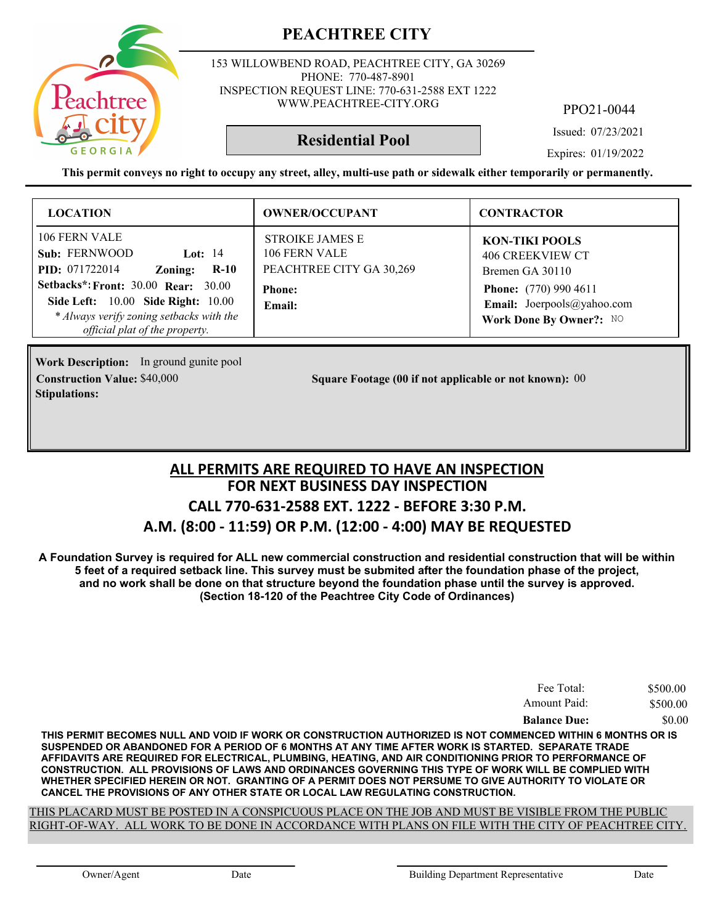153 WILLOWBEND ROAD, PEACHTREE CITY, GA 30269 PHONE: 770-487-8901 INSPECTION REQUEST LINE: 770-631-2588 EXT 1222 WWW.PEACHTREE-CITY.ORG

PPO21-0044

Issued: 07/23/2021

**Residential Pool**

Expires: 01/19/2022

**This permit conveys no right to occupy any street, alley, multi-use path or sidewalk either temporarily or permanently.**

| <b>LOCATION</b>                                                                                                                                                                                                                                             | <b>OWNER/OCCUPANT</b>                                                                          | <b>CONTRACTOR</b>                                                                                                                                            |
|-------------------------------------------------------------------------------------------------------------------------------------------------------------------------------------------------------------------------------------------------------------|------------------------------------------------------------------------------------------------|--------------------------------------------------------------------------------------------------------------------------------------------------------------|
| 106 FERN VALE<br>Sub: FERNWOOD<br>Lot: $14$<br><b>PID:</b> 071722014<br>$R-10$<br>Zoning:<br><b>Setbacks*: Front: 30.00 Rear: 30.00</b><br>Side Left: 10.00 Side Right: 10.00<br>* Always verify zoning setbacks with the<br>official plat of the property. | <b>STROIKE JAMES E</b><br>106 FERN VALE<br>PEACHTREE CITY GA 30,269<br><b>Phone:</b><br>Email: | <b>KON-TIKI POOLS</b><br><b>406 CREEKVIEW CT</b><br>Bremen GA 30110<br><b>Phone:</b> (770) 990 4611<br>Email: Joerpools@yahoo.com<br>Work Done By Owner?: NO |

**Work Description:** In ground gunite pool **Stipulations:**

**Construction Value:** \$40,000 000 000 000 000 5 Square Footage (00 if not applicable or not known): 00

#### **FOR NEXT BUSINESS DAY INSPECTION CALL 770-631-2588 EXT. 1222 - BEFORE 3:30 P.M. A.M. (8:00 - 11:59) OR P.M. (12:00 - 4:00) MAY BE REQUESTED ALL PERMITS ARE REQUIRED TO HAVE AN INSPECTION**

**A Foundation Survey is required for ALL new commercial construction and residential construction that will be within 5 feet of a required setback line. This survey must be submited after the foundation phase of the project, and no work shall be done on that structure beyond the foundation phase until the survey is approved. (Section 18-120 of the Peachtree City Code of Ordinances)**

| Fee Total:          | \$500.00 |
|---------------------|----------|
| Amount Paid:        | \$500.00 |
| <b>Balance Due:</b> | \$0.00   |

**THIS PERMIT BECOMES NULL AND VOID IF WORK OR CONSTRUCTION AUTHORIZED IS NOT COMMENCED WITHIN 6 MONTHS OR IS SUSPENDED OR ABANDONED FOR A PERIOD OF 6 MONTHS AT ANY TIME AFTER WORK IS STARTED. SEPARATE TRADE AFFIDAVITS ARE REQUIRED FOR ELECTRICAL, PLUMBING, HEATING, AND AIR CONDITIONING PRIOR TO PERFORMANCE OF CONSTRUCTION. ALL PROVISIONS OF LAWS AND ORDINANCES GOVERNING THIS TYPE OF WORK WILL BE COMPLIED WITH WHETHER SPECIFIED HEREIN OR NOT. GRANTING OF A PERMIT DOES NOT PERSUME TO GIVE AUTHORITY TO VIOLATE OR CANCEL THE PROVISIONS OF ANY OTHER STATE OR LOCAL LAW REGULATING CONSTRUCTION.**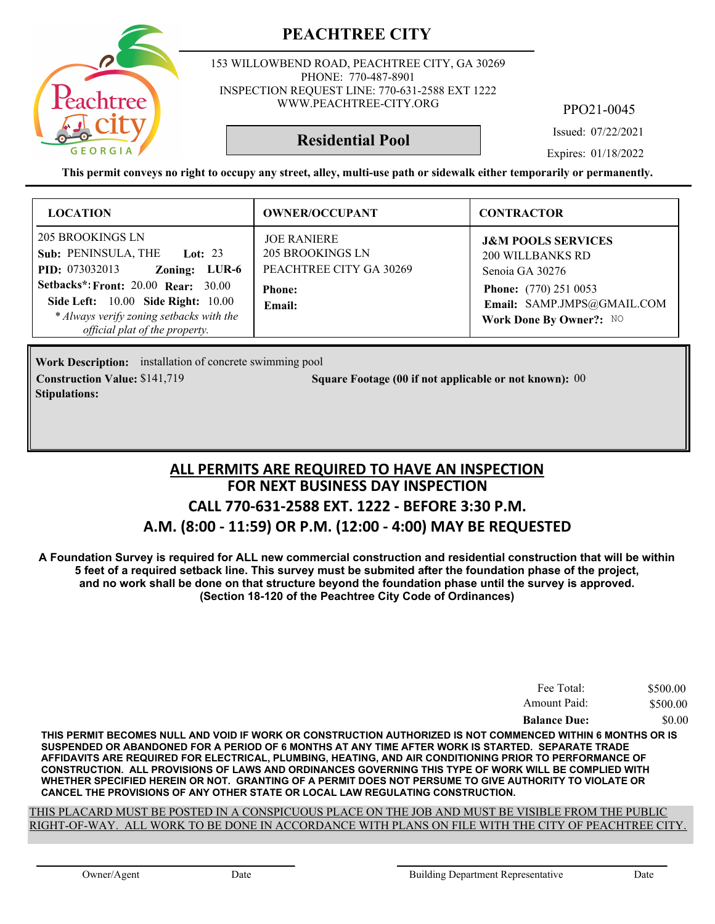

153 WILLOWBEND ROAD, PEACHTREE CITY, GA 30269 PHONE: 770-487-8901 INSPECTION REQUEST LINE: 770-631-2588 EXT 1222 WWW.PEACHTREE-CITY.ORG

PPO21-0045

Issued: 07/22/2021

**Residential Pool**

Expires: 01/18/2022

**This permit conveys no right to occupy any street, alley, multi-use path or sidewalk either temporarily or permanently.**

| <b>LOCATION</b>                                                                                                                                                                                                                  | <b>OWNER/OCCUPANT</b>                                                                        | <b>CONTRACTOR</b>                                                                                                                                             |
|----------------------------------------------------------------------------------------------------------------------------------------------------------------------------------------------------------------------------------|----------------------------------------------------------------------------------------------|---------------------------------------------------------------------------------------------------------------------------------------------------------------|
| <b>205 BROOKINGS LN</b><br>Sub: PENINSULA, THE Lot: 23<br><b>PID:</b> 073032013<br>Zoning: LUR-6<br><b>Setbacks*: Front: 20.00 Rear: 30.00</b><br>Side Left: 10.00 Side Right: 10.00<br>* Always verify zoning setbacks with the | <b>JOE RANIERE</b><br>205 BROOKINGS LN<br>PEACHTREE CITY GA 30269<br><b>Phone:</b><br>Email: | <b>J&amp;M POOLS SERVICES</b><br>200 WILLBANKS RD<br>Senoia GA 30276<br><b>Phone:</b> (770) 251 0053<br>Email: SAMP.JMPS@GMAIL.COM<br>Work Done By Owner?: NO |
| official plat of the property.                                                                                                                                                                                                   |                                                                                              |                                                                                                                                                               |

**Work Description:** installation of concrete swimming pool **Construction Value:** \$141,719 **Square Footage (00 if not applicable or not known):** 00 **Stipulations:**

#### **FOR NEXT BUSINESS DAY INSPECTION CALL 770-631-2588 EXT. 1222 - BEFORE 3:30 P.M. A.M. (8:00 - 11:59) OR P.M. (12:00 - 4:00) MAY BE REQUESTED ALL PERMITS ARE REQUIRED TO HAVE AN INSPECTION**

**A Foundation Survey is required for ALL new commercial construction and residential construction that will be within 5 feet of a required setback line. This survey must be submited after the foundation phase of the project, and no work shall be done on that structure beyond the foundation phase until the survey is approved. (Section 18-120 of the Peachtree City Code of Ordinances)**

| Fee Total:          | \$500.00 |
|---------------------|----------|
| Amount Paid:        | \$500.00 |
| <b>Balance Due:</b> | \$0.00   |

**THIS PERMIT BECOMES NULL AND VOID IF WORK OR CONSTRUCTION AUTHORIZED IS NOT COMMENCED WITHIN 6 MONTHS OR IS SUSPENDED OR ABANDONED FOR A PERIOD OF 6 MONTHS AT ANY TIME AFTER WORK IS STARTED. SEPARATE TRADE AFFIDAVITS ARE REQUIRED FOR ELECTRICAL, PLUMBING, HEATING, AND AIR CONDITIONING PRIOR TO PERFORMANCE OF CONSTRUCTION. ALL PROVISIONS OF LAWS AND ORDINANCES GOVERNING THIS TYPE OF WORK WILL BE COMPLIED WITH WHETHER SPECIFIED HEREIN OR NOT. GRANTING OF A PERMIT DOES NOT PERSUME TO GIVE AUTHORITY TO VIOLATE OR CANCEL THE PROVISIONS OF ANY OTHER STATE OR LOCAL LAW REGULATING CONSTRUCTION.**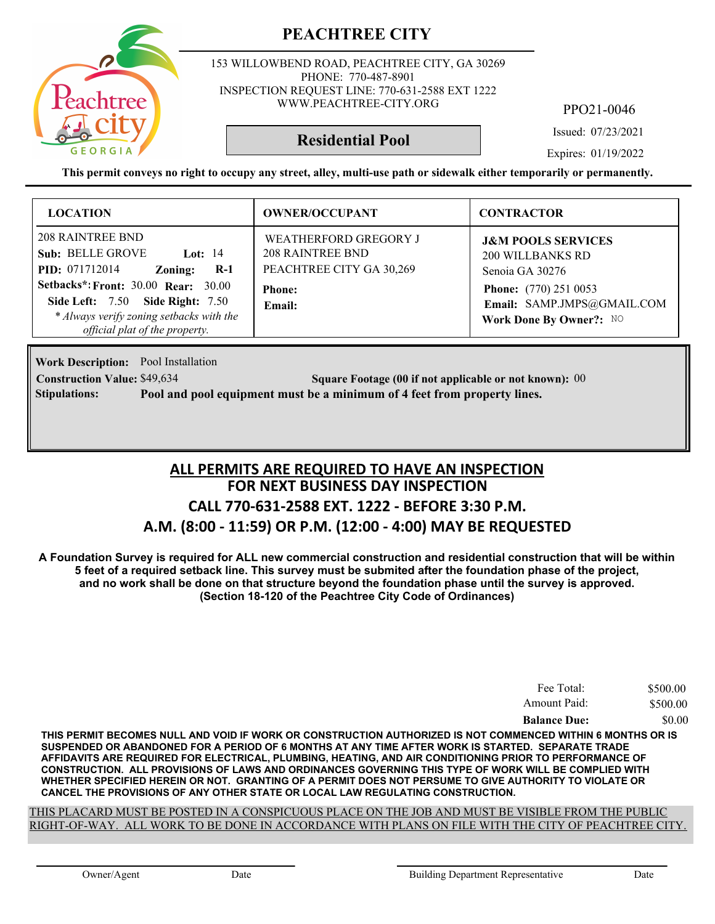153 WILLOWBEND ROAD, PEACHTREE CITY, GA 30269 PHONE: 770-487-8901 INSPECTION REQUEST LINE: 770-631-2588 EXT 1222 WWW.PEACHTREE-CITY.ORG

PPO21-0046

Issued: 07/23/2021

**Residential Pool**

Expires: 01/19/2022

**This permit conveys no right to occupy any street, alley, multi-use path or sidewalk either temporarily or permanently.**

| <b>LOCATION</b>                                                                                                                                                                                                                                                | <b>OWNER/OCCUPANT</b>                                                                            | <b>CONTRACTOR</b>                                                                                                                                                    |
|----------------------------------------------------------------------------------------------------------------------------------------------------------------------------------------------------------------------------------------------------------------|--------------------------------------------------------------------------------------------------|----------------------------------------------------------------------------------------------------------------------------------------------------------------------|
| 208 RAINTREE BND<br>Sub: BELLE GROVE<br>Lot: $14$<br>PID: 071712014<br>$R-1$<br>Zoning:<br><b>Setbacks*: Front: 30.00 Rear: 30.00</b><br><b>Side Left: 7.50 Side Right: 7.50</b><br>* Always verify zoning setbacks with the<br>official plat of the property. | WEATHERFORD GREGORY J<br>208 RAINTREE BND<br>PEACHTREE CITY GA 30,269<br><b>Phone:</b><br>Email: | <b>J&amp;M POOLS SERVICES</b><br><b>200 WILLBANKS RD</b><br>Senoia GA 30276<br><b>Phone:</b> (770) 251 0053<br>Email: SAMP.JMPS@GMAIL.COM<br>Work Done By Owner?: NO |

Work Description: Pool Installation **Construction Value:** \$49,634 **1.1 Square Footage (00 if not applicable or not known): 00 Stipulations: Pool and pool equipment must be a minimum of 4 feet from property lines.**

### **FOR NEXT BUSINESS DAY INSPECTION CALL 770-631-2588 EXT. 1222 - BEFORE 3:30 P.M. A.M. (8:00 - 11:59) OR P.M. (12:00 - 4:00) MAY BE REQUESTED ALL PERMITS ARE REQUIRED TO HAVE AN INSPECTION**

**A Foundation Survey is required for ALL new commercial construction and residential construction that will be within 5 feet of a required setback line. This survey must be submited after the foundation phase of the project, and no work shall be done on that structure beyond the foundation phase until the survey is approved. (Section 18-120 of the Peachtree City Code of Ordinances)**

| Fee Total:          | \$500.00 |
|---------------------|----------|
| Amount Paid:        | \$500.00 |
| <b>Balance Due:</b> | \$0.00   |

**THIS PERMIT BECOMES NULL AND VOID IF WORK OR CONSTRUCTION AUTHORIZED IS NOT COMMENCED WITHIN 6 MONTHS OR IS SUSPENDED OR ABANDONED FOR A PERIOD OF 6 MONTHS AT ANY TIME AFTER WORK IS STARTED. SEPARATE TRADE AFFIDAVITS ARE REQUIRED FOR ELECTRICAL, PLUMBING, HEATING, AND AIR CONDITIONING PRIOR TO PERFORMANCE OF CONSTRUCTION. ALL PROVISIONS OF LAWS AND ORDINANCES GOVERNING THIS TYPE OF WORK WILL BE COMPLIED WITH WHETHER SPECIFIED HEREIN OR NOT. GRANTING OF A PERMIT DOES NOT PERSUME TO GIVE AUTHORITY TO VIOLATE OR CANCEL THE PROVISIONS OF ANY OTHER STATE OR LOCAL LAW REGULATING CONSTRUCTION.**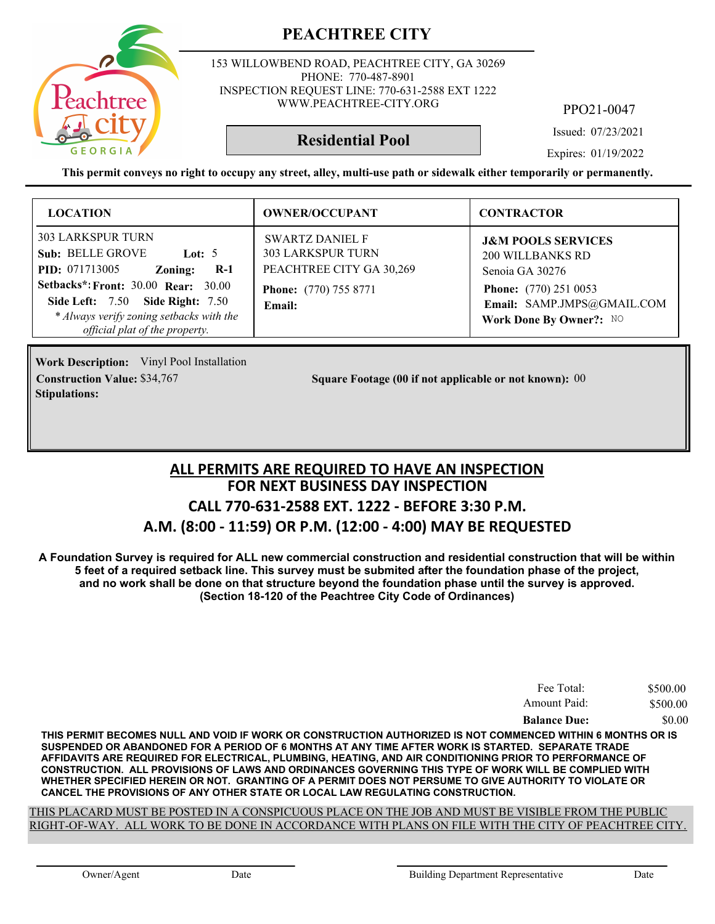

153 WILLOWBEND ROAD, PEACHTREE CITY, GA 30269 PHONE: 770-487-8901 INSPECTION REQUEST LINE: 770-631-2588 EXT 1222 WWW.PEACHTREE-CITY.ORG

PPO21-0047

Issued: 07/23/2021

**Residential Pool**

Expires: 01/19/2022

**This permit conveys no right to occupy any street, alley, multi-use path or sidewalk either temporarily or permanently.**

| <b>LOCATION</b>                                                                                                                                                                                | <b>OWNER/OCCUPANT</b>                                                                                                    | <b>CONTRACTOR</b>                                                                                                                  |
|------------------------------------------------------------------------------------------------------------------------------------------------------------------------------------------------|--------------------------------------------------------------------------------------------------------------------------|------------------------------------------------------------------------------------------------------------------------------------|
| <b>303 LARKSPUR TURN</b><br>Sub: BELLE GROVE<br>Lot: $5$<br><b>PID:</b> 071713005<br>$R-1$<br>Zoning:<br><b>Setbacks*: Front: 30.00 Rear: 30.00</b><br><b>Side Left: 7.50 Side Right: 7.50</b> | <b>SWARTZ DANIEL F</b><br><b>303 LARKSPUR TURN</b><br>PEACHTREE CITY GA 30,269<br><b>Phone:</b> (770) 755 8771<br>Email: | <b>J&amp;M POOLS SERVICES</b><br>200 WILLBANKS RD<br>Senoia GA 30276<br><b>Phone:</b> (770) 251 0053<br>Email: SAMP.JMPS@GMAIL.COM |
| * Always verify zoning setbacks with the<br>official plat of the property.                                                                                                                     |                                                                                                                          | Work Done By Owner?: NO                                                                                                            |

**Work Description:** Vinyl Pool Installation **Stipulations:**

**Construction Value:** \$34,767 **8 Square Footage (00 if not applicable or not known):** 00

#### **FOR NEXT BUSINESS DAY INSPECTION CALL 770-631-2588 EXT. 1222 - BEFORE 3:30 P.M. A.M. (8:00 - 11:59) OR P.M. (12:00 - 4:00) MAY BE REQUESTED ALL PERMITS ARE REQUIRED TO HAVE AN INSPECTION**

**A Foundation Survey is required for ALL new commercial construction and residential construction that will be within 5 feet of a required setback line. This survey must be submited after the foundation phase of the project, and no work shall be done on that structure beyond the foundation phase until the survey is approved. (Section 18-120 of the Peachtree City Code of Ordinances)**

| Fee Total:          | \$500.00 |
|---------------------|----------|
| Amount Paid:        | \$500.00 |
| <b>Balance Due:</b> | \$0.00   |

**THIS PERMIT BECOMES NULL AND VOID IF WORK OR CONSTRUCTION AUTHORIZED IS NOT COMMENCED WITHIN 6 MONTHS OR IS SUSPENDED OR ABANDONED FOR A PERIOD OF 6 MONTHS AT ANY TIME AFTER WORK IS STARTED. SEPARATE TRADE AFFIDAVITS ARE REQUIRED FOR ELECTRICAL, PLUMBING, HEATING, AND AIR CONDITIONING PRIOR TO PERFORMANCE OF CONSTRUCTION. ALL PROVISIONS OF LAWS AND ORDINANCES GOVERNING THIS TYPE OF WORK WILL BE COMPLIED WITH WHETHER SPECIFIED HEREIN OR NOT. GRANTING OF A PERMIT DOES NOT PERSUME TO GIVE AUTHORITY TO VIOLATE OR CANCEL THE PROVISIONS OF ANY OTHER STATE OR LOCAL LAW REGULATING CONSTRUCTION.**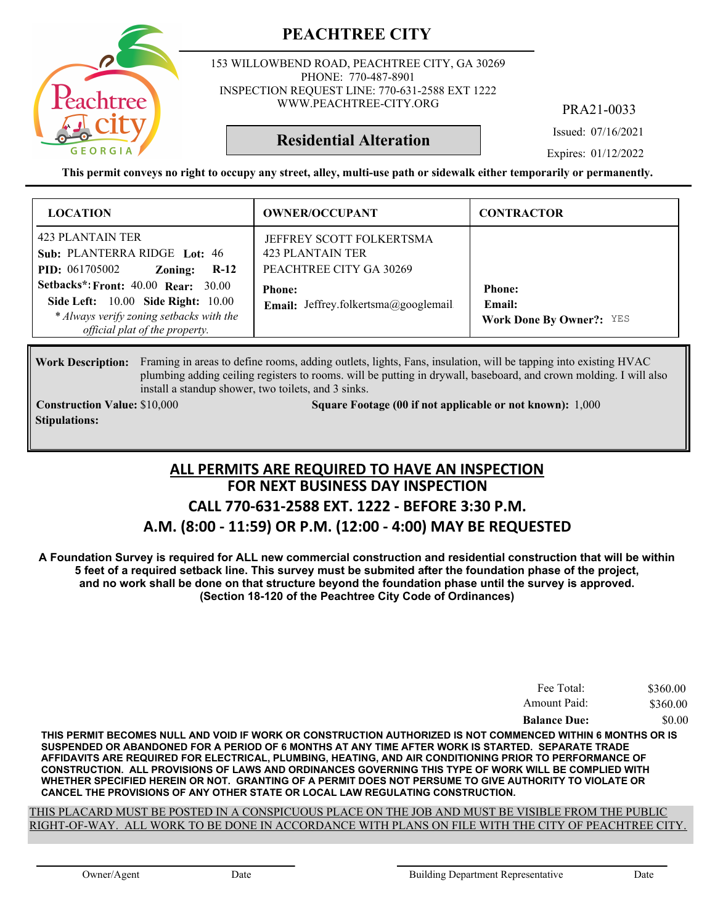

153 WILLOWBEND ROAD, PEACHTREE CITY, GA 30269 PHONE: 770-487-8901 INSPECTION REQUEST LINE: 770-631-2588 EXT 1222 WWW.PEACHTREE-CITY.ORG

PRA21-0033

Issued: 07/16/2021

**Residential Alteration**

Expires: 01/12/2022

**This permit conveys no right to occupy any street, alley, multi-use path or sidewalk either temporarily or permanently.**

| <b>LOCATION</b>                                                                                                                                                              | <b>OWNER/OCCUPANT</b>                                                          | <b>CONTRACTOR</b>                                          |
|------------------------------------------------------------------------------------------------------------------------------------------------------------------------------|--------------------------------------------------------------------------------|------------------------------------------------------------|
| 423 PLANTAIN TER<br>Sub: PLANTERRA RIDGE Lot: 46<br><b>PID:</b> 061705002<br>Zoning:<br>$R-12$                                                                               | JEFFREY SCOTT FOLKERTSMA<br><b>423 PLANTAIN TER</b><br>PEACHTREE CITY GA 30269 |                                                            |
| <b>Setbacks*: Front: 40.00 Rear: 30.00</b><br><b>Side Left:</b> 10.00 <b>Side Right:</b> 10.00<br>* Always verify zoning setbacks with the<br>official plat of the property. | <b>Phone:</b><br>Email: Jeffrey.folkertsma@googlemail                          | <b>Phone:</b><br>Email:<br><b>Work Done By Owner?: YES</b> |

#### Work Description: Framing in areas to define rooms, adding outlets, lights, Fans, insulation, will be tapping into existing HVAC plumbing adding ceiling registers to rooms. will be putting in drywall, baseboard, and crown molding. I will also install a standup shower, two toilets, and 3 sinks.

**Stipulations:**

**Construction Value:** \$10,000 1,000 Square Footage (00 if not applicable or not known): 1,000

#### **FOR NEXT BUSINESS DAY INSPECTION CALL 770-631-2588 EXT. 1222 - BEFORE 3:30 P.M. A.M. (8:00 - 11:59) OR P.M. (12:00 - 4:00) MAY BE REQUESTED ALL PERMITS ARE REQUIRED TO HAVE AN INSPECTION**

**A Foundation Survey is required for ALL new commercial construction and residential construction that will be within 5 feet of a required setback line. This survey must be submited after the foundation phase of the project, and no work shall be done on that structure beyond the foundation phase until the survey is approved. (Section 18-120 of the Peachtree City Code of Ordinances)**

| Fee Total:          | \$360.00 |
|---------------------|----------|
| Amount Paid:        | \$360.00 |
| <b>Balance Due:</b> | \$0.00   |

**THIS PERMIT BECOMES NULL AND VOID IF WORK OR CONSTRUCTION AUTHORIZED IS NOT COMMENCED WITHIN 6 MONTHS OR IS SUSPENDED OR ABANDONED FOR A PERIOD OF 6 MONTHS AT ANY TIME AFTER WORK IS STARTED. SEPARATE TRADE AFFIDAVITS ARE REQUIRED FOR ELECTRICAL, PLUMBING, HEATING, AND AIR CONDITIONING PRIOR TO PERFORMANCE OF CONSTRUCTION. ALL PROVISIONS OF LAWS AND ORDINANCES GOVERNING THIS TYPE OF WORK WILL BE COMPLIED WITH WHETHER SPECIFIED HEREIN OR NOT. GRANTING OF A PERMIT DOES NOT PERSUME TO GIVE AUTHORITY TO VIOLATE OR CANCEL THE PROVISIONS OF ANY OTHER STATE OR LOCAL LAW REGULATING CONSTRUCTION.**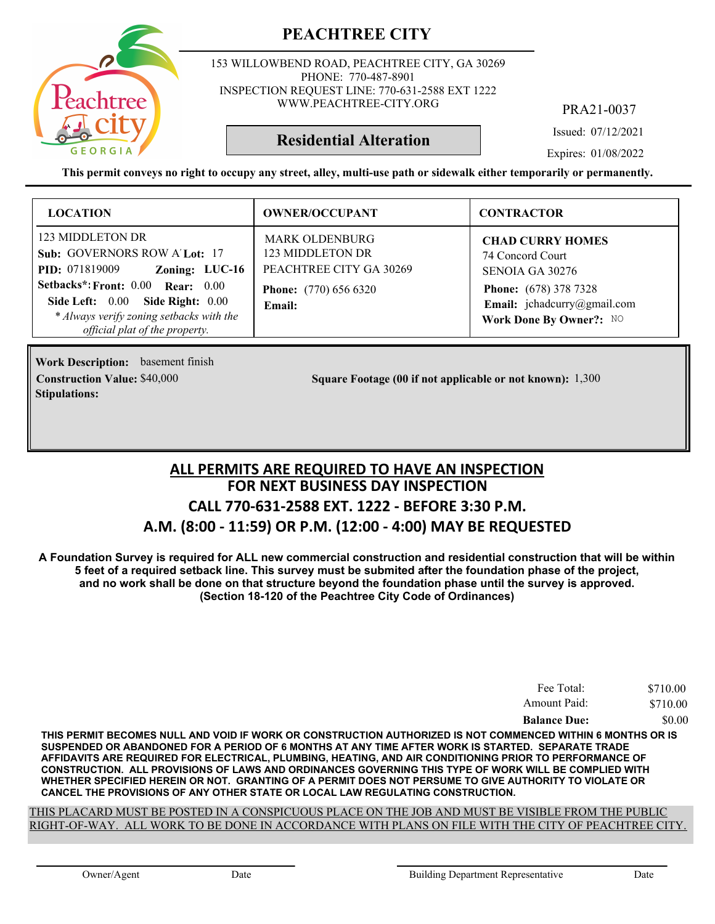

153 WILLOWBEND ROAD, PEACHTREE CITY, GA 30269 PHONE: 770-487-8901 INSPECTION REQUEST LINE: 770-631-2588 EXT 1222 WWW.PEACHTREE-CITY.ORG

PRA21-0037

Issued: 07/12/2021

Expires: 01/08/2022

**This permit conveys no right to occupy any street, alley, multi-use path or sidewalk either temporarily or permanently.**

**Residential Alteration**

| <b>LOCATION</b>                                                                                                                                                                                                                                           | <b>OWNER/OCCUPANT</b>                                                                                          | <b>CONTRACTOR</b>                                                                                                                                          |
|-----------------------------------------------------------------------------------------------------------------------------------------------------------------------------------------------------------------------------------------------------------|----------------------------------------------------------------------------------------------------------------|------------------------------------------------------------------------------------------------------------------------------------------------------------|
| 123 MIDDLETON DR<br>Sub: GOVERNORS ROW A'Lot: 17<br>Zoning: LUC-16<br><b>PID:</b> 071819009<br>Setbacks*: Front: 0.00 Rear: 0.00<br>Side Left: $0.00$<br>Side Right: $0.00$<br>* Always verify zoning setbacks with the<br>official plat of the property. | <b>MARK OLDENBURG</b><br>123 MIDDLETON DR<br>PEACHTREE CITY GA 30269<br><b>Phone:</b> (770) 656 6320<br>Email: | <b>CHAD CURRY HOMES</b><br>74 Concord Court<br>SENOIA GA 30276<br><b>Phone:</b> (678) 378 7328<br>Email: $ichadcurry@gmail.com$<br>Work Done By Owner?: NO |

**Work Description:** basement finish **Stipulations:**

**Construction Value: \$40,000 1,300 1,300 1,300 1,300 1,300 1,300 1,300 1,300 1,400 1,500 1,500 1,400 1,400 1,400 1,400 1,400 1,400 1,400 1,400 1,400 1,400 1,400 1,400 1,400 1,400 1,400 1,400 1,400 1,400 1,400 1,400 1,400 1** 

#### **FOR NEXT BUSINESS DAY INSPECTION CALL 770-631-2588 EXT. 1222 - BEFORE 3:30 P.M. A.M. (8:00 - 11:59) OR P.M. (12:00 - 4:00) MAY BE REQUESTED ALL PERMITS ARE REQUIRED TO HAVE AN INSPECTION**

**A Foundation Survey is required for ALL new commercial construction and residential construction that will be within 5 feet of a required setback line. This survey must be submited after the foundation phase of the project, and no work shall be done on that structure beyond the foundation phase until the survey is approved. (Section 18-120 of the Peachtree City Code of Ordinances)**

| Fee Total:          | \$710.00 |
|---------------------|----------|
| Amount Paid:        | \$710.00 |
| <b>Balance Due:</b> | \$0.00   |

**THIS PERMIT BECOMES NULL AND VOID IF WORK OR CONSTRUCTION AUTHORIZED IS NOT COMMENCED WITHIN 6 MONTHS OR IS SUSPENDED OR ABANDONED FOR A PERIOD OF 6 MONTHS AT ANY TIME AFTER WORK IS STARTED. SEPARATE TRADE AFFIDAVITS ARE REQUIRED FOR ELECTRICAL, PLUMBING, HEATING, AND AIR CONDITIONING PRIOR TO PERFORMANCE OF CONSTRUCTION. ALL PROVISIONS OF LAWS AND ORDINANCES GOVERNING THIS TYPE OF WORK WILL BE COMPLIED WITH WHETHER SPECIFIED HEREIN OR NOT. GRANTING OF A PERMIT DOES NOT PERSUME TO GIVE AUTHORITY TO VIOLATE OR CANCEL THE PROVISIONS OF ANY OTHER STATE OR LOCAL LAW REGULATING CONSTRUCTION.**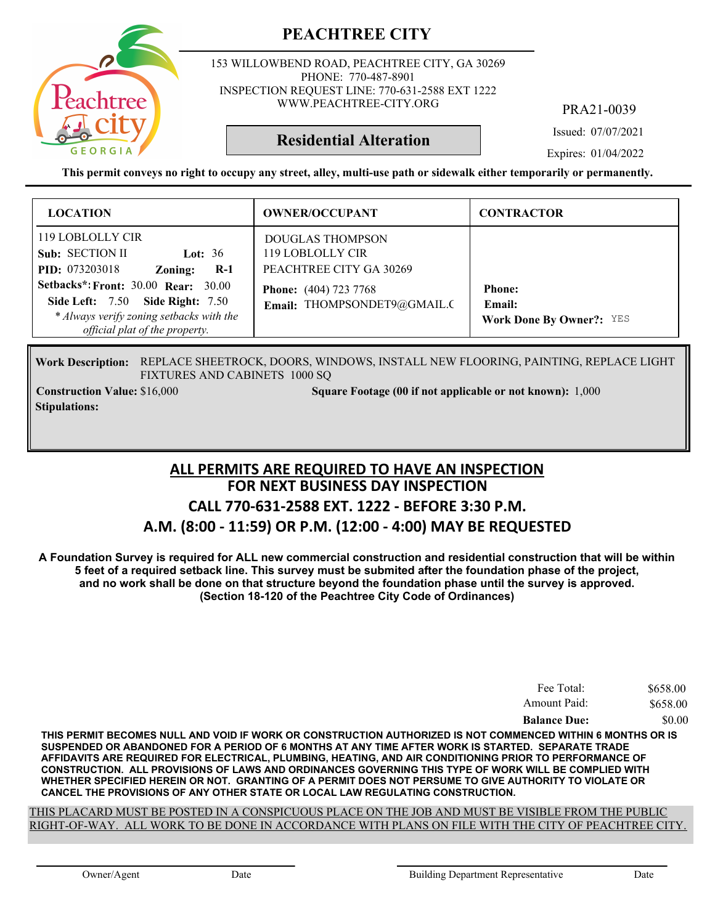

153 WILLOWBEND ROAD, PEACHTREE CITY, GA 30269 PHONE: 770-487-8901 INSPECTION REQUEST LINE: 770-631-2588 EXT 1222 WWW.PEACHTREE-CITY.ORG

PRA21-0039

Issued: 07/07/2021

**Residential Alteration**

Expires: 01/04/2022

**This permit conveys no right to occupy any street, alley, multi-use path or sidewalk either temporarily or permanently.**

| <b>LOCATION</b>                                                                                                                                                     | <b>OWNER/OCCUPANT</b>                                                  | <b>CONTRACTOR</b>                                          |
|---------------------------------------------------------------------------------------------------------------------------------------------------------------------|------------------------------------------------------------------------|------------------------------------------------------------|
| 119 LOBLOLLY CIR<br>Sub: SECTION II<br>Lot: $36$<br><b>PID:</b> 073203018<br>Zoning:<br>$R-1$                                                                       | <b>DOUGLAS THOMPSON</b><br>119 LOBLOLLY CIR<br>PEACHTREE CITY GA 30269 |                                                            |
| <b>Setbacks*: Front: 30.00 Rear: 30.00</b><br><b>Side Left: 7.50 Side Right: 7.50</b><br>* Always verify zoning setbacks with the<br>official plat of the property. | <b>Phone:</b> (404) 723 7768<br>Email: THOMPSONDET9@GMAIL.C            | <b>Phone:</b><br>Email:<br><b>Work Done By Owner?: YES</b> |

REPLACE SHEETROCK, DOORS, WINDOWS, INSTALL NEW FLOORING, PAINTING, REPLACE LIGHT **Work Description:** FIXTURES AND CABINETS 1000 SQ

**Stipulations:**

**Construction Value:** \$16,000 1,000 Square Footage (00 if not applicable or not known): 1,000

#### **FOR NEXT BUSINESS DAY INSPECTION CALL 770-631-2588 EXT. 1222 - BEFORE 3:30 P.M. A.M. (8:00 - 11:59) OR P.M. (12:00 - 4:00) MAY BE REQUESTED ALL PERMITS ARE REQUIRED TO HAVE AN INSPECTION**

**A Foundation Survey is required for ALL new commercial construction and residential construction that will be within 5 feet of a required setback line. This survey must be submited after the foundation phase of the project, and no work shall be done on that structure beyond the foundation phase until the survey is approved. (Section 18-120 of the Peachtree City Code of Ordinances)**

| Fee Total:          | \$658.00 |
|---------------------|----------|
| Amount Paid:        | \$658.00 |
| <b>Balance Due:</b> | \$0.00   |

**THIS PERMIT BECOMES NULL AND VOID IF WORK OR CONSTRUCTION AUTHORIZED IS NOT COMMENCED WITHIN 6 MONTHS OR IS SUSPENDED OR ABANDONED FOR A PERIOD OF 6 MONTHS AT ANY TIME AFTER WORK IS STARTED. SEPARATE TRADE AFFIDAVITS ARE REQUIRED FOR ELECTRICAL, PLUMBING, HEATING, AND AIR CONDITIONING PRIOR TO PERFORMANCE OF CONSTRUCTION. ALL PROVISIONS OF LAWS AND ORDINANCES GOVERNING THIS TYPE OF WORK WILL BE COMPLIED WITH WHETHER SPECIFIED HEREIN OR NOT. GRANTING OF A PERMIT DOES NOT PERSUME TO GIVE AUTHORITY TO VIOLATE OR CANCEL THE PROVISIONS OF ANY OTHER STATE OR LOCAL LAW REGULATING CONSTRUCTION.**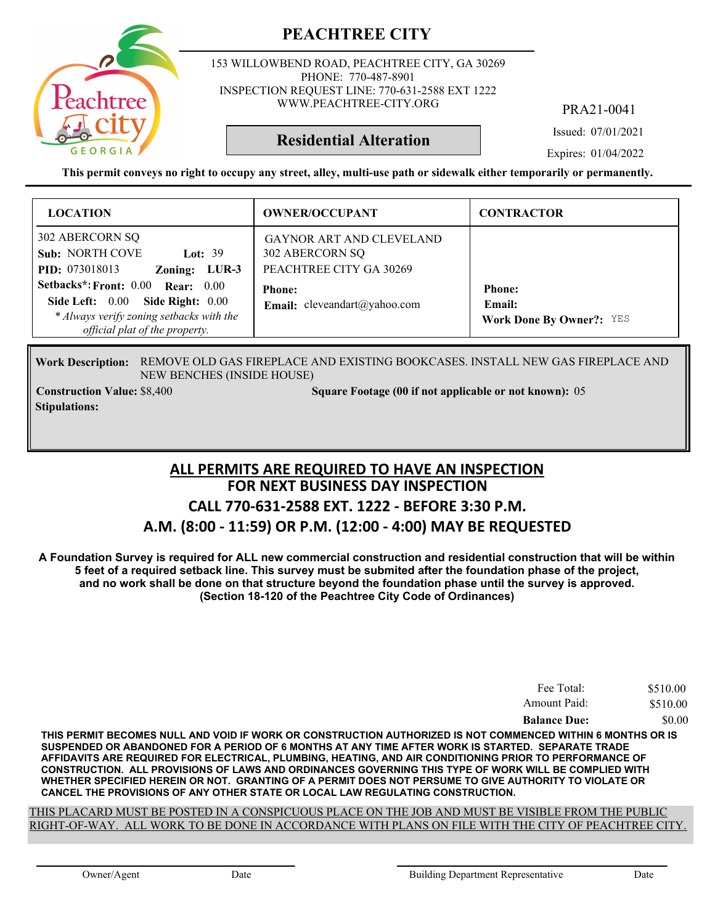

153 WILLOWBEND ROAD, PEACHTREE CITY, GA 30269 PHONE: 770-487-8901 INSPECTION REQUEST LINE: 770-631-2588 EXT 1222 WWW.PEACHTREE-CITY.ORG

PRA21-0041

Issued: 07/01/2021

**Residential Alteration**

Expires: 01/04/2022

**This permit conveys no right to occupy any street, alley, multi-use path or sidewalk either temporarily or permanently.**

| <b>LOCATION</b>                                                                                                                                     | <b>OWNER/OCCUPANT</b>                                                         | <b>CONTRACTOR</b>                                          |
|-----------------------------------------------------------------------------------------------------------------------------------------------------|-------------------------------------------------------------------------------|------------------------------------------------------------|
| 302 ABERCORN SQ<br><b>Sub: NORTH COVE</b><br>Lot: $39$<br><b>PID:</b> 073018013<br>Zoning: LUR-3                                                    | <b>GAYNOR ART AND CLEVELAND</b><br>302 ABERCORN SQ<br>PEACHTREE CITY GA 30269 |                                                            |
| Setbacks*: Front: 0.00 Rear: 0.00<br>Side Left: 0.00 Side Right: 0.00<br>* Always verify zoning setbacks with the<br>official plat of the property. | <b>Phone:</b><br><b>Email:</b> cleveandart@yahoo.com                          | <b>Phone:</b><br>Email:<br><b>Work Done By Owner?: YES</b> |

Work Description: REMOVE OLD GAS FIREPLACE AND EXISTING BOOKCASES. INSTALL NEW GAS FIREPLACE AND NEW BENCHES (INSIDE HOUSE)

**Stipulations:**

**Construction Value:** \$8,400 **50.50 Square Footage (00 if not applicable or not known): 05** 

#### **FOR NEXT BUSINESS DAY INSPECTION CALL 770-631-2588 EXT. 1222 - BEFORE 3:30 P.M. A.M. (8:00 - 11:59) OR P.M. (12:00 - 4:00) MAY BE REQUESTED ALL PERMITS ARE REQUIRED TO HAVE AN INSPECTION**

**A Foundation Survey is required for ALL new commercial construction and residential construction that will be within 5 feet of a required setback line. This survey must be submited after the foundation phase of the project, and no work shall be done on that structure beyond the foundation phase until the survey is approved. (Section 18-120 of the Peachtree City Code of Ordinances)**

| Fee Total:          | \$510.00 |
|---------------------|----------|
| Amount Paid:        | \$510.00 |
| <b>Balance Due:</b> | \$0.00   |

**THIS PERMIT BECOMES NULL AND VOID IF WORK OR CONSTRUCTION AUTHORIZED IS NOT COMMENCED WITHIN 6 MONTHS OR IS SUSPENDED OR ABANDONED FOR A PERIOD OF 6 MONTHS AT ANY TIME AFTER WORK IS STARTED. SEPARATE TRADE AFFIDAVITS ARE REQUIRED FOR ELECTRICAL, PLUMBING, HEATING, AND AIR CONDITIONING PRIOR TO PERFORMANCE OF CONSTRUCTION. ALL PROVISIONS OF LAWS AND ORDINANCES GOVERNING THIS TYPE OF WORK WILL BE COMPLIED WITH WHETHER SPECIFIED HEREIN OR NOT. GRANTING OF A PERMIT DOES NOT PERSUME TO GIVE AUTHORITY TO VIOLATE OR CANCEL THE PROVISIONS OF ANY OTHER STATE OR LOCAL LAW REGULATING CONSTRUCTION.**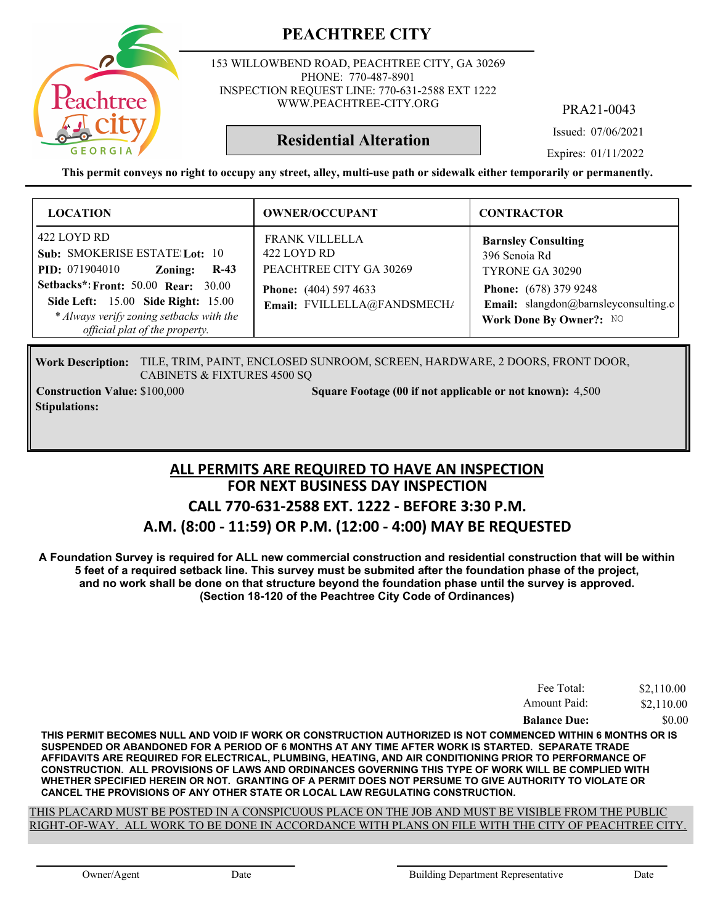153 WILLOWBEND ROAD, PEACHTREE CITY, GA 30269 PHONE: 770-487-8901 INSPECTION REQUEST LINE: 770-631-2588 EXT 1222 WWW.PEACHTREE-CITY.ORG

PRA21-0043

Issued: 07/06/2021

Expires: 01/11/2022

**This permit conveys no right to occupy any street, alley, multi-use path or sidewalk either temporarily or permanently.**

**Residential Alteration**

| <b>LOCATION</b>                                                                                                                                                                                                                                              | <b>OWNER/OCCUPANT</b>                                                                                                          | <b>CONTRACTOR</b>                                                                                                                                                        |
|--------------------------------------------------------------------------------------------------------------------------------------------------------------------------------------------------------------------------------------------------------------|--------------------------------------------------------------------------------------------------------------------------------|--------------------------------------------------------------------------------------------------------------------------------------------------------------------------|
| 422 LOYD RD<br>Sub: SMOKERISE ESTATE Lot: 10<br><b>PID:</b> 071904010<br>$R-43$<br>Zoning:<br><b>Setbacks*: Front: 50.00 Rear: 30.00</b><br>Side Left: 15.00 Side Right: 15.00<br>* Always verify zoning setbacks with the<br>official plat of the property. | <b>FRANK VILLELLA</b><br>422 LOYD RD<br>PEACHTREE CITY GA 30269<br><b>Phone:</b> (404) 597 4633<br>Email: FVILLELLA@FANDSMECH/ | <b>Barnsley Consulting</b><br>396 Senoia Rd<br>TYRONE GA 30290<br><b>Phone:</b> (678) 379 9248<br><b>Email:</b> slangdon@barnsleyconsulting.c<br>Work Done By Owner?: NO |

Work Description: TILE, TRIM, PAINT, ENCLOSED SUNROOM, SCREEN, HARDWARE, 2 DOORS, FRONT DOOR, CABINETS & FIXTURES 4500 SQ

**Stipulations:**

**Construction Value:** \$100,000 5 5 5 8 8 8 8 8 8 8 8 8 8 8 9 4,500 4,500 4,500 4,500 4,500 4,500 4,500 4,500 4,500

#### **FOR NEXT BUSINESS DAY INSPECTION CALL 770-631-2588 EXT. 1222 - BEFORE 3:30 P.M. A.M. (8:00 - 11:59) OR P.M. (12:00 - 4:00) MAY BE REQUESTED ALL PERMITS ARE REQUIRED TO HAVE AN INSPECTION**

**A Foundation Survey is required for ALL new commercial construction and residential construction that will be within 5 feet of a required setback line. This survey must be submited after the foundation phase of the project, and no work shall be done on that structure beyond the foundation phase until the survey is approved. (Section 18-120 of the Peachtree City Code of Ordinances)**

| Fee Total:          | \$2,110.00 |
|---------------------|------------|
| Amount Paid:        | \$2,110.00 |
| <b>Balance Due:</b> | \$0.00     |

**THIS PERMIT BECOMES NULL AND VOID IF WORK OR CONSTRUCTION AUTHORIZED IS NOT COMMENCED WITHIN 6 MONTHS OR IS SUSPENDED OR ABANDONED FOR A PERIOD OF 6 MONTHS AT ANY TIME AFTER WORK IS STARTED. SEPARATE TRADE AFFIDAVITS ARE REQUIRED FOR ELECTRICAL, PLUMBING, HEATING, AND AIR CONDITIONING PRIOR TO PERFORMANCE OF CONSTRUCTION. ALL PROVISIONS OF LAWS AND ORDINANCES GOVERNING THIS TYPE OF WORK WILL BE COMPLIED WITH WHETHER SPECIFIED HEREIN OR NOT. GRANTING OF A PERMIT DOES NOT PERSUME TO GIVE AUTHORITY TO VIOLATE OR CANCEL THE PROVISIONS OF ANY OTHER STATE OR LOCAL LAW REGULATING CONSTRUCTION.**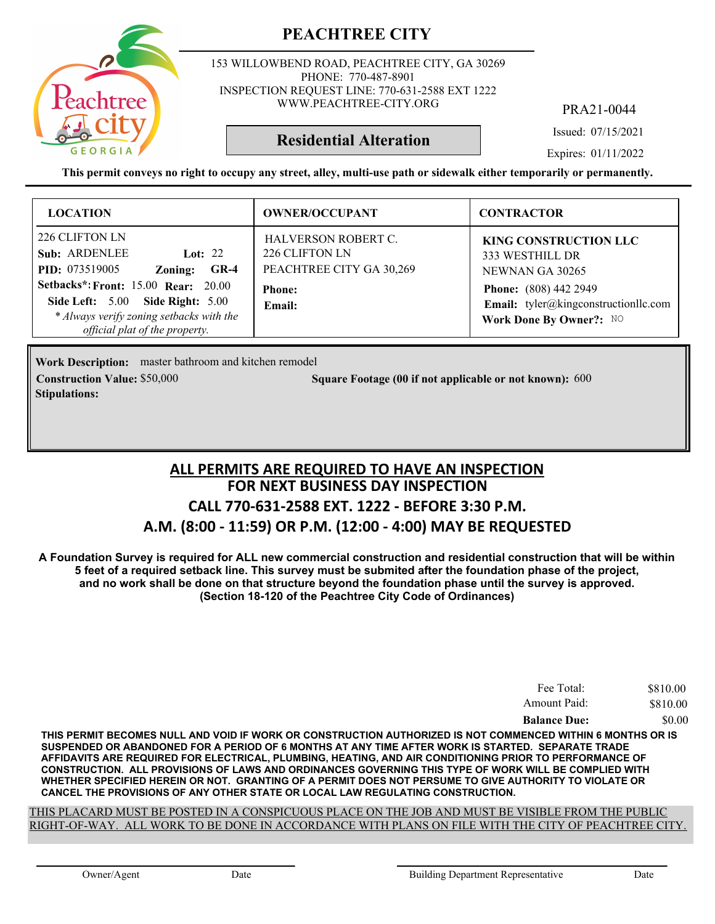

153 WILLOWBEND ROAD, PEACHTREE CITY, GA 30269 PHONE: 770-487-8901 INSPECTION REQUEST LINE: 770-631-2588 EXT 1222 WWW.PEACHTREE-CITY.ORG

PRA21-0044

Issued: 07/15/2021

Expires: 01/11/2022

**This permit conveys no right to occupy any street, alley, multi-use path or sidewalk either temporarily or permanently.**

**Residential Alteration**

| <b>LOCATION</b>                                                                                                                                                                                                                                            | <b>OWNER/OCCUPANT</b>                                                                               | <b>CONTRACTOR</b>                                                                                                                                              |
|------------------------------------------------------------------------------------------------------------------------------------------------------------------------------------------------------------------------------------------------------------|-----------------------------------------------------------------------------------------------------|----------------------------------------------------------------------------------------------------------------------------------------------------------------|
| 226 CLIFTON LN<br>Sub: ARDENLEE<br>Lot: $22$<br><b>PID:</b> 073519005<br>$GR-4$<br>Zoning:<br><b>Setbacks*: Front: 15.00 Rear: 20.00</b><br>Side Left: 5.00 Side Right: 5.00<br>* Always verify zoning setbacks with the<br>official plat of the property. | <b>HALVERSON ROBERT C.</b><br>226 CLIFTON LN<br>PEACHTREE CITY GA 30,269<br><b>Phone:</b><br>Email: | KING CONSTRUCTION LLC<br>333 WESTHILL DR<br>NEWNAN GA 30265<br><b>Phone:</b> (808) 442 2949<br>Email: tyler@kingconstructionllc.com<br>Work Done By Owner?: NO |

Work Description: master bathroom and kitchen remodel **Construction Value:** \$50,000 600 **Square Footage (00 if not applicable or not known): 600 Stipulations:**

#### **FOR NEXT BUSINESS DAY INSPECTION CALL 770-631-2588 EXT. 1222 - BEFORE 3:30 P.M. A.M. (8:00 - 11:59) OR P.M. (12:00 - 4:00) MAY BE REQUESTED ALL PERMITS ARE REQUIRED TO HAVE AN INSPECTION**

**A Foundation Survey is required for ALL new commercial construction and residential construction that will be within 5 feet of a required setback line. This survey must be submited after the foundation phase of the project, and no work shall be done on that structure beyond the foundation phase until the survey is approved. (Section 18-120 of the Peachtree City Code of Ordinances)**

| Fee Total:          | \$810.00 |
|---------------------|----------|
| Amount Paid:        | \$810.00 |
| <b>Balance Due:</b> | \$0.00   |

**THIS PERMIT BECOMES NULL AND VOID IF WORK OR CONSTRUCTION AUTHORIZED IS NOT COMMENCED WITHIN 6 MONTHS OR IS SUSPENDED OR ABANDONED FOR A PERIOD OF 6 MONTHS AT ANY TIME AFTER WORK IS STARTED. SEPARATE TRADE AFFIDAVITS ARE REQUIRED FOR ELECTRICAL, PLUMBING, HEATING, AND AIR CONDITIONING PRIOR TO PERFORMANCE OF CONSTRUCTION. ALL PROVISIONS OF LAWS AND ORDINANCES GOVERNING THIS TYPE OF WORK WILL BE COMPLIED WITH WHETHER SPECIFIED HEREIN OR NOT. GRANTING OF A PERMIT DOES NOT PERSUME TO GIVE AUTHORITY TO VIOLATE OR CANCEL THE PROVISIONS OF ANY OTHER STATE OR LOCAL LAW REGULATING CONSTRUCTION.**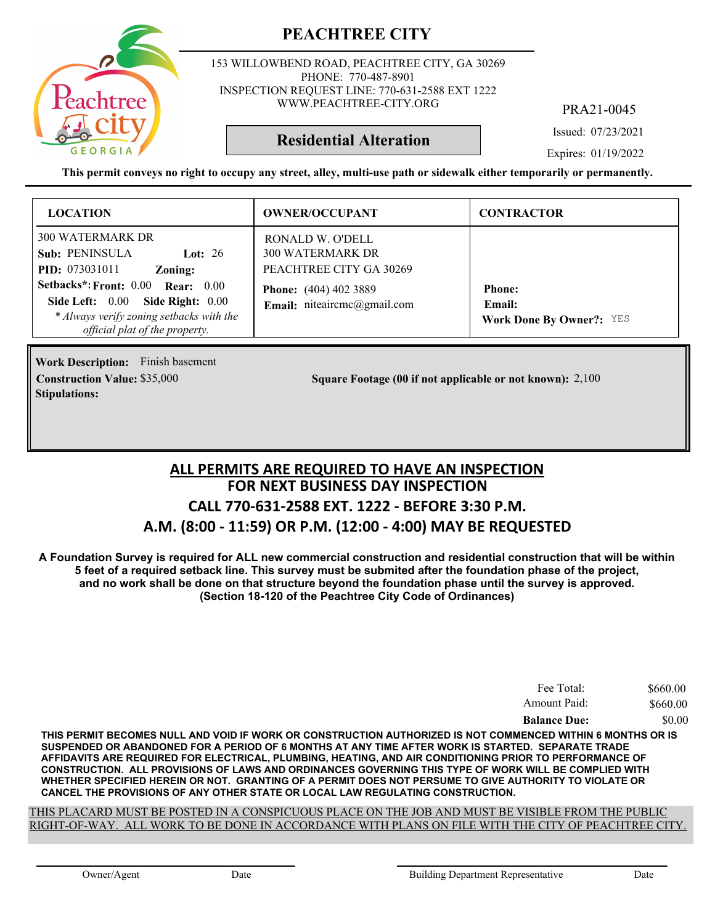

153 WILLOWBEND ROAD, PEACHTREE CITY, GA 30269 PHONE: 770-487-8901 INSPECTION REQUEST LINE: 770-631-2588 EXT 1222 WWW.PEACHTREE-CITY.ORG

PRA21-0045

Issued: 07/23/2021

#### **Residential Alteration**

Expires: 01/19/2022

**This permit conveys no right to occupy any street, alley, multi-use path or sidewalk either temporarily or permanently.**

| <b>LOCATION</b>                                                                                                                                          | <b>OWNER/OCCUPANT</b>                                                  | <b>CONTRACTOR</b>                                          |
|----------------------------------------------------------------------------------------------------------------------------------------------------------|------------------------------------------------------------------------|------------------------------------------------------------|
| <b>300 WATERMARK DR</b><br>Sub: PENINSULA<br>Lot: $26$<br><b>PID:</b> 073031011<br>Zoning:                                                               | RONALD W. O'DELL<br><b>300 WATERMARK DR</b><br>PEACHTREE CITY GA 30269 |                                                            |
| Setbacks*: Front: 0.00 Rear: 0.00<br>Side Left: 0.00<br>Side Right: $0.00$<br>* Always verify zoning setbacks with the<br>official plat of the property. | <b>Phone:</b> (404) 402 3889<br>Email: niteaircmc@gmail.com            | <b>Phone:</b><br>Email:<br><b>Work Done By Owner?: YES</b> |

**Work Description:** Finish basement **Stipulations:**

**Construction Value:** \$35,000 2,100 **2,100** 2,100 **2,100** 2,100 **2,100** 2,100 **2,100** 2,100

#### **FOR NEXT BUSINESS DAY INSPECTION CALL 770-631-2588 EXT. 1222 - BEFORE 3:30 P.M. A.M. (8:00 - 11:59) OR P.M. (12:00 - 4:00) MAY BE REQUESTED ALL PERMITS ARE REQUIRED TO HAVE AN INSPECTION**

**A Foundation Survey is required for ALL new commercial construction and residential construction that will be within 5 feet of a required setback line. This survey must be submited after the foundation phase of the project, and no work shall be done on that structure beyond the foundation phase until the survey is approved. (Section 18-120 of the Peachtree City Code of Ordinances)**

| Fee Total:          | \$660.00 |
|---------------------|----------|
| Amount Paid:        | \$660.00 |
| <b>Balance Due:</b> | \$0.00   |

**THIS PERMIT BECOMES NULL AND VOID IF WORK OR CONSTRUCTION AUTHORIZED IS NOT COMMENCED WITHIN 6 MONTHS OR IS SUSPENDED OR ABANDONED FOR A PERIOD OF 6 MONTHS AT ANY TIME AFTER WORK IS STARTED. SEPARATE TRADE AFFIDAVITS ARE REQUIRED FOR ELECTRICAL, PLUMBING, HEATING, AND AIR CONDITIONING PRIOR TO PERFORMANCE OF CONSTRUCTION. ALL PROVISIONS OF LAWS AND ORDINANCES GOVERNING THIS TYPE OF WORK WILL BE COMPLIED WITH WHETHER SPECIFIED HEREIN OR NOT. GRANTING OF A PERMIT DOES NOT PERSUME TO GIVE AUTHORITY TO VIOLATE OR CANCEL THE PROVISIONS OF ANY OTHER STATE OR LOCAL LAW REGULATING CONSTRUCTION.**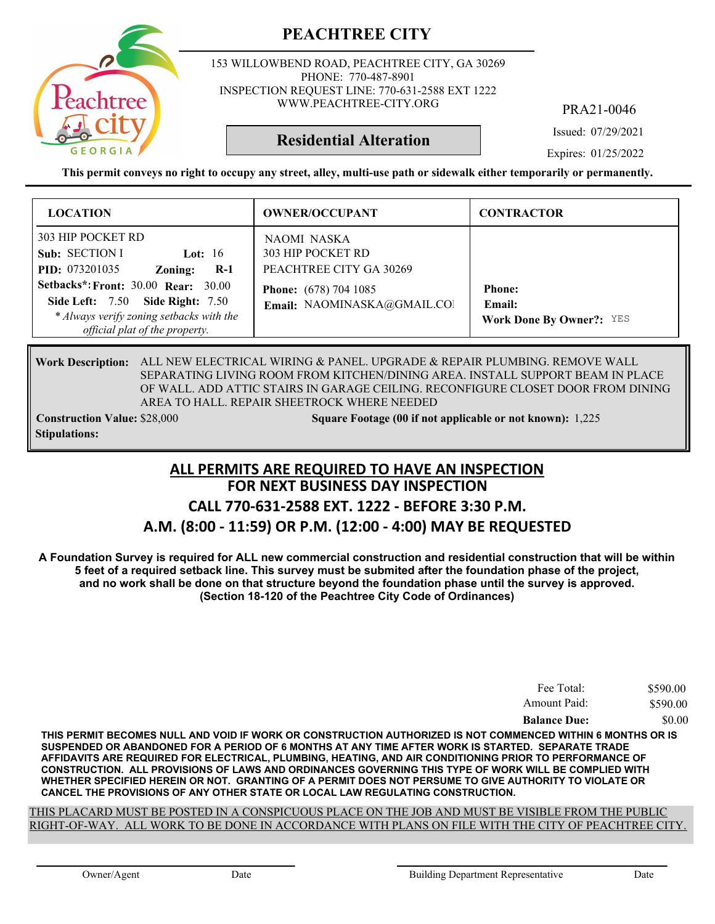

153 WILLOWBEND ROAD, PEACHTREE CITY, GA 30269 PHONE: 770-487-8901 INSPECTION REQUEST LINE: 770-631-2588 EXT 1222 WWW.PEACHTREE-CITY.ORG

PRA21-0046

Issued: 07/29/2021

**Residential Alteration**

Expires: 01/25/2022

**This permit conveys no right to occupy any street, alley, multi-use path or sidewalk either temporarily or permanently.**

| <b>LOCATION</b>                                                                                                                                                     | <b>OWNER/OCCUPANT</b>                                       | <b>CONTRACTOR</b>                                          |
|---------------------------------------------------------------------------------------------------------------------------------------------------------------------|-------------------------------------------------------------|------------------------------------------------------------|
| 303 HIP POCKET RD<br>Sub: SECTION I<br>Lot: $16$<br><b>PID:</b> 073201035<br>$R-1$<br>Zoning:                                                                       | NAOMI NASKA<br>303 HIP POCKET RD<br>PEACHTREE CITY GA 30269 |                                                            |
| <b>Setbacks*: Front: 30.00 Rear: 30.00</b><br><b>Side Left: 7.50 Side Right: 7.50</b><br>* Always verify zoning setbacks with the<br>official plat of the property. | <b>Phone:</b> (678) 704 1085<br>Email: NAOMINASKA@GMAIL.CO. | <b>Phone:</b><br>Email:<br><b>Work Done By Owner?: YES</b> |

Work Description: ALL NEW ELECTRICAL WIRING & PANEL. UPGRADE & REPAIR PLUMBING. REMOVE WALL SEPARATING LIVING ROOM FROM KITCHEN/DINING AREA. INSTALL SUPPORT BEAM IN PLACE OF WALL. ADD ATTIC STAIRS IN GARAGE CEILING. RECONFIGURE CLOSET DOOR FROM DINING AREA TO HALL. REPAIR SHEETROCK WHERE NEEDED

**Stipulations:**

**Construction Value:** \$28,000 1,225 Square Footage (00 if not applicable or not known): 1,225

#### **FOR NEXT BUSINESS DAY INSPECTION ALL PERMITS ARE REQUIRED TO HAVE AN INSPECTION**

## **CALL 770-631-2588 EXT. 1222 - BEFORE 3:30 P.M.**

#### **A.M. (8:00 - 11:59) OR P.M. (12:00 - 4:00) MAY BE REQUESTED**

**A Foundation Survey is required for ALL new commercial construction and residential construction that will be within 5 feet of a required setback line. This survey must be submited after the foundation phase of the project, and no work shall be done on that structure beyond the foundation phase until the survey is approved. (Section 18-120 of the Peachtree City Code of Ordinances)**

| Fee Total:          | \$590.00 |
|---------------------|----------|
| Amount Paid:        | \$590.00 |
| <b>Balance Due:</b> | \$0.00   |

**THIS PERMIT BECOMES NULL AND VOID IF WORK OR CONSTRUCTION AUTHORIZED IS NOT COMMENCED WITHIN 6 MONTHS OR IS SUSPENDED OR ABANDONED FOR A PERIOD OF 6 MONTHS AT ANY TIME AFTER WORK IS STARTED. SEPARATE TRADE AFFIDAVITS ARE REQUIRED FOR ELECTRICAL, PLUMBING, HEATING, AND AIR CONDITIONING PRIOR TO PERFORMANCE OF CONSTRUCTION. ALL PROVISIONS OF LAWS AND ORDINANCES GOVERNING THIS TYPE OF WORK WILL BE COMPLIED WITH WHETHER SPECIFIED HEREIN OR NOT. GRANTING OF A PERMIT DOES NOT PERSUME TO GIVE AUTHORITY TO VIOLATE OR CANCEL THE PROVISIONS OF ANY OTHER STATE OR LOCAL LAW REGULATING CONSTRUCTION.**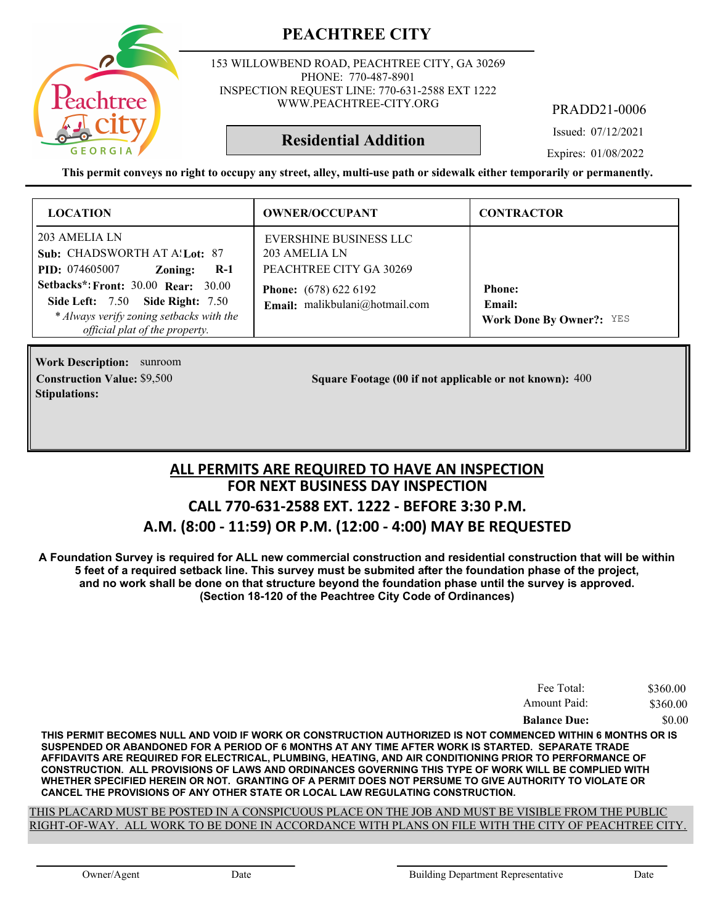

153 WILLOWBEND ROAD, PEACHTREE CITY, GA 30269 PHONE: 770-487-8901 INSPECTION REQUEST LINE: 770-631-2588 EXT 1222 WWW.PEACHTREE-CITY.ORG

PRADD21-0006

Issued: 07/12/2021

#### **Residential Addition**

Expires: 01/08/2022

**This permit conveys no right to occupy any street, alley, multi-use path or sidewalk either temporarily or permanently.**

| <b>LOCATION</b>                                                                                                                                                     | <b>OWNER/OCCUPANT</b>                                              | <b>CONTRACTOR</b>                                                 |
|---------------------------------------------------------------------------------------------------------------------------------------------------------------------|--------------------------------------------------------------------|-------------------------------------------------------------------|
| 203 AMELIA LN<br>Sub: CHADSWORTH AT A'Lot: 87<br><b>PID:</b> 074605007<br>Zoning:<br>$R-1$                                                                          | EVERSHINE BUSINESS LLC<br>203 AMELIA LN<br>PEACHTREE CITY GA 30269 |                                                                   |
| <b>Setbacks*: Front: 30.00 Rear: 30.00</b><br><b>Side Left: 7.50 Side Right: 7.50</b><br>* Always verify zoning setbacks with the<br>official plat of the property. | <b>Phone:</b> (678) 622 6192<br>Email: malikbulani@hotmail.com     | <b>Phone:</b><br><b>Email:</b><br><b>Work Done By Owner?: YES</b> |

**Work Description:** sunroom **Stipulations:**

**Construction Value: Square Footage (00 if not applicable or not known):** \$9,500 400

#### **FOR NEXT BUSINESS DAY INSPECTION CALL 770-631-2588 EXT. 1222 - BEFORE 3:30 P.M. A.M. (8:00 - 11:59) OR P.M. (12:00 - 4:00) MAY BE REQUESTED ALL PERMITS ARE REQUIRED TO HAVE AN INSPECTION**

**A Foundation Survey is required for ALL new commercial construction and residential construction that will be within 5 feet of a required setback line. This survey must be submited after the foundation phase of the project, and no work shall be done on that structure beyond the foundation phase until the survey is approved. (Section 18-120 of the Peachtree City Code of Ordinances)**

| Fee Total:          | \$360.00 |
|---------------------|----------|
| Amount Paid:        | \$360.00 |
| <b>Balance Due:</b> | \$0.00   |

**THIS PERMIT BECOMES NULL AND VOID IF WORK OR CONSTRUCTION AUTHORIZED IS NOT COMMENCED WITHIN 6 MONTHS OR IS SUSPENDED OR ABANDONED FOR A PERIOD OF 6 MONTHS AT ANY TIME AFTER WORK IS STARTED. SEPARATE TRADE AFFIDAVITS ARE REQUIRED FOR ELECTRICAL, PLUMBING, HEATING, AND AIR CONDITIONING PRIOR TO PERFORMANCE OF CONSTRUCTION. ALL PROVISIONS OF LAWS AND ORDINANCES GOVERNING THIS TYPE OF WORK WILL BE COMPLIED WITH WHETHER SPECIFIED HEREIN OR NOT. GRANTING OF A PERMIT DOES NOT PERSUME TO GIVE AUTHORITY TO VIOLATE OR CANCEL THE PROVISIONS OF ANY OTHER STATE OR LOCAL LAW REGULATING CONSTRUCTION.**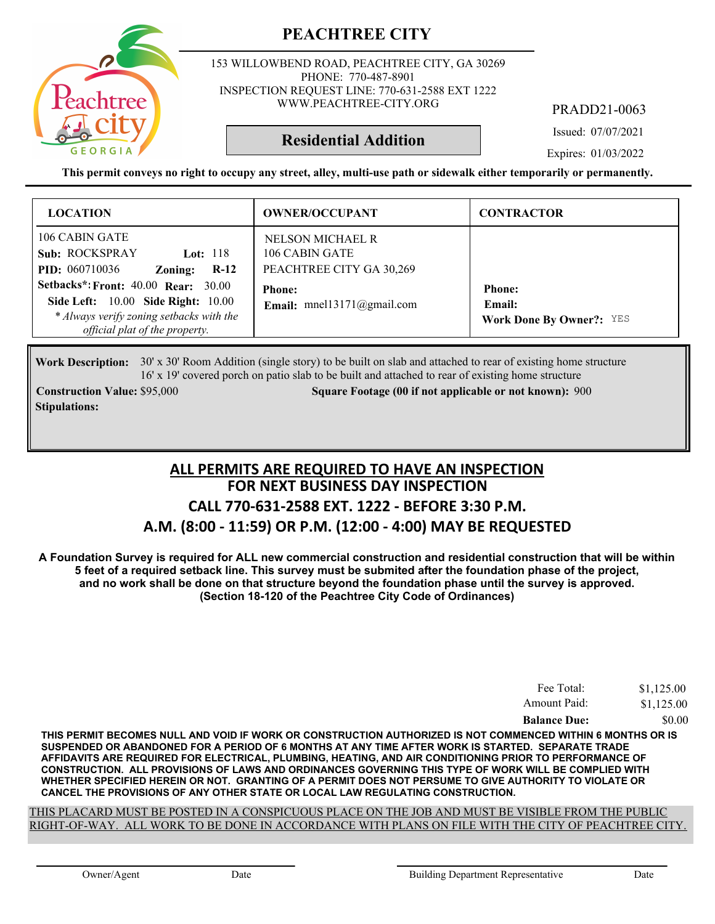

153 WILLOWBEND ROAD, PEACHTREE CITY, GA 30269 PHONE: 770-487-8901 INSPECTION REQUEST LINE: 770-631-2588 EXT 1222 WWW.PEACHTREE-CITY.ORG

PRADD21-0063

Issued: 07/07/2021

Expires: 01/03/2022

**This permit conveys no right to occupy any street, alley, multi-use path or sidewalk either temporarily or permanently.**

**Residential Addition**

| <b>LOCATION</b>                                                                                                                                                                                                                                                                     | <b>OWNER/OCCUPANT</b>                                                                                              | <b>CONTRACTOR</b>                                          |
|-------------------------------------------------------------------------------------------------------------------------------------------------------------------------------------------------------------------------------------------------------------------------------------|--------------------------------------------------------------------------------------------------------------------|------------------------------------------------------------|
| 106 CABIN GATE<br><b>Sub: ROCKSPRAY</b><br>Lot: $118$<br><b>PID:</b> 060710036<br>$R-12$<br>Zoning:<br><b>Setbacks*: Front: 40.00 Rear: 30.00</b><br><b>Side Left:</b> 10.00 <b>Side Right:</b> 10.00<br>* Always verify zoning setbacks with the<br>official plat of the property. | NELSON MICHAEL R<br>106 CABIN GATE<br>PEACHTREE CITY GA 30,269<br><b>Phone:</b><br>Email: mnel $13171$ (@gmail.com | <b>Phone:</b><br>Email:<br><b>Work Done By Owner?: YES</b> |

Work Description: 30' x 30' Room Addition (single story) to be built on slab and attached to rear of existing home structure 16' x 19' covered porch on patio slab to be built and attached to rear of existing home structure

**Stipulations:**

**Construction Value:** \$95,000 Square Footage (00 if not applicable or not known): 900

#### **FOR NEXT BUSINESS DAY INSPECTION CALL 770-631-2588 EXT. 1222 - BEFORE 3:30 P.M. A.M. (8:00 - 11:59) OR P.M. (12:00 - 4:00) MAY BE REQUESTED ALL PERMITS ARE REQUIRED TO HAVE AN INSPECTION**

**A Foundation Survey is required for ALL new commercial construction and residential construction that will be within 5 feet of a required setback line. This survey must be submited after the foundation phase of the project, and no work shall be done on that structure beyond the foundation phase until the survey is approved. (Section 18-120 of the Peachtree City Code of Ordinances)**

| <b>Balance Due:</b> | \$0.00     |
|---------------------|------------|
| Amount Paid:        | \$1,125.00 |
| Fee Total:          | \$1,125.00 |

**THIS PERMIT BECOMES NULL AND VOID IF WORK OR CONSTRUCTION AUTHORIZED IS NOT COMMENCED WITHIN 6 MONTHS OR IS SUSPENDED OR ABANDONED FOR A PERIOD OF 6 MONTHS AT ANY TIME AFTER WORK IS STARTED. SEPARATE TRADE AFFIDAVITS ARE REQUIRED FOR ELECTRICAL, PLUMBING, HEATING, AND AIR CONDITIONING PRIOR TO PERFORMANCE OF CONSTRUCTION. ALL PROVISIONS OF LAWS AND ORDINANCES GOVERNING THIS TYPE OF WORK WILL BE COMPLIED WITH WHETHER SPECIFIED HEREIN OR NOT. GRANTING OF A PERMIT DOES NOT PERSUME TO GIVE AUTHORITY TO VIOLATE OR CANCEL THE PROVISIONS OF ANY OTHER STATE OR LOCAL LAW REGULATING CONSTRUCTION.**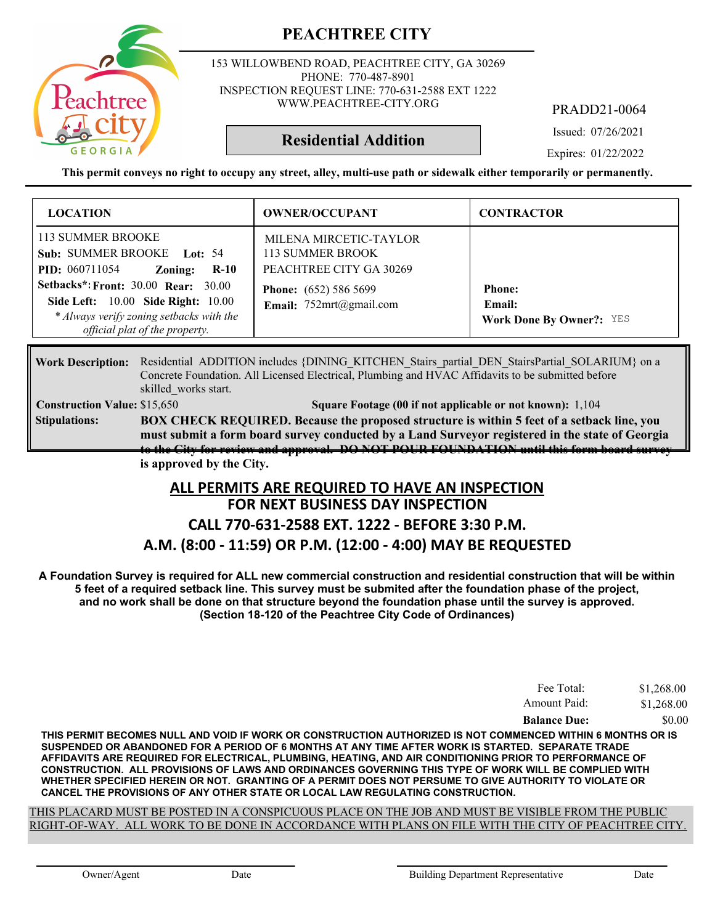153 WILLOWBEND ROAD, PEACHTREE CITY, GA 30269 PHONE: 770-487-8901 INSPECTION REQUEST LINE: 770-631-2588 EXT 1222 WWW.PEACHTREE-CITY.ORG

PRADD21-0064

Issued: 07/26/2021

Expires: 01/22/2022

**This permit conveys no right to occupy any street, alley, multi-use path or sidewalk either temporarily or permanently.**

**Residential Addition**

| <b>LOCATION</b>                                                                                                                                                              | <b>OWNER/OCCUPANT</b>                                                 | <b>CONTRACTOR</b>                                          |
|------------------------------------------------------------------------------------------------------------------------------------------------------------------------------|-----------------------------------------------------------------------|------------------------------------------------------------|
| 113 SUMMER BROOKE<br>Sub: SUMMER BROOKE Lot: 54<br><b>PID:</b> 060711054<br>Zoning:<br>$R-10$                                                                                | MILENA MIRCETIC-TAYLOR<br>113 SUMMER BROOK<br>PEACHTREE CITY GA 30269 |                                                            |
| <b>Setbacks*: Front: 30.00 Rear: 30.00</b><br><b>Side Left:</b> 10.00 <b>Side Right:</b> 10.00<br>* Always verify zoning setbacks with the<br>official plat of the property. | <b>Phone:</b> (652) 586 5699<br>Email: $752mrt@gmail.com$             | <b>Phone:</b><br>Email:<br><b>Work Done By Owner?: YES</b> |

Work Description: Residential ADDITION includes {DINING KITCHEN Stairs partial DEN StairsPartial SOLARIUM} on a Concrete Foundation. All Licensed Electrical, Plumbing and HVAC Affidavits to be submitted before skilled\_works start.

**Construction Value:** \$15,650 50 **Square Footage (00 if not applicable or not known):** 1,104 **BOX CHECK REQUIRED. Because the proposed structure is within 5 feet of a setback line, you must submit a form board survey conducted by a Land Surveyor registered in the state of Georgia to the City for review and approval. DO NOT POUR FOUNDATION until this form board survey is approved by the City. Stipulations:**

#### **FOR NEXT BUSINESS DAY INSPECTION CALL 770-631-2588 EXT. 1222 - BEFORE 3:30 P.M. A.M. (8:00 - 11:59) OR P.M. (12:00 - 4:00) MAY BE REQUESTED ALL PERMITS ARE REQUIRED TO HAVE AN INSPECTION**

**A Foundation Survey is required for ALL new commercial construction and residential construction that will be within 5 feet of a required setback line. This survey must be submited after the foundation phase of the project, and no work shall be done on that structure beyond the foundation phase until the survey is approved. (Section 18-120 of the Peachtree City Code of Ordinances)**

| Fee Total:          | \$1,268.00 |
|---------------------|------------|
| Amount Paid:        | \$1,268.00 |
| <b>Balance Due:</b> | \$0.00     |

**THIS PERMIT BECOMES NULL AND VOID IF WORK OR CONSTRUCTION AUTHORIZED IS NOT COMMENCED WITHIN 6 MONTHS OR IS SUSPENDED OR ABANDONED FOR A PERIOD OF 6 MONTHS AT ANY TIME AFTER WORK IS STARTED. SEPARATE TRADE AFFIDAVITS ARE REQUIRED FOR ELECTRICAL, PLUMBING, HEATING, AND AIR CONDITIONING PRIOR TO PERFORMANCE OF CONSTRUCTION. ALL PROVISIONS OF LAWS AND ORDINANCES GOVERNING THIS TYPE OF WORK WILL BE COMPLIED WITH WHETHER SPECIFIED HEREIN OR NOT. GRANTING OF A PERMIT DOES NOT PERSUME TO GIVE AUTHORITY TO VIOLATE OR CANCEL THE PROVISIONS OF ANY OTHER STATE OR LOCAL LAW REGULATING CONSTRUCTION.**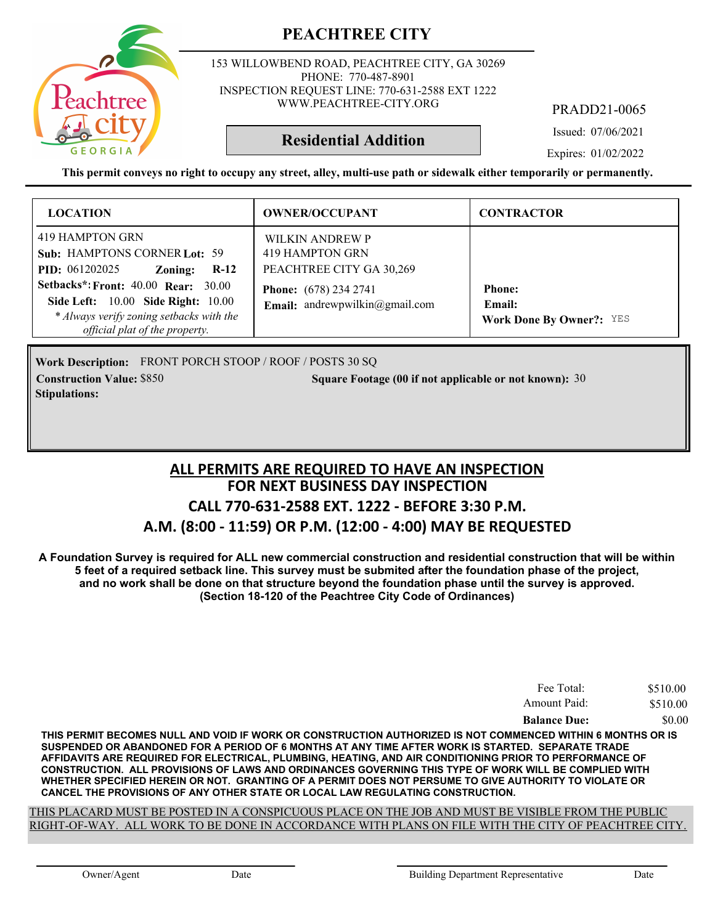

153 WILLOWBEND ROAD, PEACHTREE CITY, GA 30269 PHONE: 770-487-8901 INSPECTION REQUEST LINE: 770-631-2588 EXT 1222 WWW.PEACHTREE-CITY.ORG

PRADD21-0065

Issued: 07/06/2021

**Residential Addition**

Expires: 01/02/2022

**This permit conveys no right to occupy any street, alley, multi-use path or sidewalk either temporarily or permanently.**

| <b>LOCATION</b>                                                                                                                                                              | <b>OWNER/OCCUPANT</b>                                                 | <b>CONTRACTOR</b>                                                 |
|------------------------------------------------------------------------------------------------------------------------------------------------------------------------------|-----------------------------------------------------------------------|-------------------------------------------------------------------|
| 419 HAMPTON GRN<br>Sub: HAMPTONS CORNER Lot: 59<br><b>PID:</b> 061202025<br>$R-12$<br>Zoning:                                                                                | WILKIN ANDREW P<br><b>419 HAMPTON GRN</b><br>PEACHTREE CITY GA 30,269 |                                                                   |
| <b>Setbacks*: Front: 40.00 Rear: 30.00</b><br><b>Side Left:</b> 10.00 <b>Side Right:</b> 10.00<br>* Always verify zoning setbacks with the<br>official plat of the property. | <b>Phone:</b> (678) 234 2741<br>Email: andrewpwilkin@gmail.com        | <b>Phone:</b><br><b>Email:</b><br><b>Work Done By Owner?: YES</b> |

Work Description: FRONT PORCH STOOP / ROOF / POSTS 30 SQ **Construction Value:** \$850 **30 Square Footage (00 if not applicable or not known):** 30 **Stipulations:**

#### **FOR NEXT BUSINESS DAY INSPECTION CALL 770-631-2588 EXT. 1222 - BEFORE 3:30 P.M. A.M. (8:00 - 11:59) OR P.M. (12:00 - 4:00) MAY BE REQUESTED ALL PERMITS ARE REQUIRED TO HAVE AN INSPECTION**

**A Foundation Survey is required for ALL new commercial construction and residential construction that will be within 5 feet of a required setback line. This survey must be submited after the foundation phase of the project, and no work shall be done on that structure beyond the foundation phase until the survey is approved. (Section 18-120 of the Peachtree City Code of Ordinances)**

| Fee Total:          | \$510.00 |
|---------------------|----------|
| Amount Paid:        | \$510.00 |
| <b>Balance Due:</b> | \$0.00   |

**THIS PERMIT BECOMES NULL AND VOID IF WORK OR CONSTRUCTION AUTHORIZED IS NOT COMMENCED WITHIN 6 MONTHS OR IS SUSPENDED OR ABANDONED FOR A PERIOD OF 6 MONTHS AT ANY TIME AFTER WORK IS STARTED. SEPARATE TRADE AFFIDAVITS ARE REQUIRED FOR ELECTRICAL, PLUMBING, HEATING, AND AIR CONDITIONING PRIOR TO PERFORMANCE OF CONSTRUCTION. ALL PROVISIONS OF LAWS AND ORDINANCES GOVERNING THIS TYPE OF WORK WILL BE COMPLIED WITH WHETHER SPECIFIED HEREIN OR NOT. GRANTING OF A PERMIT DOES NOT PERSUME TO GIVE AUTHORITY TO VIOLATE OR CANCEL THE PROVISIONS OF ANY OTHER STATE OR LOCAL LAW REGULATING CONSTRUCTION.**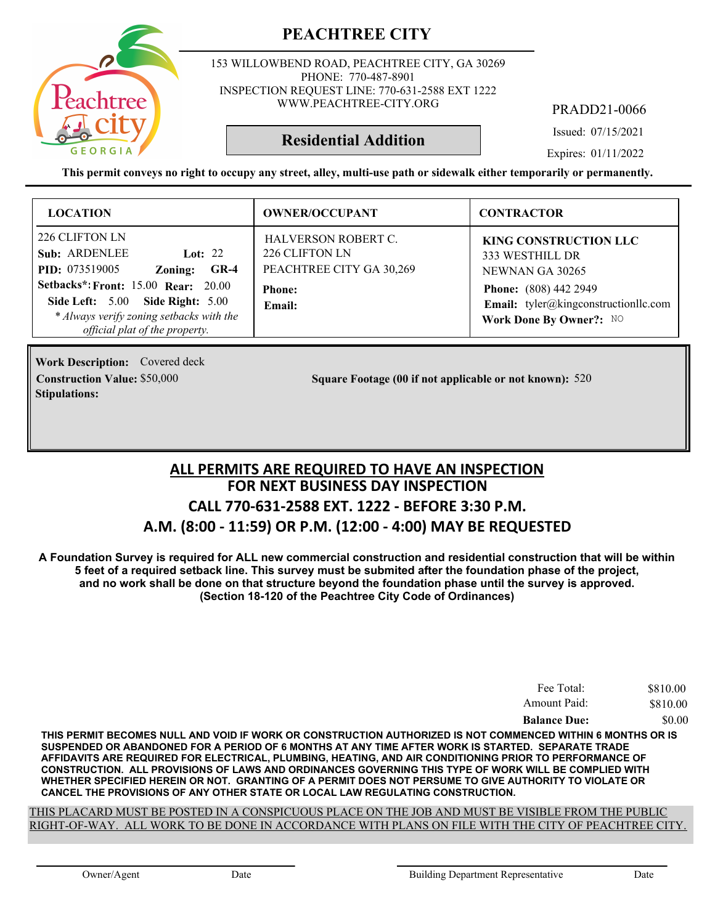

153 WILLOWBEND ROAD, PEACHTREE CITY, GA 30269 PHONE: 770-487-8901 INSPECTION REQUEST LINE: 770-631-2588 EXT 1222 WWW.PEACHTREE-CITY.ORG

PRADD21-0066

Issued: 07/15/2021

Expires: 01/11/2022

**This permit conveys no right to occupy any street, alley, multi-use path or sidewalk either temporarily or permanently.**

**Residential Addition**

| <b>LOCATION</b>                                                                                                                                                                                                                                            | <b>OWNER/OCCUPANT</b>                                                                               | <b>CONTRACTOR</b>                                                                                                                                                     |
|------------------------------------------------------------------------------------------------------------------------------------------------------------------------------------------------------------------------------------------------------------|-----------------------------------------------------------------------------------------------------|-----------------------------------------------------------------------------------------------------------------------------------------------------------------------|
| 226 CLIFTON LN<br>Sub: ARDENLEE<br>Lot: $22$<br><b>PID:</b> 073519005<br>$GR-4$<br>Zoning:<br><b>Setbacks*: Front: 15.00 Rear: 20.00</b><br>Side Left: 5.00 Side Right: 5.00<br>* Always verify zoning setbacks with the<br>official plat of the property. | <b>HALVERSON ROBERT C.</b><br>226 CLIFTON LN<br>PEACHTREE CITY GA 30,269<br><b>Phone:</b><br>Email: | <b>KING CONSTRUCTION LLC</b><br>333 WESTHILL DR<br>NEWNAN GA 30265<br><b>Phone:</b> (808) 442 2949<br>Email: tyler@kingconstructionllc.com<br>Work Done By Owner?: NO |

**Work Description:** Covered deck **Stipulations:**

**Construction Value: Square Footage (00 if not applicable or not known):** \$50,000 520

#### **FOR NEXT BUSINESS DAY INSPECTION CALL 770-631-2588 EXT. 1222 - BEFORE 3:30 P.M. A.M. (8:00 - 11:59) OR P.M. (12:00 - 4:00) MAY BE REQUESTED ALL PERMITS ARE REQUIRED TO HAVE AN INSPECTION**

**A Foundation Survey is required for ALL new commercial construction and residential construction that will be within 5 feet of a required setback line. This survey must be submited after the foundation phase of the project, and no work shall be done on that structure beyond the foundation phase until the survey is approved. (Section 18-120 of the Peachtree City Code of Ordinances)**

| Fee Total:          | \$810.00 |
|---------------------|----------|
| Amount Paid:        | \$810.00 |
| <b>Balance Due:</b> | \$0.00   |

**THIS PERMIT BECOMES NULL AND VOID IF WORK OR CONSTRUCTION AUTHORIZED IS NOT COMMENCED WITHIN 6 MONTHS OR IS SUSPENDED OR ABANDONED FOR A PERIOD OF 6 MONTHS AT ANY TIME AFTER WORK IS STARTED. SEPARATE TRADE AFFIDAVITS ARE REQUIRED FOR ELECTRICAL, PLUMBING, HEATING, AND AIR CONDITIONING PRIOR TO PERFORMANCE OF CONSTRUCTION. ALL PROVISIONS OF LAWS AND ORDINANCES GOVERNING THIS TYPE OF WORK WILL BE COMPLIED WITH WHETHER SPECIFIED HEREIN OR NOT. GRANTING OF A PERMIT DOES NOT PERSUME TO GIVE AUTHORITY TO VIOLATE OR CANCEL THE PROVISIONS OF ANY OTHER STATE OR LOCAL LAW REGULATING CONSTRUCTION.**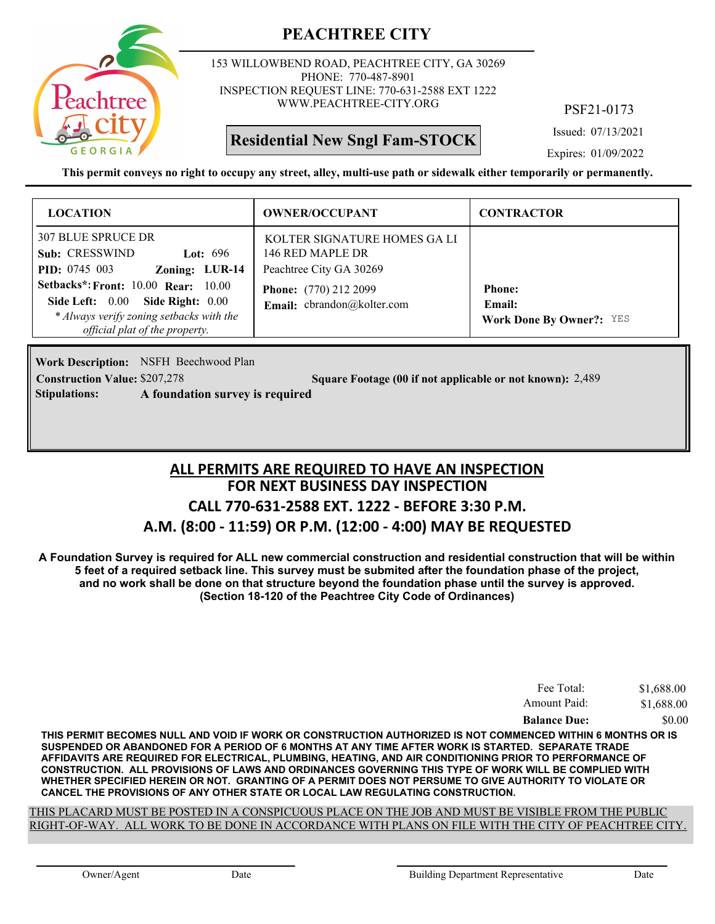

153 WILLOWBEND ROAD, PEACHTREE CITY, GA 30269 PHONE: 770-487-8901 INSPECTION REQUEST LINE: 770-631-2588 EXT 1222 WWW.PEACHTREE-CITY.ORG

## **Residential New Sngl Fam-STOCK**

PSF21-0173

Issued: 07/13/2021

Expires: 01/09/2022

**This permit conveys no right to occupy any street, alley, multi-use path or sidewalk either temporarily or permanently.**

| <b>LOCATION</b>                                                                                                                                              | <b>OWNER/OCCUPANT</b>                                                       | <b>CONTRACTOR</b>                                                 |
|--------------------------------------------------------------------------------------------------------------------------------------------------------------|-----------------------------------------------------------------------------|-------------------------------------------------------------------|
| <b>307 BLUE SPRUCE DR</b><br>Sub: CRESSWIND<br>Lot: $696$<br>Zoning: LUR-14<br><b>PID:</b> 0745 003                                                          | KOLTER SIGNATURE HOMES GA LI<br>146 RED MAPLE DR<br>Peachtree City GA 30269 |                                                                   |
| <b>Setbacks*: Front: 10.00 Rear: 10.00</b><br>Side Left: 0.00 Side Right: 0.00<br>* Always verify zoning setbacks with the<br>official plat of the property. | <b>Phone:</b> (770) 212 2099<br>Email: cbrandon@kolter.com                  | <b>Phone:</b><br><b>Email:</b><br><b>Work Done By Owner?: YES</b> |

Work Description: NSFH Beechwood Plan

**Construction Value: \$207,278 2.489 2.489 2.489 2.489 2.489 2.489 2.489 2.489 2.489 2.489 2.489 2.489 2.489 2.489** 

**Stipulations: A foundation survey is required**

### **FOR NEXT BUSINESS DAY INSPECTION CALL 770-631-2588 EXT. 1222 - BEFORE 3:30 P.M. A.M. (8:00 - 11:59) OR P.M. (12:00 - 4:00) MAY BE REQUESTED ALL PERMITS ARE REQUIRED TO HAVE AN INSPECTION**

**A Foundation Survey is required for ALL new commercial construction and residential construction that will be within 5 feet of a required setback line. This survey must be submited after the foundation phase of the project, and no work shall be done on that structure beyond the foundation phase until the survey is approved. (Section 18-120 of the Peachtree City Code of Ordinances)**

| Fee Total:          | \$1,688.00 |
|---------------------|------------|
| Amount Paid:        | \$1,688.00 |
| <b>Balance Due:</b> | \$0.00     |

**THIS PERMIT BECOMES NULL AND VOID IF WORK OR CONSTRUCTION AUTHORIZED IS NOT COMMENCED WITHIN 6 MONTHS OR IS SUSPENDED OR ABANDONED FOR A PERIOD OF 6 MONTHS AT ANY TIME AFTER WORK IS STARTED. SEPARATE TRADE AFFIDAVITS ARE REQUIRED FOR ELECTRICAL, PLUMBING, HEATING, AND AIR CONDITIONING PRIOR TO PERFORMANCE OF CONSTRUCTION. ALL PROVISIONS OF LAWS AND ORDINANCES GOVERNING THIS TYPE OF WORK WILL BE COMPLIED WITH WHETHER SPECIFIED HEREIN OR NOT. GRANTING OF A PERMIT DOES NOT PERSUME TO GIVE AUTHORITY TO VIOLATE OR CANCEL THE PROVISIONS OF ANY OTHER STATE OR LOCAL LAW REGULATING CONSTRUCTION.**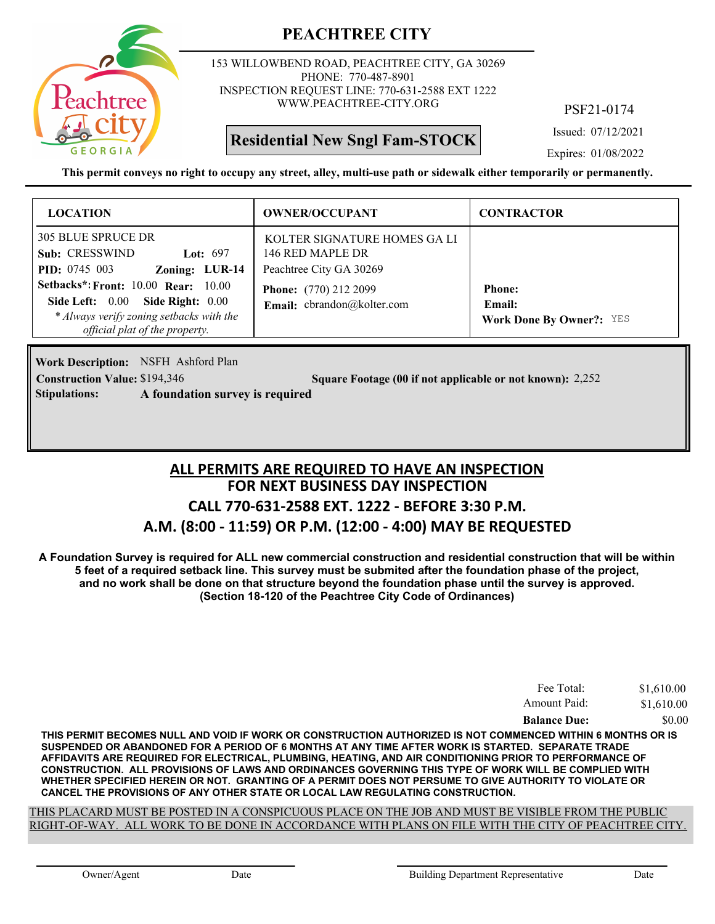

153 WILLOWBEND ROAD, PEACHTREE CITY, GA 30269 PHONE: 770-487-8901 INSPECTION REQUEST LINE: 770-631-2588 EXT 1222 WWW.PEACHTREE-CITY.ORG

**Residential New Sngl Fam-STOCK**

PSF21-0174

Issued: 07/12/2021

Expires: 01/08/2022

**This permit conveys no right to occupy any street, alley, multi-use path or sidewalk either temporarily or permanently.**

| <b>LOCATION</b>                                                                                                                                       | <b>OWNER/OCCUPANT</b>                                                       | <b>CONTRACTOR</b>                                                 |
|-------------------------------------------------------------------------------------------------------------------------------------------------------|-----------------------------------------------------------------------------|-------------------------------------------------------------------|
| <b>305 BLUE SPRUCE DR</b><br>Sub: CRESSWIND<br>Lot: $697$<br>Zoning: LUR-14<br><b>PID:</b> 0745 003                                                   | KOLTER SIGNATURE HOMES GA LI<br>146 RED MAPLE DR<br>Peachtree City GA 30269 |                                                                   |
| Setbacks*: Front: 10.00 Rear: 10.00<br>Side Left: 0.00 Side Right: 0.00<br>* Always verify zoning setbacks with the<br>official plat of the property. | <b>Phone:</b> (770) 212 2099<br>Email: cbrandon@kolter.com                  | <b>Phone:</b><br><b>Email:</b><br><b>Work Done By Owner?: YES</b> |

Work Description: NSFH Ashford Plan **Construction Value:** \$194,346 2,252 **2,252 2,252 2,252 2,252 2,252 2,252 2,252 2,532 2,532 2,252 2,252 2,252 2,252 2,252 2,252 2,252 2,252 2,252 2,252 2,252 2,252 2,252 2,252 2,252 2,252 2,252 2,252 2,252 2,252 2,252 2,25 Stipulations: A foundation survey is required**

> **FOR NEXT BUSINESS DAY INSPECTION CALL 770-631-2588 EXT. 1222 - BEFORE 3:30 P.M. A.M. (8:00 - 11:59) OR P.M. (12:00 - 4:00) MAY BE REQUESTED ALL PERMITS ARE REQUIRED TO HAVE AN INSPECTION**

**A Foundation Survey is required for ALL new commercial construction and residential construction that will be within 5 feet of a required setback line. This survey must be submited after the foundation phase of the project, and no work shall be done on that structure beyond the foundation phase until the survey is approved. (Section 18-120 of the Peachtree City Code of Ordinances)**

| Fee Total:          | \$1,610.00 |
|---------------------|------------|
| Amount Paid:        | \$1,610.00 |
| <b>Balance Due:</b> | \$0.00     |

**THIS PERMIT BECOMES NULL AND VOID IF WORK OR CONSTRUCTION AUTHORIZED IS NOT COMMENCED WITHIN 6 MONTHS OR IS SUSPENDED OR ABANDONED FOR A PERIOD OF 6 MONTHS AT ANY TIME AFTER WORK IS STARTED. SEPARATE TRADE AFFIDAVITS ARE REQUIRED FOR ELECTRICAL, PLUMBING, HEATING, AND AIR CONDITIONING PRIOR TO PERFORMANCE OF CONSTRUCTION. ALL PROVISIONS OF LAWS AND ORDINANCES GOVERNING THIS TYPE OF WORK WILL BE COMPLIED WITH WHETHER SPECIFIED HEREIN OR NOT. GRANTING OF A PERMIT DOES NOT PERSUME TO GIVE AUTHORITY TO VIOLATE OR CANCEL THE PROVISIONS OF ANY OTHER STATE OR LOCAL LAW REGULATING CONSTRUCTION.**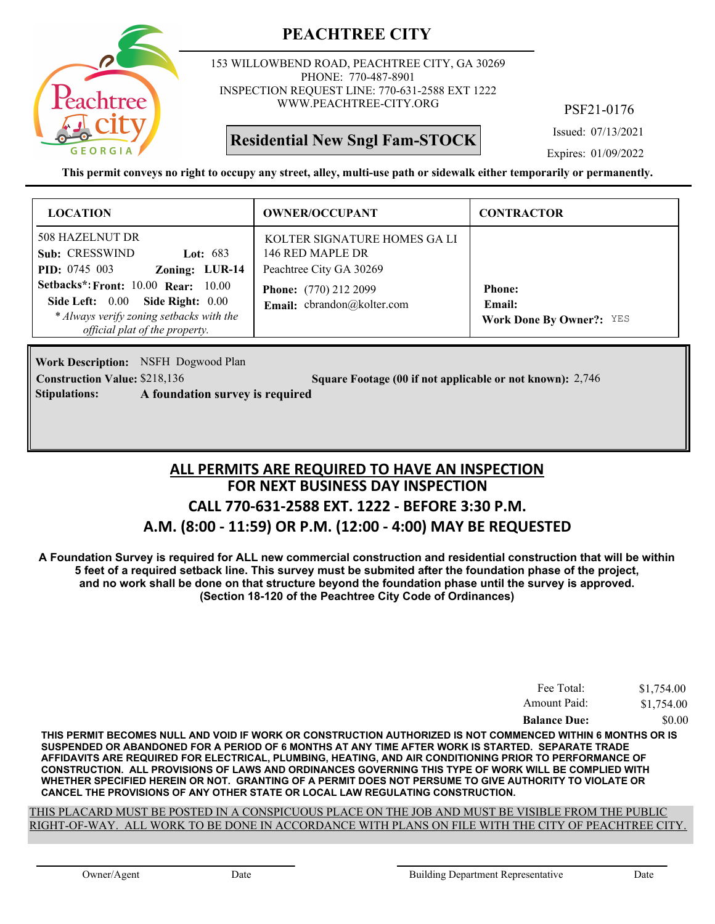

153 WILLOWBEND ROAD, PEACHTREE CITY, GA 30269 PHONE: 770-487-8901 INSPECTION REQUEST LINE: 770-631-2588 EXT 1222 WWW.PEACHTREE-CITY.ORG

## **Residential New Sngl Fam-STOCK**

PSF21-0176

Issued: 07/13/2021

Expires: 01/09/2022

**This permit conveys no right to occupy any street, alley, multi-use path or sidewalk either temporarily or permanently.**

| <b>LOCATION</b>                                                                                                                                              | <b>OWNER/OCCUPANT</b>                                                      | <b>CONTRACTOR</b>                                                 |
|--------------------------------------------------------------------------------------------------------------------------------------------------------------|----------------------------------------------------------------------------|-------------------------------------------------------------------|
| 508 HAZELNUT DR<br>Sub: CRESSWIND<br>Lot: $683$<br>Zoning: LUR-14<br><b>PID:</b> 0745 003                                                                    | KOLTER SIGNATURE HOMES GALI<br>146 RED MAPLE DR<br>Peachtree City GA 30269 |                                                                   |
| <b>Setbacks*: Front: 10.00 Rear: 10.00</b><br>Side Left: 0.00 Side Right: 0.00<br>* Always verify zoning setbacks with the<br>official plat of the property. | <b>Phone:</b> (770) 212 2099<br>Email: cbrandon@kolter.com                 | <b>Phone:</b><br><b>Email:</b><br><b>Work Done By Owner?: YES</b> |

**Work Description:** NSFH Dogwood Plan **Stipulations: A foundation survey is required**

**Construction Value:** \$218,136 2,746 2,746 2,746 2,746 2,746 2,746 2,746 2,746 2,746 2,746 2,746 2,746 2,746 2,746

#### **FOR NEXT BUSINESS DAY INSPECTION CALL 770-631-2588 EXT. 1222 - BEFORE 3:30 P.M. A.M. (8:00 - 11:59) OR P.M. (12:00 - 4:00) MAY BE REQUESTED ALL PERMITS ARE REQUIRED TO HAVE AN INSPECTION**

**A Foundation Survey is required for ALL new commercial construction and residential construction that will be within 5 feet of a required setback line. This survey must be submited after the foundation phase of the project, and no work shall be done on that structure beyond the foundation phase until the survey is approved. (Section 18-120 of the Peachtree City Code of Ordinances)**

| Fee Total:          | \$1,754.00 |
|---------------------|------------|
| Amount Paid:        | \$1,754.00 |
| <b>Balance Due:</b> | \$0.00     |

**THIS PERMIT BECOMES NULL AND VOID IF WORK OR CONSTRUCTION AUTHORIZED IS NOT COMMENCED WITHIN 6 MONTHS OR IS SUSPENDED OR ABANDONED FOR A PERIOD OF 6 MONTHS AT ANY TIME AFTER WORK IS STARTED. SEPARATE TRADE AFFIDAVITS ARE REQUIRED FOR ELECTRICAL, PLUMBING, HEATING, AND AIR CONDITIONING PRIOR TO PERFORMANCE OF CONSTRUCTION. ALL PROVISIONS OF LAWS AND ORDINANCES GOVERNING THIS TYPE OF WORK WILL BE COMPLIED WITH WHETHER SPECIFIED HEREIN OR NOT. GRANTING OF A PERMIT DOES NOT PERSUME TO GIVE AUTHORITY TO VIOLATE OR CANCEL THE PROVISIONS OF ANY OTHER STATE OR LOCAL LAW REGULATING CONSTRUCTION.**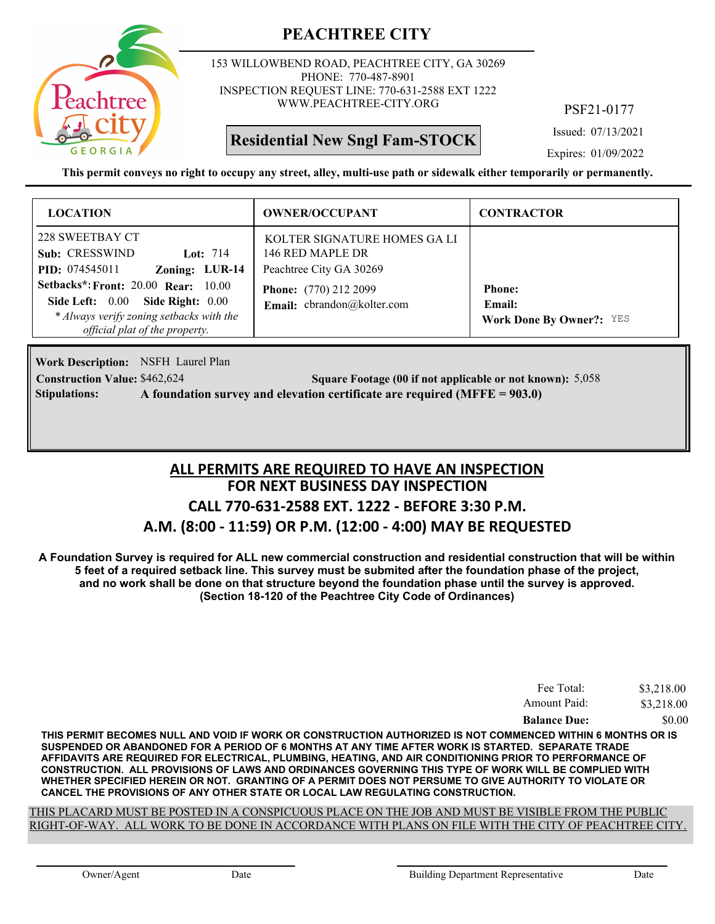

153 WILLOWBEND ROAD, PEACHTREE CITY, GA 30269 PHONE: 770-487-8901 INSPECTION REQUEST LINE: 770-631-2588 EXT 1222 WWW.PEACHTREE-CITY.ORG

## **Residential New Sngl Fam-STOCK**

PSF21-0177

Issued: 07/13/2021

Expires: 01/09/2022

**This permit conveys no right to occupy any street, alley, multi-use path or sidewalk either temporarily or permanently.**

| <b>LOCATION</b>                                                                                                                                                                                                                                            | <b>OWNER/OCCUPANT</b>                                                                                                                     | <b>CONTRACTOR</b>                                          |
|------------------------------------------------------------------------------------------------------------------------------------------------------------------------------------------------------------------------------------------------------------|-------------------------------------------------------------------------------------------------------------------------------------------|------------------------------------------------------------|
| 228 SWEETBAY CT<br>Sub: CRESSWIND<br>Lot: $714$<br>Zoning: LUR-14<br><b>PID:</b> 074545011<br><b>Setbacks*: Front: 20.00 Rear: 10.00</b><br>Side Left: 0.00 Side Right: 0.00<br>* Always verify zoning setbacks with the<br>official plat of the property. | KOLTER SIGNATURE HOMES GA LI<br>146 RED MAPLE DR<br>Peachtree City GA 30269<br><b>Phone:</b> (770) 212 2099<br>Email: cbrandon@kolter.com | <b>Phone:</b><br>Email:<br><b>Work Done By Owner?:</b> YES |

Work Description: NSFH Laurel Plan **Construction Value:** \$462,624 5,058 **Square Footage (00 if not applicable or not known):** 5,058 **Stipulations: A foundation survey and elevation certificate are required (MFFE = 903.0)**

### **FOR NEXT BUSINESS DAY INSPECTION CALL 770-631-2588 EXT. 1222 - BEFORE 3:30 P.M. A.M. (8:00 - 11:59) OR P.M. (12:00 - 4:00) MAY BE REQUESTED ALL PERMITS ARE REQUIRED TO HAVE AN INSPECTION**

**A Foundation Survey is required for ALL new commercial construction and residential construction that will be within 5 feet of a required setback line. This survey must be submited after the foundation phase of the project, and no work shall be done on that structure beyond the foundation phase until the survey is approved. (Section 18-120 of the Peachtree City Code of Ordinances)**

| Fee Total:          | \$3,218.00 |
|---------------------|------------|
| Amount Paid:        | \$3,218.00 |
| <b>Balance Due:</b> | \$0.00     |

**THIS PERMIT BECOMES NULL AND VOID IF WORK OR CONSTRUCTION AUTHORIZED IS NOT COMMENCED WITHIN 6 MONTHS OR IS SUSPENDED OR ABANDONED FOR A PERIOD OF 6 MONTHS AT ANY TIME AFTER WORK IS STARTED. SEPARATE TRADE AFFIDAVITS ARE REQUIRED FOR ELECTRICAL, PLUMBING, HEATING, AND AIR CONDITIONING PRIOR TO PERFORMANCE OF CONSTRUCTION. ALL PROVISIONS OF LAWS AND ORDINANCES GOVERNING THIS TYPE OF WORK WILL BE COMPLIED WITH WHETHER SPECIFIED HEREIN OR NOT. GRANTING OF A PERMIT DOES NOT PERSUME TO GIVE AUTHORITY TO VIOLATE OR CANCEL THE PROVISIONS OF ANY OTHER STATE OR LOCAL LAW REGULATING CONSTRUCTION.**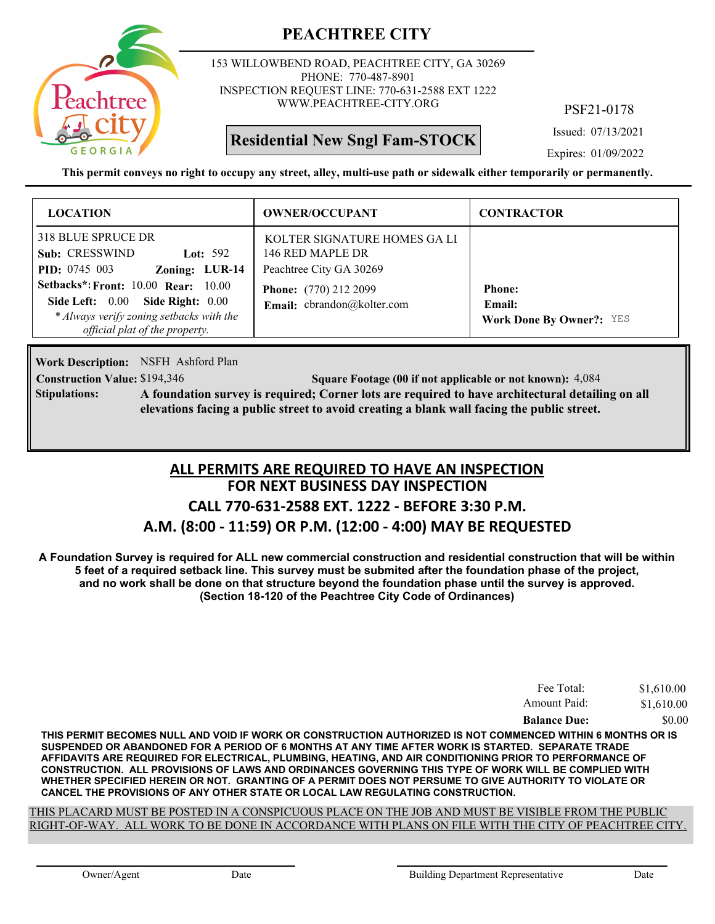

153 WILLOWBEND ROAD, PEACHTREE CITY, GA 30269 PHONE: 770-487-8901 INSPECTION REQUEST LINE: 770-631-2588 EXT 1222 WWW.PEACHTREE-CITY.ORG

## **Residential New Sngl Fam-STOCK**

PSF21-0178

Issued: 07/13/2021

Expires: 01/09/2022

**This permit conveys no right to occupy any street, alley, multi-use path or sidewalk either temporarily or permanently.**

| <b>LOCATION</b>                                                                                                                                              | <b>OWNER/OCCUPANT</b>                                                       | <b>CONTRACTOR</b>                                                 |
|--------------------------------------------------------------------------------------------------------------------------------------------------------------|-----------------------------------------------------------------------------|-------------------------------------------------------------------|
| 318 BLUE SPRUCE DR<br>Sub: CRESSWIND<br>Lot: $592$<br>Zoning: LUR-14<br><b>PID:</b> 0745 003                                                                 | KOLTER SIGNATURE HOMES GA LI<br>146 RED MAPLE DR<br>Peachtree City GA 30269 |                                                                   |
| <b>Setbacks*: Front: 10.00 Rear: 10.00</b><br>Side Left: 0.00 Side Right: 0.00<br>* Always verify zoning setbacks with the<br>official plat of the property. | <b>Phone:</b> (770) 212 2099<br>Email: cbrandon@kolter.com                  | <b>Phone:</b><br><b>Email:</b><br><b>Work Done By Owner?: YES</b> |

Work Description: NSFH Ashford Plan

**Construction Value:** \$194,346 5 Square Footage (00 if not applicable or not known): 4,084

**A foundation survey is required; Corner lots are required to have architectural detailing on all elevations facing a public street to avoid creating a blank wall facing the public street. Stipulations:**

#### **FOR NEXT BUSINESS DAY INSPECTION CALL 770-631-2588 EXT. 1222 - BEFORE 3:30 P.M. A.M. (8:00 - 11:59) OR P.M. (12:00 - 4:00) MAY BE REQUESTED ALL PERMITS ARE REQUIRED TO HAVE AN INSPECTION**

**A Foundation Survey is required for ALL new commercial construction and residential construction that will be within 5 feet of a required setback line. This survey must be submited after the foundation phase of the project, and no work shall be done on that structure beyond the foundation phase until the survey is approved. (Section 18-120 of the Peachtree City Code of Ordinances)**

| Fee Total:          | \$1,610.00 |
|---------------------|------------|
| Amount Paid:        | \$1,610.00 |
| <b>Balance Due:</b> | \$0.00     |

**THIS PERMIT BECOMES NULL AND VOID IF WORK OR CONSTRUCTION AUTHORIZED IS NOT COMMENCED WITHIN 6 MONTHS OR IS SUSPENDED OR ABANDONED FOR A PERIOD OF 6 MONTHS AT ANY TIME AFTER WORK IS STARTED. SEPARATE TRADE AFFIDAVITS ARE REQUIRED FOR ELECTRICAL, PLUMBING, HEATING, AND AIR CONDITIONING PRIOR TO PERFORMANCE OF CONSTRUCTION. ALL PROVISIONS OF LAWS AND ORDINANCES GOVERNING THIS TYPE OF WORK WILL BE COMPLIED WITH WHETHER SPECIFIED HEREIN OR NOT. GRANTING OF A PERMIT DOES NOT PERSUME TO GIVE AUTHORITY TO VIOLATE OR CANCEL THE PROVISIONS OF ANY OTHER STATE OR LOCAL LAW REGULATING CONSTRUCTION.**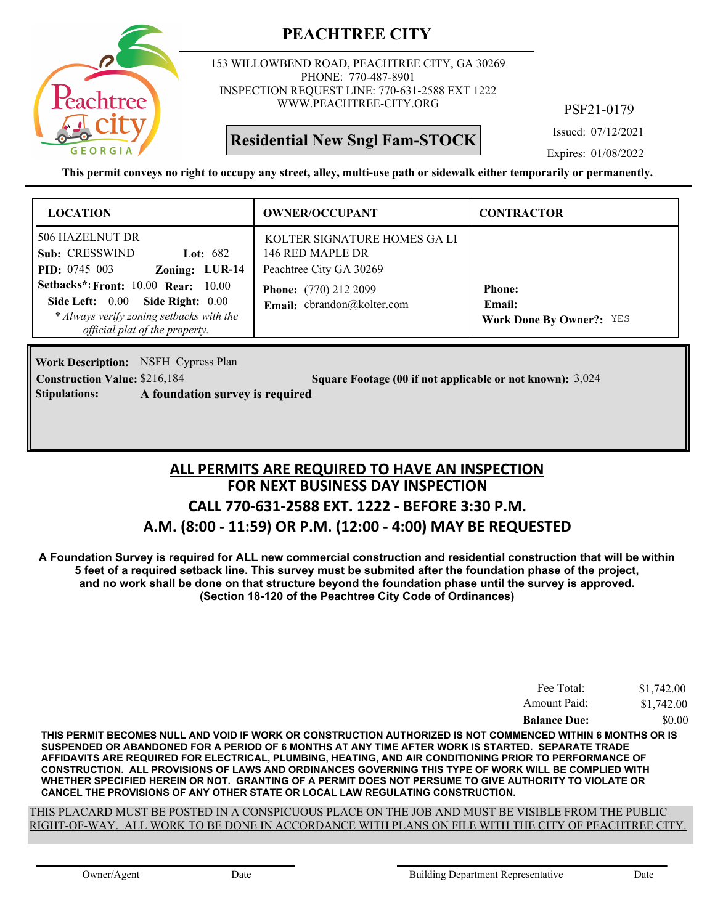

153 WILLOWBEND ROAD, PEACHTREE CITY, GA 30269 PHONE: 770-487-8901 INSPECTION REQUEST LINE: 770-631-2588 EXT 1222 WWW.PEACHTREE-CITY.ORG

**Residential New Sngl Fam-STOCK**

PSF21-0179

Issued: 07/12/2021

Expires: 01/08/2022

**This permit conveys no right to occupy any street, alley, multi-use path or sidewalk either temporarily or permanently.**

| <b>LOCATION</b>                                                                                                                                              | <b>OWNER/OCCUPANT</b>                                                       | <b>CONTRACTOR</b>                                          |
|--------------------------------------------------------------------------------------------------------------------------------------------------------------|-----------------------------------------------------------------------------|------------------------------------------------------------|
| 506 HAZELNUT DR<br>Sub: CRESSWIND<br>Lot: $682$<br><b>PID:</b> 0745 003<br>Zoning: LUR-14                                                                    | KOLTER SIGNATURE HOMES GA LI<br>146 RED MAPLE DR<br>Peachtree City GA 30269 |                                                            |
| <b>Setbacks*: Front: 10.00 Rear: 10.00</b><br>Side Left: 0.00 Side Right: 0.00<br>* Always verify zoning setbacks with the<br>official plat of the property. | <b>Phone:</b> (770) 212 2099<br>Email: cbrandon@kolter.com                  | <b>Phone:</b><br>Email:<br><b>Work Done By Owner?:</b> YES |

**Work Description:** NSFH Cypress Plan **Construction Value:** \$216,184 **518** Square Footage (00 if not applicable or not known): 3,024 **Stipulations: A foundation survey is required**

> **FOR NEXT BUSINESS DAY INSPECTION CALL 770-631-2588 EXT. 1222 - BEFORE 3:30 P.M. A.M. (8:00 - 11:59) OR P.M. (12:00 - 4:00) MAY BE REQUESTED ALL PERMITS ARE REQUIRED TO HAVE AN INSPECTION**

**A Foundation Survey is required for ALL new commercial construction and residential construction that will be within 5 feet of a required setback line. This survey must be submited after the foundation phase of the project, and no work shall be done on that structure beyond the foundation phase until the survey is approved. (Section 18-120 of the Peachtree City Code of Ordinances)**

| Fee Total:          | \$1,742.00 |
|---------------------|------------|
| Amount Paid:        | \$1,742.00 |
| <b>Balance Due:</b> | \$0.00     |

**THIS PERMIT BECOMES NULL AND VOID IF WORK OR CONSTRUCTION AUTHORIZED IS NOT COMMENCED WITHIN 6 MONTHS OR IS SUSPENDED OR ABANDONED FOR A PERIOD OF 6 MONTHS AT ANY TIME AFTER WORK IS STARTED. SEPARATE TRADE AFFIDAVITS ARE REQUIRED FOR ELECTRICAL, PLUMBING, HEATING, AND AIR CONDITIONING PRIOR TO PERFORMANCE OF CONSTRUCTION. ALL PROVISIONS OF LAWS AND ORDINANCES GOVERNING THIS TYPE OF WORK WILL BE COMPLIED WITH WHETHER SPECIFIED HEREIN OR NOT. GRANTING OF A PERMIT DOES NOT PERSUME TO GIVE AUTHORITY TO VIOLATE OR CANCEL THE PROVISIONS OF ANY OTHER STATE OR LOCAL LAW REGULATING CONSTRUCTION.**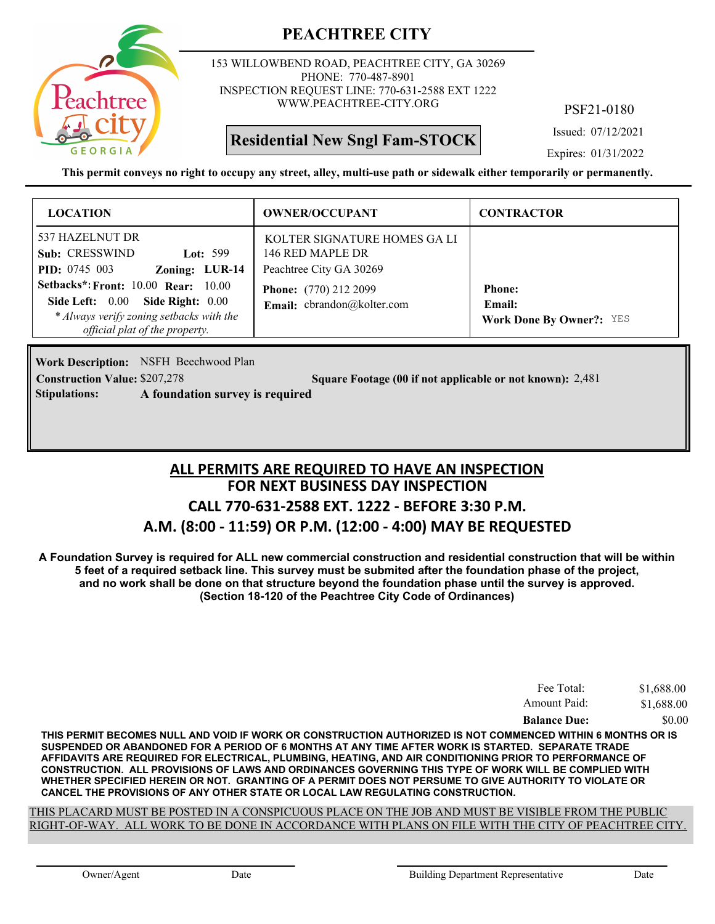

153 WILLOWBEND ROAD, PEACHTREE CITY, GA 30269 PHONE: 770-487-8901 INSPECTION REQUEST LINE: 770-631-2588 EXT 1222 WWW.PEACHTREE-CITY.ORG

**Residential New Sngl Fam-STOCK**

PSF21-0180

Issued: 07/12/2021

Expires: 01/31/2022

**This permit conveys no right to occupy any street, alley, multi-use path or sidewalk either temporarily or permanently.**

| <b>LOCATION</b>                                                                                                                                       | <b>OWNER/OCCUPANT</b>                                                       | <b>CONTRACTOR</b>                                                 |
|-------------------------------------------------------------------------------------------------------------------------------------------------------|-----------------------------------------------------------------------------|-------------------------------------------------------------------|
| 537 HAZELNUT DR<br>Sub: CRESSWIND<br>Lot: $599$<br>Zoning: LUR-14<br><b>PID:</b> 0745 003                                                             | KOLTER SIGNATURE HOMES GA LI<br>146 RED MAPLE DR<br>Peachtree City GA 30269 |                                                                   |
| Setbacks*: Front: 10.00 Rear: 10.00<br>Side Left: 0.00 Side Right: 0.00<br>* Always verify zoning setbacks with the<br>official plat of the property. | <b>Phone:</b> (770) 212 2099<br>Email: cbrandon@kolter.com                  | <b>Phone:</b><br><b>Email:</b><br><b>Work Done By Owner?: YES</b> |

Work Description: NSFH Beechwood Plan **Stipulations: A foundation survey is required**

**Construction Value: \$207,278 2.481 2.481 2.481 2.481 2.481 2.481 2.481 2.481 2.481 2.481 2.481 2.481 2.481 2.481 2.481 2.481 2.481 2.481 2.481 2.481 2.481 2.481 2.481 2.481 2.481 2.481 2.481 2.481 2.481 2.481 2.481 2.481** 

#### **FOR NEXT BUSINESS DAY INSPECTION CALL 770-631-2588 EXT. 1222 - BEFORE 3:30 P.M. A.M. (8:00 - 11:59) OR P.M. (12:00 - 4:00) MAY BE REQUESTED ALL PERMITS ARE REQUIRED TO HAVE AN INSPECTION**

**A Foundation Survey is required for ALL new commercial construction and residential construction that will be within 5 feet of a required setback line. This survey must be submited after the foundation phase of the project, and no work shall be done on that structure beyond the foundation phase until the survey is approved. (Section 18-120 of the Peachtree City Code of Ordinances)**

| Fee Total:          | \$1,688.00 |
|---------------------|------------|
| Amount Paid:        | \$1,688.00 |
| <b>Balance Due:</b> | \$0.00     |

**THIS PERMIT BECOMES NULL AND VOID IF WORK OR CONSTRUCTION AUTHORIZED IS NOT COMMENCED WITHIN 6 MONTHS OR IS SUSPENDED OR ABANDONED FOR A PERIOD OF 6 MONTHS AT ANY TIME AFTER WORK IS STARTED. SEPARATE TRADE AFFIDAVITS ARE REQUIRED FOR ELECTRICAL, PLUMBING, HEATING, AND AIR CONDITIONING PRIOR TO PERFORMANCE OF CONSTRUCTION. ALL PROVISIONS OF LAWS AND ORDINANCES GOVERNING THIS TYPE OF WORK WILL BE COMPLIED WITH WHETHER SPECIFIED HEREIN OR NOT. GRANTING OF A PERMIT DOES NOT PERSUME TO GIVE AUTHORITY TO VIOLATE OR CANCEL THE PROVISIONS OF ANY OTHER STATE OR LOCAL LAW REGULATING CONSTRUCTION.**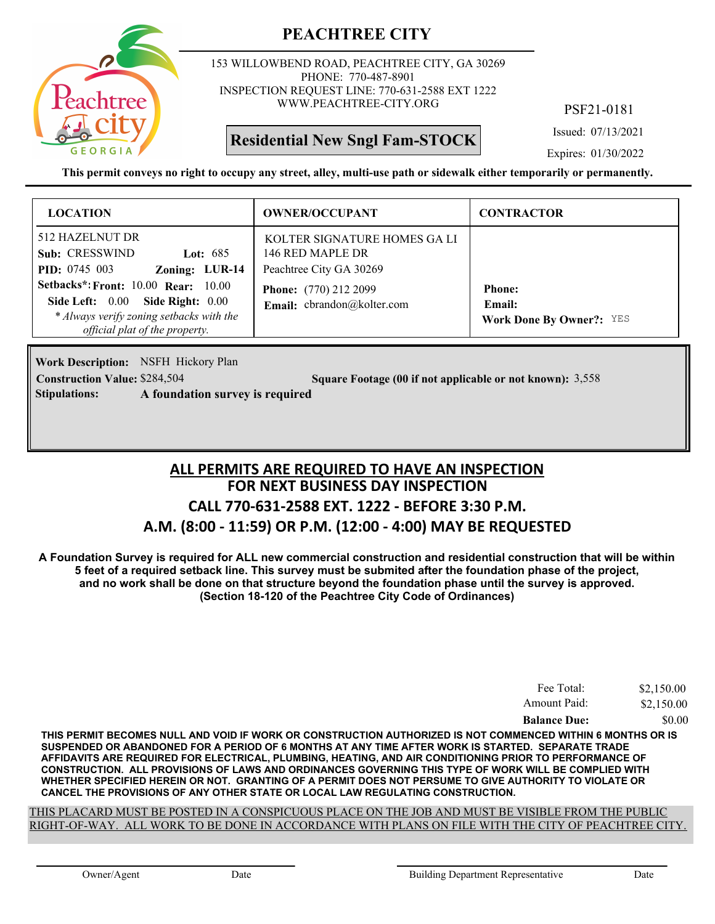

153 WILLOWBEND ROAD, PEACHTREE CITY, GA 30269 PHONE: 770-487-8901 INSPECTION REQUEST LINE: 770-631-2588 EXT 1222 WWW.PEACHTREE-CITY.ORG

**Residential New Sngl Fam-STOCK**

PSF21-0181

Issued: 07/13/2021

Expires: 01/30/2022

**This permit conveys no right to occupy any street, alley, multi-use path or sidewalk either temporarily or permanently.**

| <b>LOCATION</b>                                                                                                                                              | <b>OWNER/OCCUPANT</b>                                                       | <b>CONTRACTOR</b>                                          |
|--------------------------------------------------------------------------------------------------------------------------------------------------------------|-----------------------------------------------------------------------------|------------------------------------------------------------|
| 512 HAZELNUT DR<br>Sub: CRESSWIND<br>Lot: $685$<br>Zoning: LUR-14<br><b>PID:</b> 0745 003                                                                    | KOLTER SIGNATURE HOMES GA LI<br>146 RED MAPLE DR<br>Peachtree City GA 30269 |                                                            |
| <b>Setbacks*: Front: 10.00 Rear: 10.00</b><br>Side Left: 0.00 Side Right: 0.00<br>* Always verify zoning setbacks with the<br>official plat of the property. | <b>Phone:</b> (770) 212 2099<br>Email: cbrandon@kolter.com                  | <b>Phone:</b><br>Email:<br><b>Work Done By Owner?: YES</b> |

Work Description: NSFH Hickory Plan **Stipulations: A foundation survey is required**

**Construction Value:** \$284,504 **50.58 3.558 Square Footage (00 if not applicable or not known): 3,558** 

#### **FOR NEXT BUSINESS DAY INSPECTION CALL 770-631-2588 EXT. 1222 - BEFORE 3:30 P.M. A.M. (8:00 - 11:59) OR P.M. (12:00 - 4:00) MAY BE REQUESTED ALL PERMITS ARE REQUIRED TO HAVE AN INSPECTION**

**A Foundation Survey is required for ALL new commercial construction and residential construction that will be within 5 feet of a required setback line. This survey must be submited after the foundation phase of the project, and no work shall be done on that structure beyond the foundation phase until the survey is approved. (Section 18-120 of the Peachtree City Code of Ordinances)**

| Fee Total:          | \$2,150.00 |
|---------------------|------------|
| Amount Paid:        | \$2,150.00 |
| <b>Balance Due:</b> | \$0.00     |

**THIS PERMIT BECOMES NULL AND VOID IF WORK OR CONSTRUCTION AUTHORIZED IS NOT COMMENCED WITHIN 6 MONTHS OR IS SUSPENDED OR ABANDONED FOR A PERIOD OF 6 MONTHS AT ANY TIME AFTER WORK IS STARTED. SEPARATE TRADE AFFIDAVITS ARE REQUIRED FOR ELECTRICAL, PLUMBING, HEATING, AND AIR CONDITIONING PRIOR TO PERFORMANCE OF CONSTRUCTION. ALL PROVISIONS OF LAWS AND ORDINANCES GOVERNING THIS TYPE OF WORK WILL BE COMPLIED WITH WHETHER SPECIFIED HEREIN OR NOT. GRANTING OF A PERMIT DOES NOT PERSUME TO GIVE AUTHORITY TO VIOLATE OR CANCEL THE PROVISIONS OF ANY OTHER STATE OR LOCAL LAW REGULATING CONSTRUCTION.**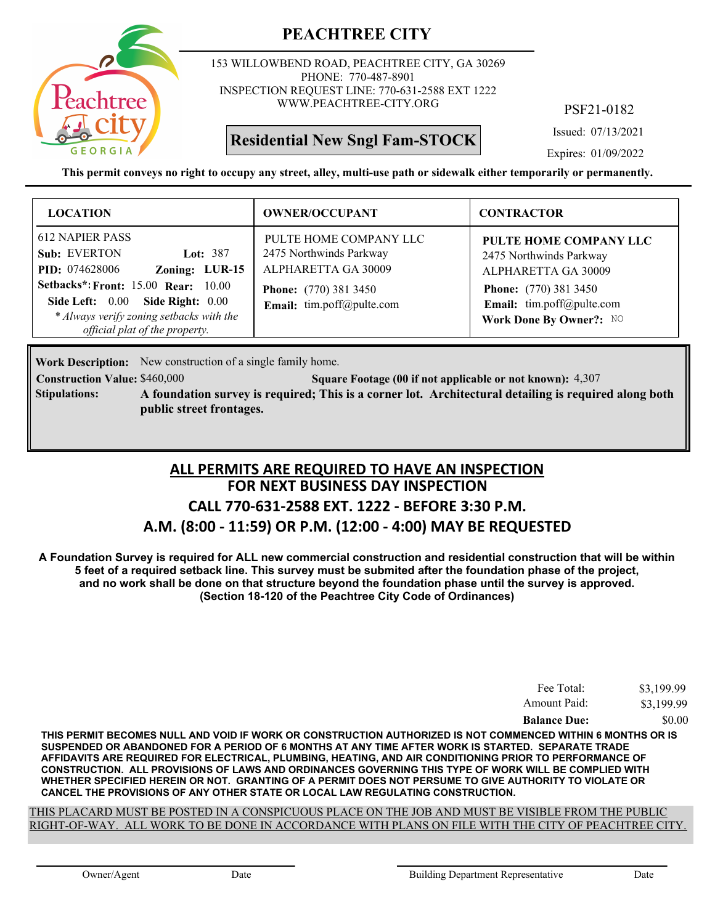

153 WILLOWBEND ROAD, PEACHTREE CITY, GA 30269 PHONE: 770-487-8901 INSPECTION REQUEST LINE: 770-631-2588 EXT 1222 WWW.PEACHTREE-CITY.ORG

## **Residential New Sngl Fam-STOCK**

PSF21-0182

Issued: 07/13/2021

Expires: 01/09/2022

**This permit conveys no right to occupy any street, alley, multi-use path or sidewalk either temporarily or permanently.**

| <b>LOCATION</b>                                                                                                                                                                                                                                                    | <b>OWNER/OCCUPANT</b>                                                                                                                 | <b>CONTRACTOR</b>                                                                                                                                                |
|--------------------------------------------------------------------------------------------------------------------------------------------------------------------------------------------------------------------------------------------------------------------|---------------------------------------------------------------------------------------------------------------------------------------|------------------------------------------------------------------------------------------------------------------------------------------------------------------|
| <b>612 NAPIER PASS</b><br>Sub: EVERTON<br>Lot: $387$<br><b>PID:</b> 074628006<br>Zoning: LUR-15<br><b>Setbacks*: Front: 15.00 Rear: 10.00</b><br>Side Left: 0.00<br>Side Right: 0.00<br>* Always verify zoning setbacks with the<br>official plat of the property. | PULTE HOME COMPANY LLC<br>2475 Northwinds Parkway<br>ALPHARETTA GA 30009<br><b>Phone:</b> (770) 381 3450<br>Email: tim.poff@pulte.com | PULTE HOME COMPANY LLC<br>2475 Northwinds Parkway<br>ALPHARETTA GA 30009<br><b>Phone:</b> (770) 381 3450<br>Email: tim.poff@pulte.com<br>Work Done By Owner?: NO |

Work Description: New construction of a single family home.

**Construction Value: \$460,000 4,307 5000 50000 50000 4,307 60000 4,307 60000 4,307 60000 4,307 60000 4,307 60000** 

**A foundation survey is required; This is a corner lot. Architectural detailing is required along both public street frontages. Stipulations:**

#### **FOR NEXT BUSINESS DAY INSPECTION CALL 770-631-2588 EXT. 1222 - BEFORE 3:30 P.M. A.M. (8:00 - 11:59) OR P.M. (12:00 - 4:00) MAY BE REQUESTED ALL PERMITS ARE REQUIRED TO HAVE AN INSPECTION**

**A Foundation Survey is required for ALL new commercial construction and residential construction that will be within 5 feet of a required setback line. This survey must be submited after the foundation phase of the project, and no work shall be done on that structure beyond the foundation phase until the survey is approved. (Section 18-120 of the Peachtree City Code of Ordinances)**

| Fee Total:          | \$3,199.99 |
|---------------------|------------|
| Amount Paid:        | \$3,199.99 |
| <b>Balance Due:</b> | \$0.00     |

**THIS PERMIT BECOMES NULL AND VOID IF WORK OR CONSTRUCTION AUTHORIZED IS NOT COMMENCED WITHIN 6 MONTHS OR IS SUSPENDED OR ABANDONED FOR A PERIOD OF 6 MONTHS AT ANY TIME AFTER WORK IS STARTED. SEPARATE TRADE AFFIDAVITS ARE REQUIRED FOR ELECTRICAL, PLUMBING, HEATING, AND AIR CONDITIONING PRIOR TO PERFORMANCE OF CONSTRUCTION. ALL PROVISIONS OF LAWS AND ORDINANCES GOVERNING THIS TYPE OF WORK WILL BE COMPLIED WITH WHETHER SPECIFIED HEREIN OR NOT. GRANTING OF A PERMIT DOES NOT PERSUME TO GIVE AUTHORITY TO VIOLATE OR CANCEL THE PROVISIONS OF ANY OTHER STATE OR LOCAL LAW REGULATING CONSTRUCTION.**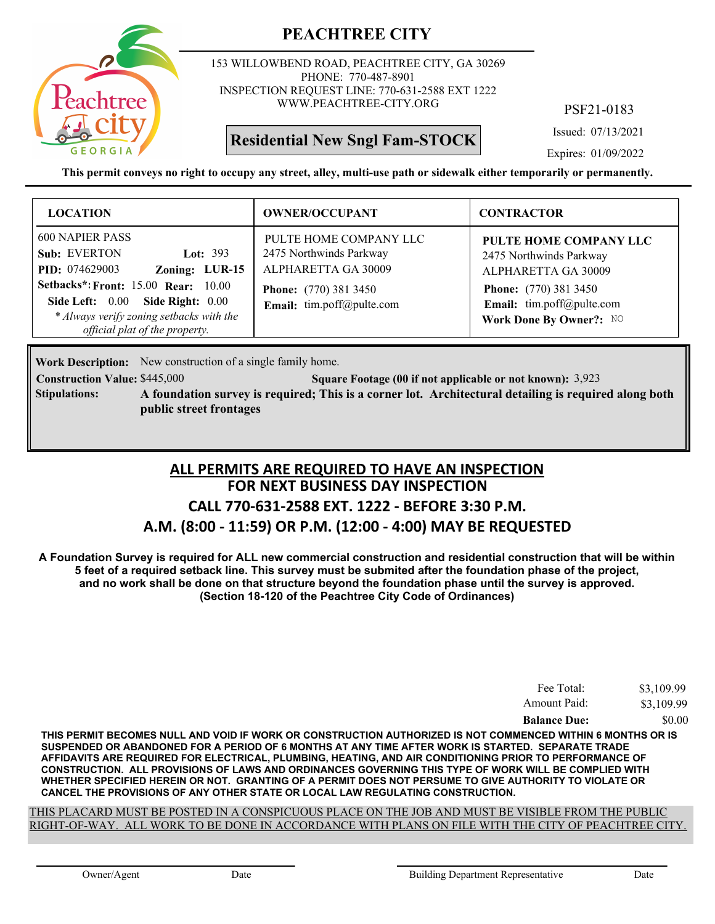

153 WILLOWBEND ROAD, PEACHTREE CITY, GA 30269 PHONE: 770-487-8901 INSPECTION REQUEST LINE: 770-631-2588 EXT 1222 WWW.PEACHTREE-CITY.ORG

## **Residential New Sngl Fam-STOCK**

PSF21-0183

Issued: 07/13/2021

Expires: 01/09/2022

**This permit conveys no right to occupy any street, alley, multi-use path or sidewalk either temporarily or permanently.**

| <b>LOCATION</b>                                                                                                                                                                                                                                                 | <b>OWNER/OCCUPANT</b>                                                                                                                 | <b>CONTRACTOR</b>                                                                                                                                                |
|-----------------------------------------------------------------------------------------------------------------------------------------------------------------------------------------------------------------------------------------------------------------|---------------------------------------------------------------------------------------------------------------------------------------|------------------------------------------------------------------------------------------------------------------------------------------------------------------|
| <b>600 NAPIER PASS</b><br>Sub: EVERTON<br>Lot: $393$<br>Zoning: LUR-15<br><b>PID:</b> 074629003<br><b>Setbacks*: Front: 15.00 Rear: 10.00</b><br>Side Left: 0.00 Side Right: 0.00<br>* Always verify zoning setbacks with the<br>official plat of the property. | PULTE HOME COMPANY LLC<br>2475 Northwinds Parkway<br>ALPHARETTA GA 30009<br><b>Phone:</b> (770) 381 3450<br>Email: tim.poff@pulte.com | PULTE HOME COMPANY LLC<br>2475 Northwinds Parkway<br>ALPHARETTA GA 30009<br><b>Phone:</b> (770) 381 3450<br>Email: tim.poff@pulte.com<br>Work Done By Owner?: NO |

Work Description: New construction of a single family home.

**Construction Value:** \$445,000 3,923 **Square Footage (00 if not applicable or not known):** 3,923

**A foundation survey is required; This is a corner lot. Architectural detailing is required along both public street frontages Stipulations:**

#### **FOR NEXT BUSINESS DAY INSPECTION CALL 770-631-2588 EXT. 1222 - BEFORE 3:30 P.M. A.M. (8:00 - 11:59) OR P.M. (12:00 - 4:00) MAY BE REQUESTED ALL PERMITS ARE REQUIRED TO HAVE AN INSPECTION**

**A Foundation Survey is required for ALL new commercial construction and residential construction that will be within 5 feet of a required setback line. This survey must be submited after the foundation phase of the project, and no work shall be done on that structure beyond the foundation phase until the survey is approved. (Section 18-120 of the Peachtree City Code of Ordinances)**

| Fee Total:          | \$3,109.99 |
|---------------------|------------|
| Amount Paid:        | \$3,109.99 |
| <b>Balance Due:</b> | \$0.00     |

**THIS PERMIT BECOMES NULL AND VOID IF WORK OR CONSTRUCTION AUTHORIZED IS NOT COMMENCED WITHIN 6 MONTHS OR IS SUSPENDED OR ABANDONED FOR A PERIOD OF 6 MONTHS AT ANY TIME AFTER WORK IS STARTED. SEPARATE TRADE AFFIDAVITS ARE REQUIRED FOR ELECTRICAL, PLUMBING, HEATING, AND AIR CONDITIONING PRIOR TO PERFORMANCE OF CONSTRUCTION. ALL PROVISIONS OF LAWS AND ORDINANCES GOVERNING THIS TYPE OF WORK WILL BE COMPLIED WITH WHETHER SPECIFIED HEREIN OR NOT. GRANTING OF A PERMIT DOES NOT PERSUME TO GIVE AUTHORITY TO VIOLATE OR CANCEL THE PROVISIONS OF ANY OTHER STATE OR LOCAL LAW REGULATING CONSTRUCTION.**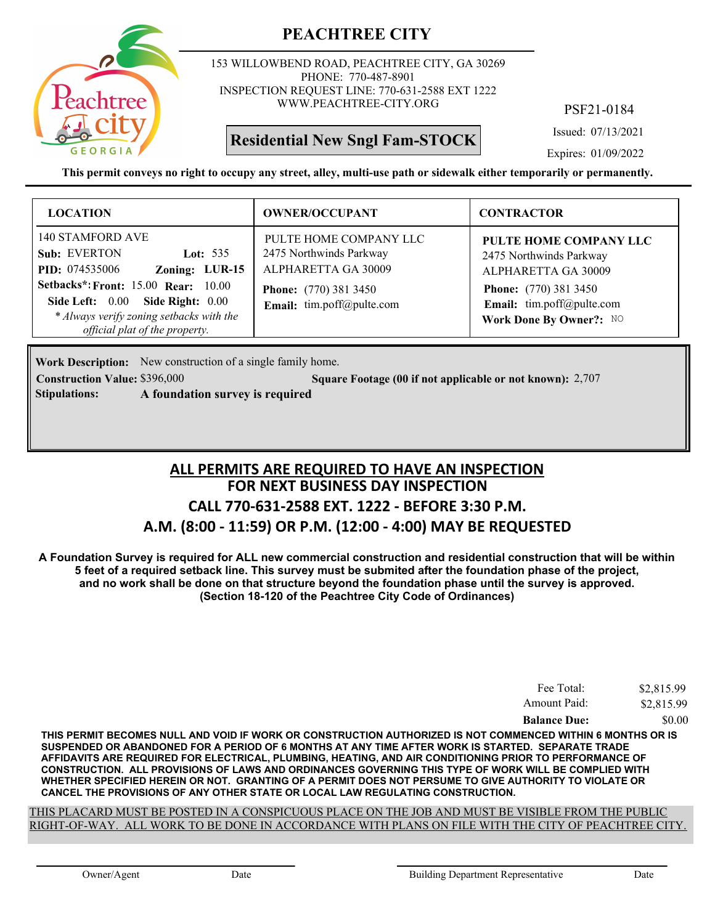

153 WILLOWBEND ROAD, PEACHTREE CITY, GA 30269 PHONE: 770-487-8901 INSPECTION REQUEST LINE: 770-631-2588 EXT 1222 WWW.PEACHTREE-CITY.ORG

## **Residential New Sngl Fam-STOCK**

PSF21-0184

Issued: 07/13/2021

Expires: 01/09/2022

**This permit conveys no right to occupy any street, alley, multi-use path or sidewalk either temporarily or permanently.**

| <b>LOCATION</b>                                                                                                                                                                                                                                           | <b>OWNER/OCCUPANT</b>                                                                                                                 | <b>CONTRACTOR</b>                                                                                                                                                |
|-----------------------------------------------------------------------------------------------------------------------------------------------------------------------------------------------------------------------------------------------------------|---------------------------------------------------------------------------------------------------------------------------------------|------------------------------------------------------------------------------------------------------------------------------------------------------------------|
| 140 STAMFORD AVE<br>Sub: EVERTON<br>Lot: $535$<br>Zoning: LUR-15<br><b>PID:</b> 074535006<br><b>Setbacks*: Front: 15.00 Rear: 10.00</b><br>Side Left: 0.00 Side Right: 0.00<br>* Always verify zoning setbacks with the<br>official plat of the property. | PULTE HOME COMPANY LLC<br>2475 Northwinds Parkway<br>ALPHARETTA GA 30009<br><b>Phone:</b> (770) 381 3450<br>Email: tim.poff@pulte.com | PULTE HOME COMPANY LLC<br>2475 Northwinds Parkway<br>ALPHARETTA GA 30009<br><b>Phone:</b> (770) 381 3450<br>Email: tim.poff@pulte.com<br>Work Done By Owner?: NO |

Work Description: New construction of a single family home.

**Construction Value:** \$396,000 2,707 2,707 2,707 2,707 2,707 2,800 2,800 2,800 2,800 2,800 2,800 2,800 2,800 2,800 2,800 2,800 2,800 2,800 2,800 2,800 2,800 2,800 2,800 2,800 2,800 2,800 2,800 2,800 2,800 2,800 2,800 2,800

**Stipulations: A foundation survey is required**

#### **FOR NEXT BUSINESS DAY INSPECTION CALL 770-631-2588 EXT. 1222 - BEFORE 3:30 P.M. A.M. (8:00 - 11:59) OR P.M. (12:00 - 4:00) MAY BE REQUESTED ALL PERMITS ARE REQUIRED TO HAVE AN INSPECTION**

**A Foundation Survey is required for ALL new commercial construction and residential construction that will be within 5 feet of a required setback line. This survey must be submited after the foundation phase of the project, and no work shall be done on that structure beyond the foundation phase until the survey is approved. (Section 18-120 of the Peachtree City Code of Ordinances)**

| Fee Total:          | \$2,815.99 |
|---------------------|------------|
| Amount Paid:        | \$2,815.99 |
| <b>Balance Due:</b> | \$0.00     |

**THIS PERMIT BECOMES NULL AND VOID IF WORK OR CONSTRUCTION AUTHORIZED IS NOT COMMENCED WITHIN 6 MONTHS OR IS SUSPENDED OR ABANDONED FOR A PERIOD OF 6 MONTHS AT ANY TIME AFTER WORK IS STARTED. SEPARATE TRADE AFFIDAVITS ARE REQUIRED FOR ELECTRICAL, PLUMBING, HEATING, AND AIR CONDITIONING PRIOR TO PERFORMANCE OF CONSTRUCTION. ALL PROVISIONS OF LAWS AND ORDINANCES GOVERNING THIS TYPE OF WORK WILL BE COMPLIED WITH WHETHER SPECIFIED HEREIN OR NOT. GRANTING OF A PERMIT DOES NOT PERSUME TO GIVE AUTHORITY TO VIOLATE OR CANCEL THE PROVISIONS OF ANY OTHER STATE OR LOCAL LAW REGULATING CONSTRUCTION.**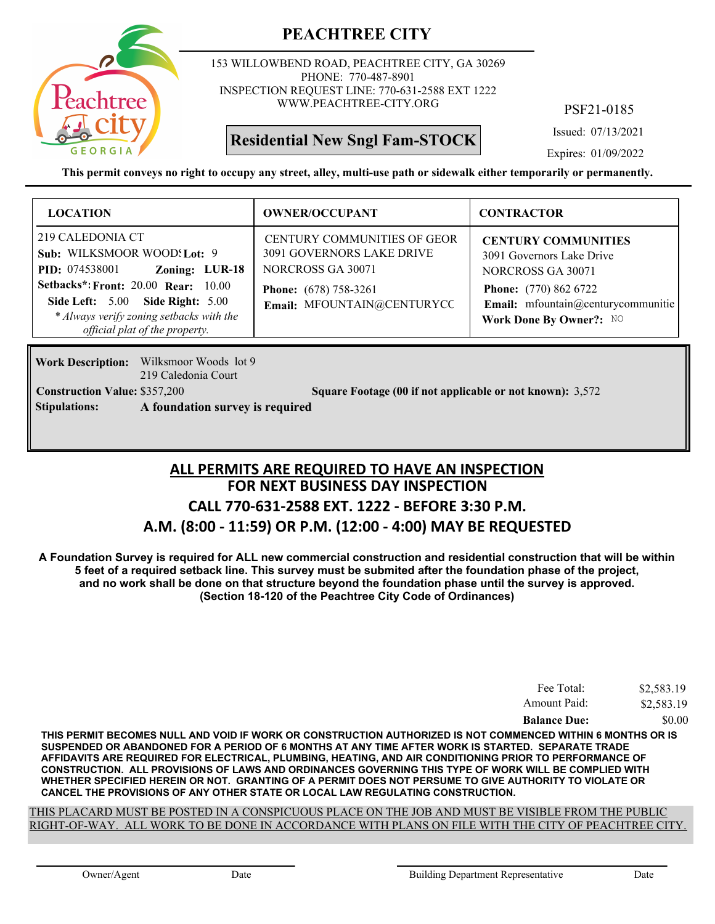

153 WILLOWBEND ROAD, PEACHTREE CITY, GA 30269 PHONE: 770-487-8901 INSPECTION REQUEST LINE: 770-631-2588 EXT 1222 WWW.PEACHTREE-CITY.ORG

## **Residential New Sngl Fam-STOCK**

PSF21-0185

Issued: 07/13/2021

Expires: 01/09/2022

**This permit conveys no right to occupy any street, alley, multi-use path or sidewalk either temporarily or permanently.**

| <b>LOCATION</b>                                                                                                                                                                                                                                            | <b>OWNER/OCCUPANT</b>                                                                                                                       | <b>CONTRACTOR</b>                                                                                                                                                             |
|------------------------------------------------------------------------------------------------------------------------------------------------------------------------------------------------------------------------------------------------------------|---------------------------------------------------------------------------------------------------------------------------------------------|-------------------------------------------------------------------------------------------------------------------------------------------------------------------------------|
| 219 CALEDONIA CT<br>Sub: WILKSMOOR WOOD! Lot: 9<br>Zoning: LUR-18<br><b>PID:</b> 074538001<br><b>Setbacks*: Front: 20.00 Rear: 10.00</b><br>Side Left: 5.00 Side Right: 5.00<br>* Always verify zoning setbacks with the<br>official plat of the property. | CENTURY COMMUNITIES OF GEOR<br>3091 GOVERNORS LAKE DRIVE<br>NORCROSS GA 30071<br><b>Phone:</b> (678) 758-3261<br>Email: MFOUNTAIN@CENTURYCC | <b>CENTURY COMMUNITIES</b><br>3091 Governors Lake Drive<br>NORCROSS GA 30071<br><b>Phone:</b> (770) 862 6722<br>Email: mfountain@centurycommunitie<br>Work Done By Owner?: NO |

Work Description: Wilksmoor Woods lot 9 219 Caledonia Court

**Construction Value:** \$357,200 **3,572** Square Footage (00 if not applicable or not known): 3,572

# **Stipulations: A foundation survey is required**

#### **FOR NEXT BUSINESS DAY INSPECTION CALL 770-631-2588 EXT. 1222 - BEFORE 3:30 P.M. A.M. (8:00 - 11:59) OR P.M. (12:00 - 4:00) MAY BE REQUESTED ALL PERMITS ARE REQUIRED TO HAVE AN INSPECTION**

**A Foundation Survey is required for ALL new commercial construction and residential construction that will be within 5 feet of a required setback line. This survey must be submited after the foundation phase of the project, and no work shall be done on that structure beyond the foundation phase until the survey is approved. (Section 18-120 of the Peachtree City Code of Ordinances)**

| Fee Total:          | \$2,583.19 |
|---------------------|------------|
| Amount Paid:        | \$2,583.19 |
| <b>Balance Due:</b> | \$0.00     |

**THIS PERMIT BECOMES NULL AND VOID IF WORK OR CONSTRUCTION AUTHORIZED IS NOT COMMENCED WITHIN 6 MONTHS OR IS SUSPENDED OR ABANDONED FOR A PERIOD OF 6 MONTHS AT ANY TIME AFTER WORK IS STARTED. SEPARATE TRADE AFFIDAVITS ARE REQUIRED FOR ELECTRICAL, PLUMBING, HEATING, AND AIR CONDITIONING PRIOR TO PERFORMANCE OF CONSTRUCTION. ALL PROVISIONS OF LAWS AND ORDINANCES GOVERNING THIS TYPE OF WORK WILL BE COMPLIED WITH WHETHER SPECIFIED HEREIN OR NOT. GRANTING OF A PERMIT DOES NOT PERSUME TO GIVE AUTHORITY TO VIOLATE OR CANCEL THE PROVISIONS OF ANY OTHER STATE OR LOCAL LAW REGULATING CONSTRUCTION.**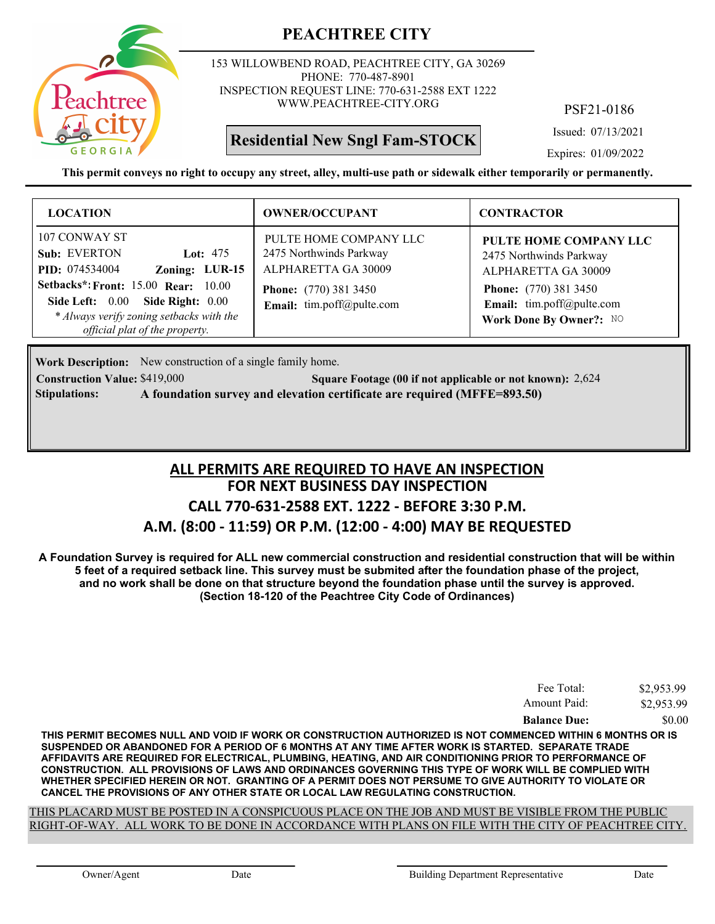

153 WILLOWBEND ROAD, PEACHTREE CITY, GA 30269 PHONE: 770-487-8901 INSPECTION REQUEST LINE: 770-631-2588 EXT 1222 WWW.PEACHTREE-CITY.ORG

## **Residential New Sngl Fam-STOCK**

PSF21-0186

Issued: 07/13/2021

Expires: 01/09/2022

**This permit conveys no right to occupy any street, alley, multi-use path or sidewalk either temporarily or permanently.**

| <b>LOCATION</b>                                                                                                                                                                                                                                        | <b>OWNER/OCCUPANT</b>                                                                                                                 | <b>CONTRACTOR</b>                                                                                                                                                |
|--------------------------------------------------------------------------------------------------------------------------------------------------------------------------------------------------------------------------------------------------------|---------------------------------------------------------------------------------------------------------------------------------------|------------------------------------------------------------------------------------------------------------------------------------------------------------------|
| 107 CONWAY ST<br>Sub: EVERTON<br>Lot: $475$<br>Zoning: LUR-15<br><b>PID:</b> 074534004<br><b>Setbacks*: Front: 15.00 Rear: 10.00</b><br>Side Left: 0.00 Side Right: 0.00<br>* Always verify zoning setbacks with the<br>official plat of the property. | PULTE HOME COMPANY LLC<br>2475 Northwinds Parkway<br>ALPHARETTA GA 30009<br><b>Phone:</b> (770) 381 3450<br>Email: tim.poff@pulte.com | PULTE HOME COMPANY LLC<br>2475 Northwinds Parkway<br>ALPHARETTA GA 30009<br><b>Phone:</b> (770) 381 3450<br>Email: tim.poff@pulte.com<br>Work Done By Owner?: NO |

Work Description: New construction of a single family home.

**Construction Value: Square Footage (00 if not applicable or not known):** \$419,000 2,624 **Stipulations: A foundation survey and elevation certificate are required (MFFE=893.50)**

## **FOR NEXT BUSINESS DAY INSPECTION CALL 770-631-2588 EXT. 1222 - BEFORE 3:30 P.M. A.M. (8:00 - 11:59) OR P.M. (12:00 - 4:00) MAY BE REQUESTED ALL PERMITS ARE REQUIRED TO HAVE AN INSPECTION**

**A Foundation Survey is required for ALL new commercial construction and residential construction that will be within 5 feet of a required setback line. This survey must be submited after the foundation phase of the project, and no work shall be done on that structure beyond the foundation phase until the survey is approved. (Section 18-120 of the Peachtree City Code of Ordinances)**

| <b>Balance Due:</b> | \$0.00     |
|---------------------|------------|
| Amount Paid:        | \$2,953.99 |
| Fee Total:          | \$2,953.99 |

**THIS PERMIT BECOMES NULL AND VOID IF WORK OR CONSTRUCTION AUTHORIZED IS NOT COMMENCED WITHIN 6 MONTHS OR IS SUSPENDED OR ABANDONED FOR A PERIOD OF 6 MONTHS AT ANY TIME AFTER WORK IS STARTED. SEPARATE TRADE AFFIDAVITS ARE REQUIRED FOR ELECTRICAL, PLUMBING, HEATING, AND AIR CONDITIONING PRIOR TO PERFORMANCE OF CONSTRUCTION. ALL PROVISIONS OF LAWS AND ORDINANCES GOVERNING THIS TYPE OF WORK WILL BE COMPLIED WITH WHETHER SPECIFIED HEREIN OR NOT. GRANTING OF A PERMIT DOES NOT PERSUME TO GIVE AUTHORITY TO VIOLATE OR CANCEL THE PROVISIONS OF ANY OTHER STATE OR LOCAL LAW REGULATING CONSTRUCTION.**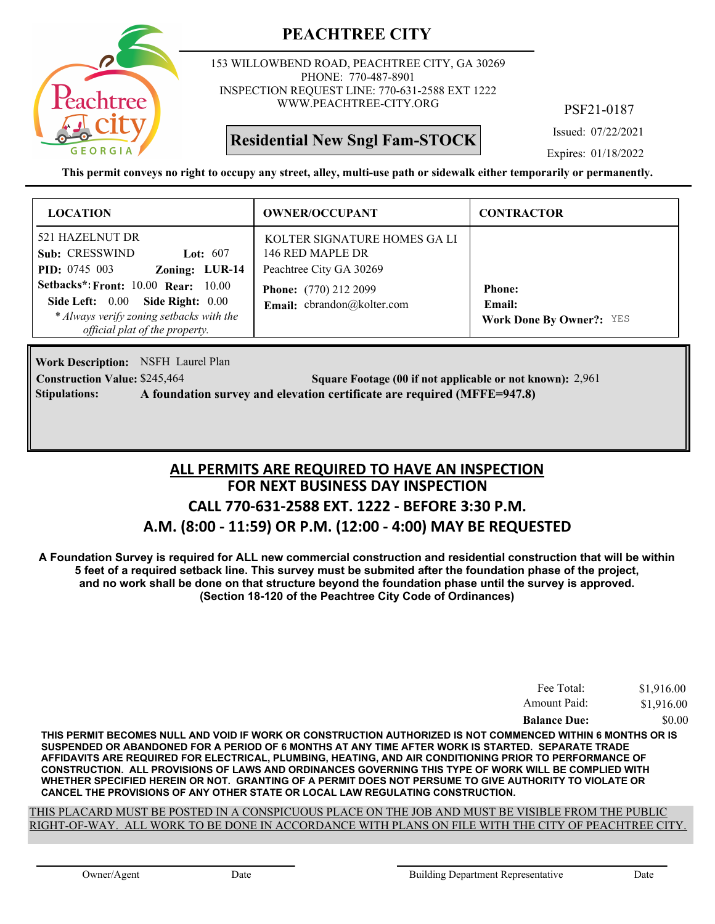

153 WILLOWBEND ROAD, PEACHTREE CITY, GA 30269 PHONE: 770-487-8901 INSPECTION REQUEST LINE: 770-631-2588 EXT 1222 WWW.PEACHTREE-CITY.ORG

**Residential New Sngl Fam-STOCK**

PSF21-0187

Issued: 07/22/2021

Expires: 01/18/2022

**This permit conveys no right to occupy any street, alley, multi-use path or sidewalk either temporarily or permanently.**

| <b>LOCATION</b>                                                                                                                  | <b>OWNER/OCCUPANT</b>                                                                                      | <b>CONTRACTOR</b>                         |
|----------------------------------------------------------------------------------------------------------------------------------|------------------------------------------------------------------------------------------------------------|-------------------------------------------|
| 521 HAZELNUT DR<br>Sub: CRESSWIND<br>Lot: $607$<br><b>PID:</b> 0745 003<br>Zoning: LUR-14<br>Setbacks*: Front: 10.00 Rear: 10.00 | KOLTER SIGNATURE HOMES GALI<br>146 RED MAPLE DR<br>Peachtree City GA 30269<br><b>Phone:</b> (770) 212 2099 | <b>Phone:</b>                             |
| Side Left: $0.00$<br>Side Right: $0.00$<br>* Always verify zoning setbacks with the<br>official plat of the property.            | Email: cbrandon@kolter.com                                                                                 | Email:<br><b>Work Done By Owner?: YES</b> |

Work Description: NSFH Laurel Plan **Construction Value:** \$245,464 2,961 **2,961** 2,961 **Square Footage (00 if not applicable or not known): 2,961 Stipulations: A foundation survey and elevation certificate are required (MFFE=947.8)**

### **FOR NEXT BUSINESS DAY INSPECTION CALL 770-631-2588 EXT. 1222 - BEFORE 3:30 P.M. A.M. (8:00 - 11:59) OR P.M. (12:00 - 4:00) MAY BE REQUESTED ALL PERMITS ARE REQUIRED TO HAVE AN INSPECTION**

**A Foundation Survey is required for ALL new commercial construction and residential construction that will be within 5 feet of a required setback line. This survey must be submited after the foundation phase of the project, and no work shall be done on that structure beyond the foundation phase until the survey is approved. (Section 18-120 of the Peachtree City Code of Ordinances)**

| Fee Total:          | \$1,916.00 |
|---------------------|------------|
| Amount Paid:        | \$1,916.00 |
| <b>Balance Due:</b> | \$0.00     |

**THIS PERMIT BECOMES NULL AND VOID IF WORK OR CONSTRUCTION AUTHORIZED IS NOT COMMENCED WITHIN 6 MONTHS OR IS SUSPENDED OR ABANDONED FOR A PERIOD OF 6 MONTHS AT ANY TIME AFTER WORK IS STARTED. SEPARATE TRADE AFFIDAVITS ARE REQUIRED FOR ELECTRICAL, PLUMBING, HEATING, AND AIR CONDITIONING PRIOR TO PERFORMANCE OF CONSTRUCTION. ALL PROVISIONS OF LAWS AND ORDINANCES GOVERNING THIS TYPE OF WORK WILL BE COMPLIED WITH WHETHER SPECIFIED HEREIN OR NOT. GRANTING OF A PERMIT DOES NOT PERSUME TO GIVE AUTHORITY TO VIOLATE OR CANCEL THE PROVISIONS OF ANY OTHER STATE OR LOCAL LAW REGULATING CONSTRUCTION.**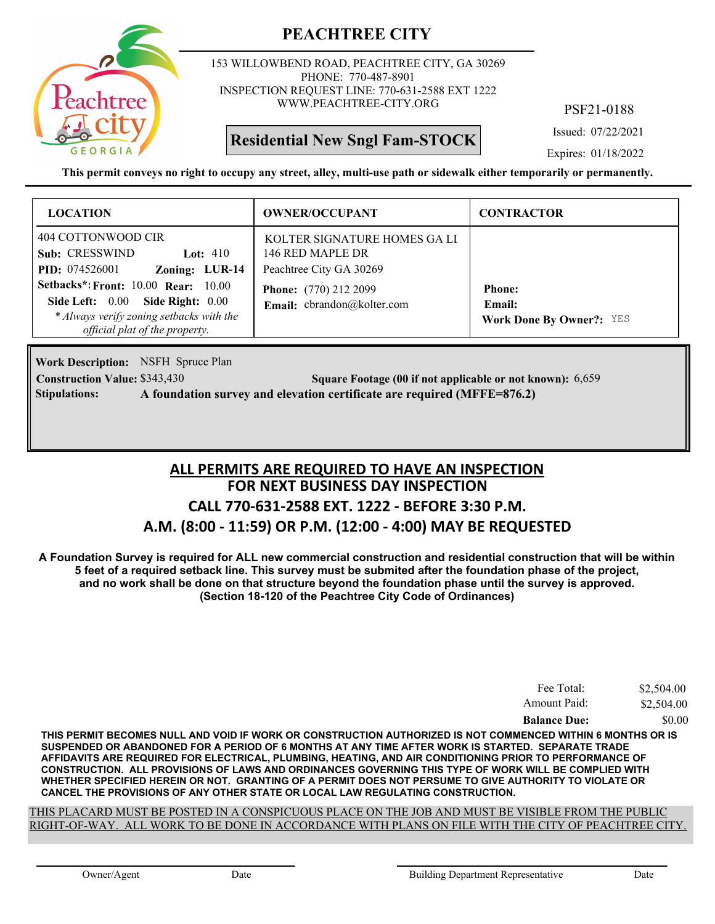

153 WILLOWBEND ROAD, PEACHTREE CITY, GA 30269 PHONE: 770-487-8901 INSPECTION REQUEST LINE: 770-631-2588 EXT 1222 WWW.PEACHTREE-CITY.ORG

**Residential New Sngl Fam-STOCK**

PSF21-0188

Issued: 07/22/2021

Expires: 01/18/2022

**This permit conveys no right to occupy any street, alley, multi-use path or sidewalk either temporarily or permanently.**

| <b>LOCATION</b>                                                                                                                                              | <b>OWNER/OCCUPANT</b>                                                      | <b>CONTRACTOR</b>                                          |
|--------------------------------------------------------------------------------------------------------------------------------------------------------------|----------------------------------------------------------------------------|------------------------------------------------------------|
| 404 COTTONWOOD CIR<br>Sub: CRESSWIND<br>Lot: $410$<br>Zoning: LUR-14<br><b>PID:</b> 074526001                                                                | KOLTER SIGNATURE HOMES GALI<br>146 RED MAPLE DR<br>Peachtree City GA 30269 |                                                            |
| <b>Setbacks*: Front: 10.00 Rear: 10.00</b><br>Side Left: 0.00 Side Right: 0.00<br>* Always verify zoning setbacks with the<br>official plat of the property. | <b>Phone:</b> (770) 212 2099<br>Email: cbrandon@kolter.com                 | <b>Phone:</b><br>Email:<br><b>Work Done By Owner?: YES</b> |

**Work Description:** NSFH Spruce Plan **Construction Value:** \$343,430 **Square Footage (00 if not applicable or not known):** 6,659 **Stipulations: A foundation survey and elevation certificate are required (MFFE=876.2)**

### **FOR NEXT BUSINESS DAY INSPECTION CALL 770-631-2588 EXT. 1222 - BEFORE 3:30 P.M. A.M. (8:00 - 11:59) OR P.M. (12:00 - 4:00) MAY BE REQUESTED ALL PERMITS ARE REQUIRED TO HAVE AN INSPECTION**

**A Foundation Survey is required for ALL new commercial construction and residential construction that will be within 5 feet of a required setback line. This survey must be submited after the foundation phase of the project, and no work shall be done on that structure beyond the foundation phase until the survey is approved. (Section 18-120 of the Peachtree City Code of Ordinances)**

| Fee Total:          | \$2,504.00 |
|---------------------|------------|
| Amount Paid:        | \$2,504.00 |
| <b>Balance Due:</b> | \$0.00     |

**THIS PERMIT BECOMES NULL AND VOID IF WORK OR CONSTRUCTION AUTHORIZED IS NOT COMMENCED WITHIN 6 MONTHS OR IS SUSPENDED OR ABANDONED FOR A PERIOD OF 6 MONTHS AT ANY TIME AFTER WORK IS STARTED. SEPARATE TRADE AFFIDAVITS ARE REQUIRED FOR ELECTRICAL, PLUMBING, HEATING, AND AIR CONDITIONING PRIOR TO PERFORMANCE OF CONSTRUCTION. ALL PROVISIONS OF LAWS AND ORDINANCES GOVERNING THIS TYPE OF WORK WILL BE COMPLIED WITH WHETHER SPECIFIED HEREIN OR NOT. GRANTING OF A PERMIT DOES NOT PERSUME TO GIVE AUTHORITY TO VIOLATE OR CANCEL THE PROVISIONS OF ANY OTHER STATE OR LOCAL LAW REGULATING CONSTRUCTION.**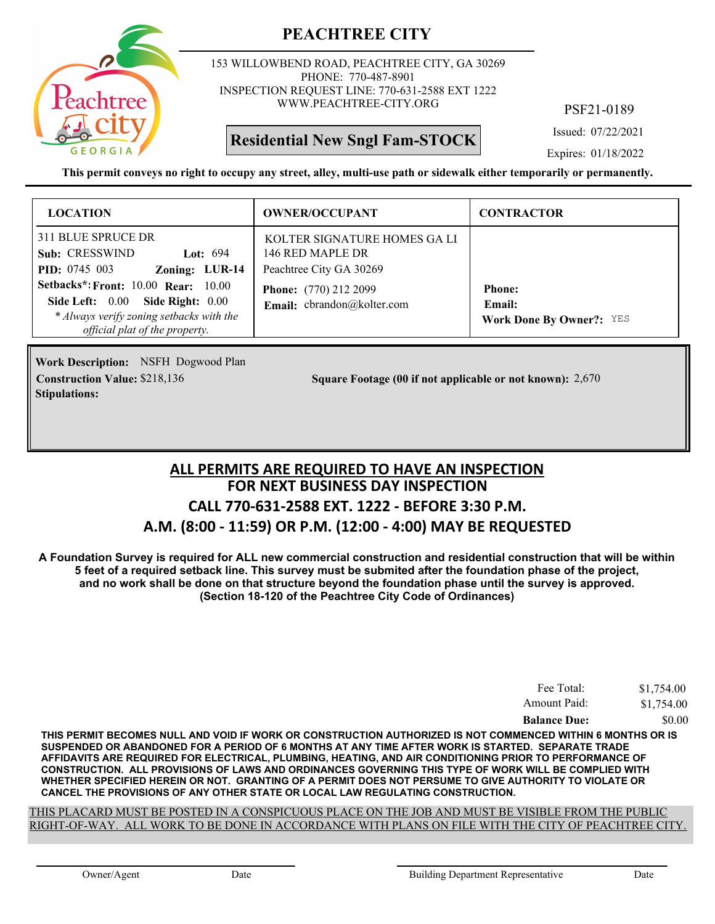

153 WILLOWBEND ROAD, PEACHTREE CITY, GA 30269 PHONE: 770-487-8901 INSPECTION REQUEST LINE: 770-631-2588 EXT 1222 WWW.PEACHTREE-CITY.ORG

### **Residential New Sngl Fam-STOCK**

PSF21-0189

Issued: 07/22/2021

Expires: 01/18/2022

**This permit conveys no right to occupy any street, alley, multi-use path or sidewalk either temporarily or permanently.**

| <b>LOCATION</b>                                                                                                                                       | <b>OWNER/OCCUPANT</b>                                                       | <b>CONTRACTOR</b>                                                 |
|-------------------------------------------------------------------------------------------------------------------------------------------------------|-----------------------------------------------------------------------------|-------------------------------------------------------------------|
| 311 BLUE SPRUCE DR<br>Sub: CRESSWIND<br>Lot: $694$<br>Zoning: LUR-14<br><b>PID:</b> 0745 003                                                          | KOLTER SIGNATURE HOMES GA LI<br>146 RED MAPLE DR<br>Peachtree City GA 30269 |                                                                   |
| Setbacks*: Front: 10.00 Rear: 10.00<br>Side Left: 0.00 Side Right: 0.00<br>* Always verify zoning setbacks with the<br>official plat of the property. | <b>Phone:</b> (770) 212 2099<br>Email: cbrandon@kolter.com                  | <b>Phone:</b><br><b>Email:</b><br><b>Work Done By Owner?: YES</b> |

**Work Description:** NSFH Dogwood Plan **Stipulations:**

**Construction Value:** \$218,136 2,670 **Square Footage (00 if not applicable or not known):** 2,670

#### **FOR NEXT BUSINESS DAY INSPECTION CALL 770-631-2588 EXT. 1222 - BEFORE 3:30 P.M. A.M. (8:00 - 11:59) OR P.M. (12:00 - 4:00) MAY BE REQUESTED ALL PERMITS ARE REQUIRED TO HAVE AN INSPECTION**

**A Foundation Survey is required for ALL new commercial construction and residential construction that will be within 5 feet of a required setback line. This survey must be submited after the foundation phase of the project, and no work shall be done on that structure beyond the foundation phase until the survey is approved. (Section 18-120 of the Peachtree City Code of Ordinances)**

| Fee Total:          | \$1,754.00 |
|---------------------|------------|
| Amount Paid:        | \$1,754.00 |
| <b>Balance Due:</b> | \$0.00     |

**THIS PERMIT BECOMES NULL AND VOID IF WORK OR CONSTRUCTION AUTHORIZED IS NOT COMMENCED WITHIN 6 MONTHS OR IS SUSPENDED OR ABANDONED FOR A PERIOD OF 6 MONTHS AT ANY TIME AFTER WORK IS STARTED. SEPARATE TRADE AFFIDAVITS ARE REQUIRED FOR ELECTRICAL, PLUMBING, HEATING, AND AIR CONDITIONING PRIOR TO PERFORMANCE OF CONSTRUCTION. ALL PROVISIONS OF LAWS AND ORDINANCES GOVERNING THIS TYPE OF WORK WILL BE COMPLIED WITH WHETHER SPECIFIED HEREIN OR NOT. GRANTING OF A PERMIT DOES NOT PERSUME TO GIVE AUTHORITY TO VIOLATE OR CANCEL THE PROVISIONS OF ANY OTHER STATE OR LOCAL LAW REGULATING CONSTRUCTION.**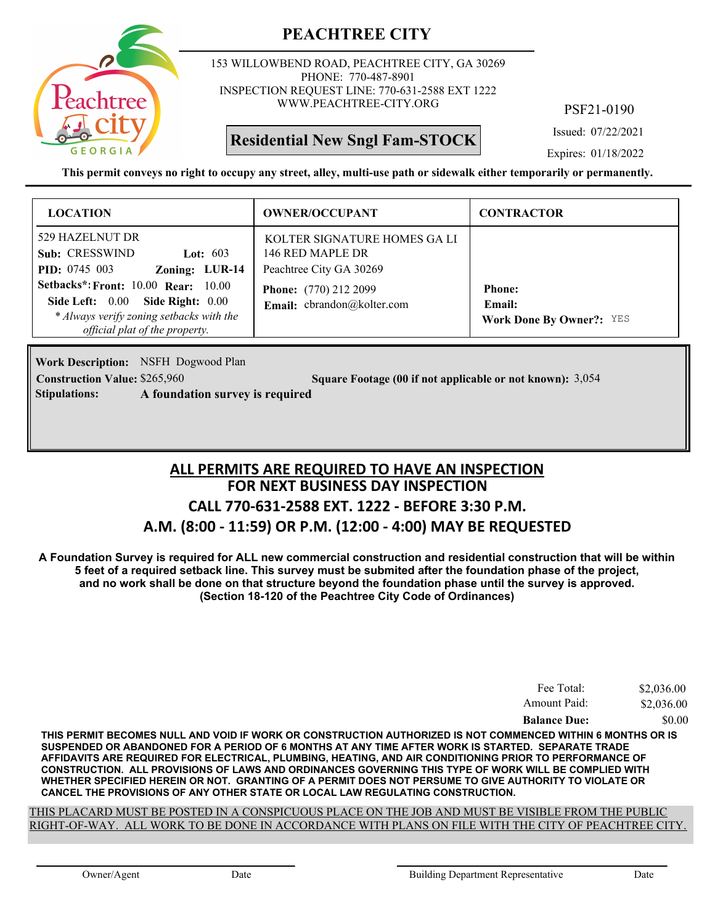

153 WILLOWBEND ROAD, PEACHTREE CITY, GA 30269 PHONE: 770-487-8901 INSPECTION REQUEST LINE: 770-631-2588 EXT 1222 WWW.PEACHTREE-CITY.ORG

PSF21-0190

Issued: 07/22/2021

Expires: 01/18/2022

**This permit conveys no right to occupy any street, alley, multi-use path or sidewalk either temporarily or permanently.**

**Residential New Sngl Fam-STOCK**

| <b>LOCATION</b>                                                                                                                                       | <b>OWNER/OCCUPANT</b>                                                      | <b>CONTRACTOR</b>                                          |
|-------------------------------------------------------------------------------------------------------------------------------------------------------|----------------------------------------------------------------------------|------------------------------------------------------------|
| 529 HAZELNUT DR<br>Sub: CRESSWIND<br>Lot: $603$<br><b>PID:</b> 0745 003<br>Zoning: LUR-14                                                             | KOLTER SIGNATURE HOMES GALI<br>146 RED MAPLE DR<br>Peachtree City GA 30269 |                                                            |
| Setbacks*: Front: 10.00 Rear: 10.00<br>Side Left: 0.00 Side Right: 0.00<br>* Always verify zoning setbacks with the<br>official plat of the property. | <b>Phone:</b> (770) 212 2099<br>Email: cbrandon@kolter.com                 | <b>Phone:</b><br>Email:<br><b>Work Done By Owner?:</b> YES |

**Work Description:** NSFH Dogwood Plan **Stipulations: A foundation survey is required**

**Construction Value:** \$265,960 3,054 **Square Footage (00 if not applicable or not known):** 3,054

#### **FOR NEXT BUSINESS DAY INSPECTION CALL 770-631-2588 EXT. 1222 - BEFORE 3:30 P.M. A.M. (8:00 - 11:59) OR P.M. (12:00 - 4:00) MAY BE REQUESTED ALL PERMITS ARE REQUIRED TO HAVE AN INSPECTION**

**A Foundation Survey is required for ALL new commercial construction and residential construction that will be within 5 feet of a required setback line. This survey must be submited after the foundation phase of the project, and no work shall be done on that structure beyond the foundation phase until the survey is approved. (Section 18-120 of the Peachtree City Code of Ordinances)**

| Fee Total:          | \$2,036.00 |
|---------------------|------------|
| Amount Paid:        | \$2,036.00 |
| <b>Balance Due:</b> | \$0.00     |

**THIS PERMIT BECOMES NULL AND VOID IF WORK OR CONSTRUCTION AUTHORIZED IS NOT COMMENCED WITHIN 6 MONTHS OR IS SUSPENDED OR ABANDONED FOR A PERIOD OF 6 MONTHS AT ANY TIME AFTER WORK IS STARTED. SEPARATE TRADE AFFIDAVITS ARE REQUIRED FOR ELECTRICAL, PLUMBING, HEATING, AND AIR CONDITIONING PRIOR TO PERFORMANCE OF CONSTRUCTION. ALL PROVISIONS OF LAWS AND ORDINANCES GOVERNING THIS TYPE OF WORK WILL BE COMPLIED WITH WHETHER SPECIFIED HEREIN OR NOT. GRANTING OF A PERMIT DOES NOT PERSUME TO GIVE AUTHORITY TO VIOLATE OR CANCEL THE PROVISIONS OF ANY OTHER STATE OR LOCAL LAW REGULATING CONSTRUCTION.**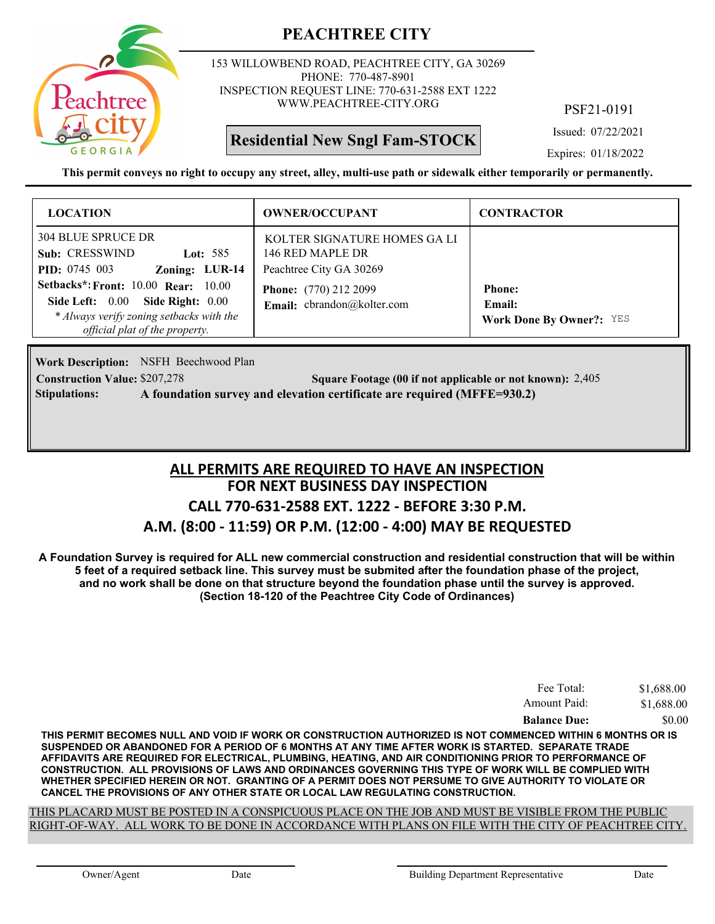

153 WILLOWBEND ROAD, PEACHTREE CITY, GA 30269 PHONE: 770-487-8901 INSPECTION REQUEST LINE: 770-631-2588 EXT 1222 WWW.PEACHTREE-CITY.ORG

**Residential New Sngl Fam-STOCK**

PSF21-0191

Issued: 07/22/2021

Expires: 01/18/2022

**This permit conveys no right to occupy any street, alley, multi-use path or sidewalk either temporarily or permanently.**

| <b>LOCATION</b>                                                                                                                                              | <b>OWNER/OCCUPANT</b>                                                       | <b>CONTRACTOR</b>                                                 |
|--------------------------------------------------------------------------------------------------------------------------------------------------------------|-----------------------------------------------------------------------------|-------------------------------------------------------------------|
| <b>304 BLUE SPRUCE DR</b><br>Sub: CRESSWIND<br>Lot: $585$<br><b>PID:</b> 0745 003<br>Zoning: LUR-14                                                          | KOLTER SIGNATURE HOMES GA LI<br>146 RED MAPLE DR<br>Peachtree City GA 30269 |                                                                   |
| <b>Setbacks*: Front: 10.00 Rear: 10.00</b><br>Side Left: 0.00 Side Right: 0.00<br>* Always verify zoning setbacks with the<br>official plat of the property. | <b>Phone:</b> (770) 212 2099<br>Email: cbrandon@kolter.com                  | <b>Phone:</b><br><b>Email:</b><br><b>Work Done By Owner?:</b> YES |

Work Description: NSFH Beechwood Plan **Construction Value: \$207,278 2006 2006 2007 2006 2007 2006 2007 2006 2007 2006 2009 2006 2007 2,405 2,405 2,405 Stipulations: A foundation survey and elevation certificate are required (MFFE=930.2)**

### **FOR NEXT BUSINESS DAY INSPECTION CALL 770-631-2588 EXT. 1222 - BEFORE 3:30 P.M. A.M. (8:00 - 11:59) OR P.M. (12:00 - 4:00) MAY BE REQUESTED ALL PERMITS ARE REQUIRED TO HAVE AN INSPECTION**

**A Foundation Survey is required for ALL new commercial construction and residential construction that will be within 5 feet of a required setback line. This survey must be submited after the foundation phase of the project, and no work shall be done on that structure beyond the foundation phase until the survey is approved. (Section 18-120 of the Peachtree City Code of Ordinances)**

| Fee Total:          | \$1,688.00 |
|---------------------|------------|
| Amount Paid:        | \$1,688.00 |
| <b>Balance Due:</b> | \$0.00     |

**THIS PERMIT BECOMES NULL AND VOID IF WORK OR CONSTRUCTION AUTHORIZED IS NOT COMMENCED WITHIN 6 MONTHS OR IS SUSPENDED OR ABANDONED FOR A PERIOD OF 6 MONTHS AT ANY TIME AFTER WORK IS STARTED. SEPARATE TRADE AFFIDAVITS ARE REQUIRED FOR ELECTRICAL, PLUMBING, HEATING, AND AIR CONDITIONING PRIOR TO PERFORMANCE OF CONSTRUCTION. ALL PROVISIONS OF LAWS AND ORDINANCES GOVERNING THIS TYPE OF WORK WILL BE COMPLIED WITH WHETHER SPECIFIED HEREIN OR NOT. GRANTING OF A PERMIT DOES NOT PERSUME TO GIVE AUTHORITY TO VIOLATE OR CANCEL THE PROVISIONS OF ANY OTHER STATE OR LOCAL LAW REGULATING CONSTRUCTION.**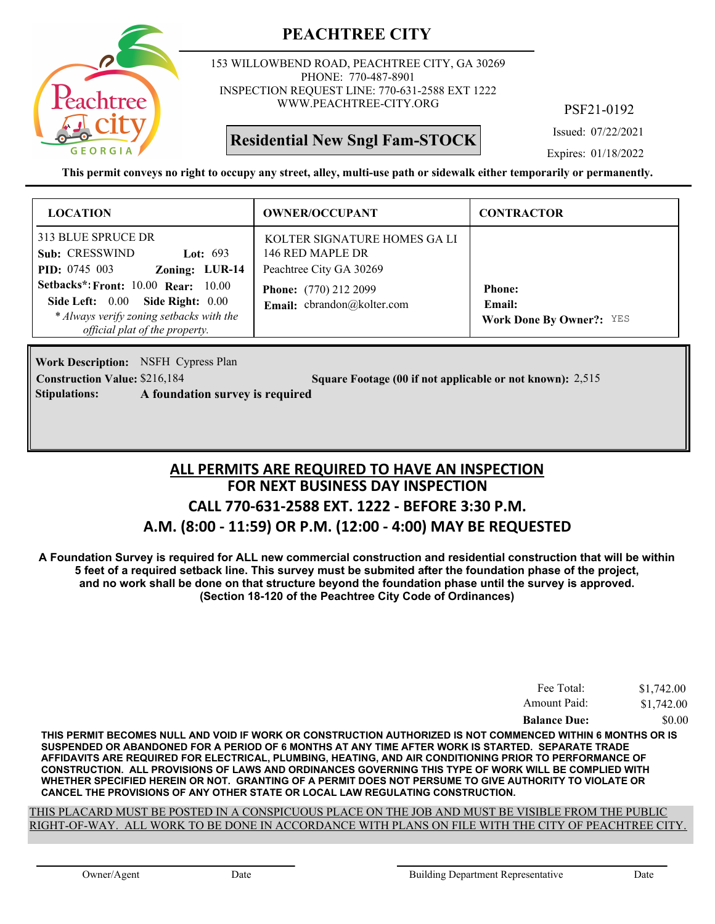

153 WILLOWBEND ROAD, PEACHTREE CITY, GA 30269 PHONE: 770-487-8901 INSPECTION REQUEST LINE: 770-631-2588 EXT 1222 WWW.PEACHTREE-CITY.ORG

**Residential New Sngl Fam-STOCK**

PSF21-0192

Issued: 07/22/2021

Expires: 01/18/2022

**This permit conveys no right to occupy any street, alley, multi-use path or sidewalk either temporarily or permanently.**

| <b>LOCATION</b>                                                                                                                                              | <b>OWNER/OCCUPANT</b>                                                       | <b>CONTRACTOR</b>                                          |
|--------------------------------------------------------------------------------------------------------------------------------------------------------------|-----------------------------------------------------------------------------|------------------------------------------------------------|
| 313 BLUE SPRUCE DR<br>Sub: CRESSWIND<br>Lot: $693$<br>Zoning: LUR-14<br><b>PID:</b> 0745 003                                                                 | KOLTER SIGNATURE HOMES GA LI<br>146 RED MAPLE DR<br>Peachtree City GA 30269 |                                                            |
| <b>Setbacks*: Front: 10.00 Rear: 10.00</b><br>Side Left: 0.00 Side Right: 0.00<br>* Always verify zoning setbacks with the<br>official plat of the property. | <b>Phone:</b> (770) 212 2099<br>Email: cbrandon@kolter.com                  | <b>Phone:</b><br>Email:<br><b>Work Done By Owner?: YES</b> |

**Work Description:** NSFH Cypress Plan **Construction Value:** \$216,184 2,515 **2,516** 2,515 2,515 **Stipulations: A foundation survey is required**

> **FOR NEXT BUSINESS DAY INSPECTION CALL 770-631-2588 EXT. 1222 - BEFORE 3:30 P.M. A.M. (8:00 - 11:59) OR P.M. (12:00 - 4:00) MAY BE REQUESTED ALL PERMITS ARE REQUIRED TO HAVE AN INSPECTION**

**A Foundation Survey is required for ALL new commercial construction and residential construction that will be within 5 feet of a required setback line. This survey must be submited after the foundation phase of the project, and no work shall be done on that structure beyond the foundation phase until the survey is approved. (Section 18-120 of the Peachtree City Code of Ordinances)**

| <b>Balance Due:</b> | \$0.00     |
|---------------------|------------|
| Amount Paid:        | \$1,742.00 |
| Fee Total:          | \$1,742.00 |

**THIS PERMIT BECOMES NULL AND VOID IF WORK OR CONSTRUCTION AUTHORIZED IS NOT COMMENCED WITHIN 6 MONTHS OR IS SUSPENDED OR ABANDONED FOR A PERIOD OF 6 MONTHS AT ANY TIME AFTER WORK IS STARTED. SEPARATE TRADE AFFIDAVITS ARE REQUIRED FOR ELECTRICAL, PLUMBING, HEATING, AND AIR CONDITIONING PRIOR TO PERFORMANCE OF CONSTRUCTION. ALL PROVISIONS OF LAWS AND ORDINANCES GOVERNING THIS TYPE OF WORK WILL BE COMPLIED WITH WHETHER SPECIFIED HEREIN OR NOT. GRANTING OF A PERMIT DOES NOT PERSUME TO GIVE AUTHORITY TO VIOLATE OR CANCEL THE PROVISIONS OF ANY OTHER STATE OR LOCAL LAW REGULATING CONSTRUCTION.**